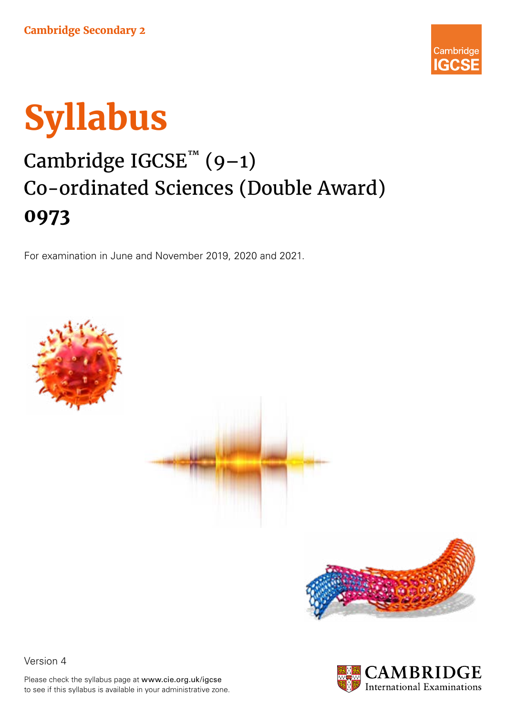



# Cambridge IGCSE<sup>™</sup> (9-1) Co-ordinated Sciences (Double Award) **0973**

For examination in June and November 2019, 2020 and 2021.











Please check the syllabus page at www.cie.org.uk/igcse to see if this syllabus is available in your administrative zone.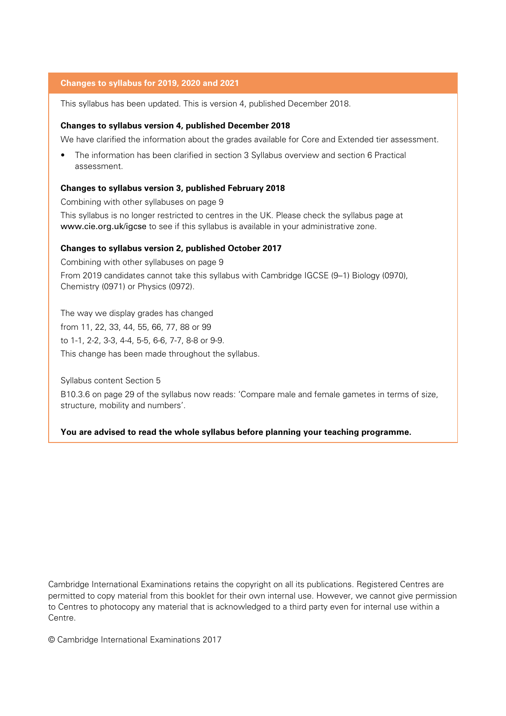### **Changes to syllabus for 2019, 2020 and 2021**

This syllabus has been updated. This is version 4, published December 2018.

#### **Changes to syllabus version 4, published December 2018**

We have clarified the information about the grades available for Core and Extended tier assessment.

• The information has been clarified in section 3 Syllabus overview and section 6 Practical assessment.

#### **Changes to syllabus version 3, published February 2018**

Combining with other syllabuses on page 9

This syllabus is no longer restricted to centres in the UK. Please check the syllabus page at www.cie.org.uk/igcse to see if this syllabus is available in your administrative zone.

#### **Changes to syllabus version 2, published October 2017**

Combining with other syllabuses on page 9 From 2019 candidates cannot take this syllabus with Cambridge IGCSE (9–1) Biology (0970), Chemistry (0971) or Physics (0972).

The way we display grades has changed from 11, 22, 33, 44, 55, 66, 77, 88 or 99 to 1-1, 2-2, 3-3, 4-4, 5-5, 6-6, 7-7, 8-8 or 9-9. This change has been made throughout the syllabus.

Syllabus content Section 5

B10.3.6 on page 29 of the syllabus now reads: 'Compare male and female gametes in terms of size, structure, mobility and numbers'.

#### **You are advised to read the whole syllabus before planning your teaching programme.**

Cambridge International Examinations retains the copyright on all its publications. Registered Centres are permitted to copy material from this booklet for their own internal use. However, we cannot give permission to Centres to photocopy any material that is acknowledged to a third party even for internal use within a Centre.

© Cambridge International Examinations 2017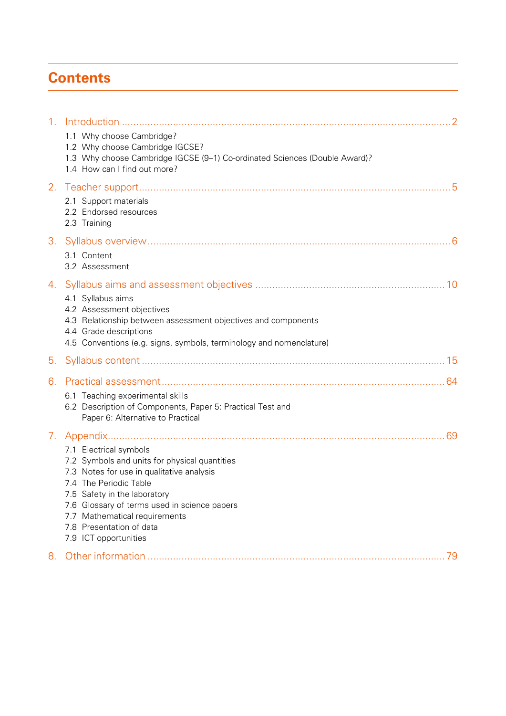## **Contents**

| 1 <sub>1</sub> |                                                                                                                                                                                                                                                                                                                      |
|----------------|----------------------------------------------------------------------------------------------------------------------------------------------------------------------------------------------------------------------------------------------------------------------------------------------------------------------|
|                | 1.1 Why choose Cambridge?<br>1.2 Why choose Cambridge IGCSE?<br>1.3 Why choose Cambridge IGCSE (9-1) Co-ordinated Sciences (Double Award)?<br>1.4 How can I find out more?                                                                                                                                           |
| 2.             | 2.1 Support materials<br>2.2 Endorsed resources<br>2.3 Training                                                                                                                                                                                                                                                      |
| 3.             | 3.1 Content<br>3.2 Assessment                                                                                                                                                                                                                                                                                        |
| 4.             | 4.1 Syllabus aims<br>4.2 Assessment objectives<br>4.3 Relationship between assessment objectives and components<br>4.4 Grade descriptions<br>4.5 Conventions (e.g. signs, symbols, terminology and nomenclature)                                                                                                     |
| 5.             |                                                                                                                                                                                                                                                                                                                      |
| 6.             | 6.1 Teaching experimental skills<br>6.2 Description of Components, Paper 5: Practical Test and<br>Paper 6: Alternative to Practical                                                                                                                                                                                  |
| 7.             | 7.1 Electrical symbols<br>7.2 Symbols and units for physical quantities<br>7.3 Notes for use in qualitative analysis<br>7.4 The Periodic Table<br>7.5 Safety in the laboratory<br>7.6 Glossary of terms used in science papers<br>7.7 Mathematical requirements<br>7.8 Presentation of data<br>7.9 ICT opportunities |
| 8.             |                                                                                                                                                                                                                                                                                                                      |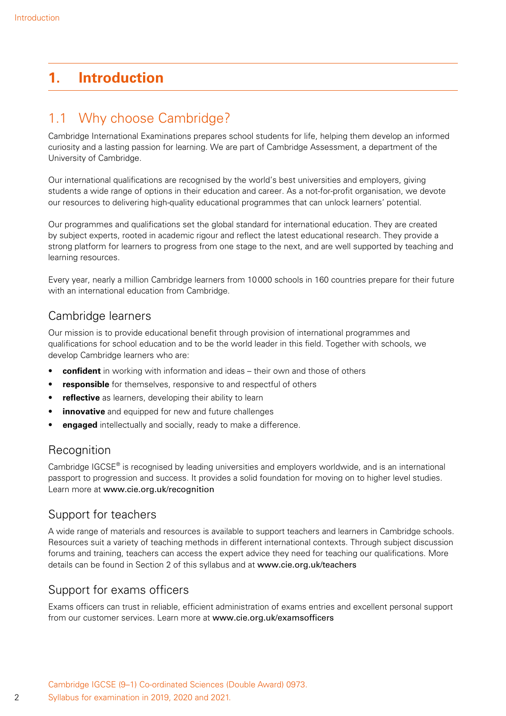## <span id="page-3-0"></span>**1. Introduction**

## 1.1 Why choose Cambridge?

Cambridge International Examinations prepares school students for life, helping them develop an informed curiosity and a lasting passion for learning. We are part of Cambridge Assessment, a department of the University of Cambridge.

Our international qualifications are recognised by the world's best universities and employers, giving students a wide range of options in their education and career. As a not-for-profit organisation, we devote our resources to delivering high-quality educational programmes that can unlock learners' potential.

Our programmes and qualifications set the global standard for international education. They are created by subject experts, rooted in academic rigour and reflect the latest educational research. They provide a strong platform for learners to progress from one stage to the next, and are well supported by teaching and learning resources.

Every year, nearly a million Cambridge learners from 10000 schools in 160 countries prepare for their future with an international education from Cambridge.

### Cambridge learners

Our mission is to provide educational benefit through provision of international programmes and qualifications for school education and to be the world leader in this field. Together with schools, we develop Cambridge learners who are:

- **confident** in working with information and ideas their own and those of others
- **responsible** for themselves, responsive to and respectful of others
- **reflective** as learners, developing their ability to learn
- **innovative** and equipped for new and future challenges
- **engaged** intellectually and socially, ready to make a difference.

### **Recognition**

Cambridge  $IGCSE<sup>®</sup>$  is recognised by leading universities and employers worldwide, and is an international passport to progression and success. It provides a solid foundation for moving on to higher level studies. Learn more at www.cie.org.uk/recognition

### Support for teachers

A wide range of materials and resources is available to support teachers and learners in Cambridge schools. Resources suit a variety of teaching methods in different international contexts. Through subject discussion forums and training, teachers can access the expert advice they need for teaching our qualifications. More details can be found in Section 2 of this syllabus and at www.cie.org.uk/teachers

### Support for exams officers

Exams officers can trust in reliable, efficient administration of exams entries and excellent personal support from our customer services. Learn more at www.cie.org.uk/examsofficers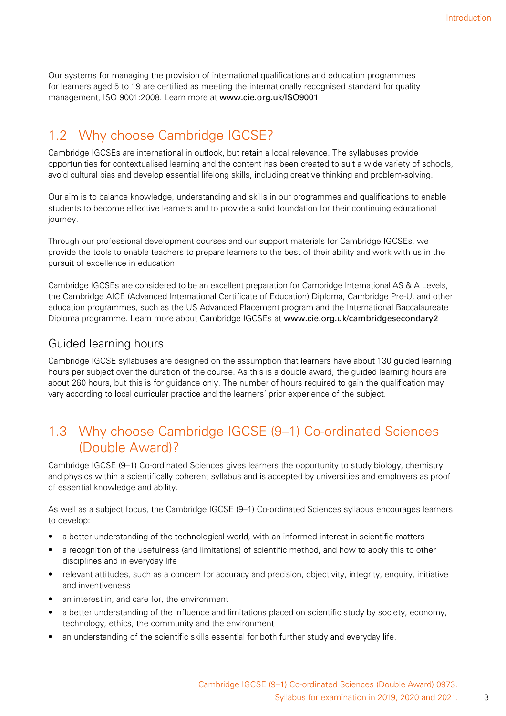<span id="page-4-0"></span>Our systems for managing the provision of international qualifications and education programmes for learners aged 5 to 19 are certified as meeting the internationally recognised standard for quality management, ISO 9001:2008. Learn more at www.cie.org.uk/ISO9001

## 1.2 Why choose Cambridge IGCSE?

Cambridge IGCSEs are international in outlook, but retain a local relevance. The syllabuses provide opportunities for contextualised learning and the content has been created to suit a wide variety of schools, avoid cultural bias and develop essential lifelong skills, including creative thinking and problem-solving.

Our aim is to balance knowledge, understanding and skills in our programmes and qualifications to enable students to become effective learners and to provide a solid foundation for their continuing educational journey.

Through our professional development courses and our support materials for Cambridge IGCSEs, we provide the tools to enable teachers to prepare learners to the best of their ability and work with us in the pursuit of excellence in education.

Cambridge IGCSEs are considered to be an excellent preparation for Cambridge International AS & A Levels, the Cambridge AICE (Advanced International Certificate of Education) Diploma, Cambridge Pre-U, and other education programmes, such as the US Advanced Placement program and the International Baccalaureate Diploma programme. Learn more about Cambridge IGCSEs at www.cie.org.uk/cambridgesecondary2

### Guided learning hours

Cambridge IGCSE syllabuses are designed on the assumption that learners have about 130 guided learning hours per subject over the duration of the course. As this is a double award, the guided learning hours are about 260 hours, but this is for guidance only. The number of hours required to gain the qualification may vary according to local curricular practice and the learners' prior experience of the subject.

## 1.3 Why choose Cambridge IGCSE (9–1) Co-ordinated Sciences (Double Award)?

Cambridge IGCSE (9–1) Co-ordinated Sciences gives learners the opportunity to study biology, chemistry and physics within a scientifically coherent syllabus and is accepted by universities and employers as proof of essential knowledge and ability.

As well as a subject focus, the Cambridge IGCSE (9–1) Co-ordinated Sciences syllabus encourages learners to develop:

- a better understanding of the technological world, with an informed interest in scientific matters
- a recognition of the usefulness (and limitations) of scientific method, and how to apply this to other disciplines and in everyday life
- relevant attitudes, such as a concern for accuracy and precision, objectivity, integrity, enquiry, initiative and inventiveness
- an interest in, and care for, the environment
- a better understanding of the influence and limitations placed on scientific study by society, economy, technology, ethics, the community and the environment
- an understanding of the scientific skills essential for both further study and everyday life.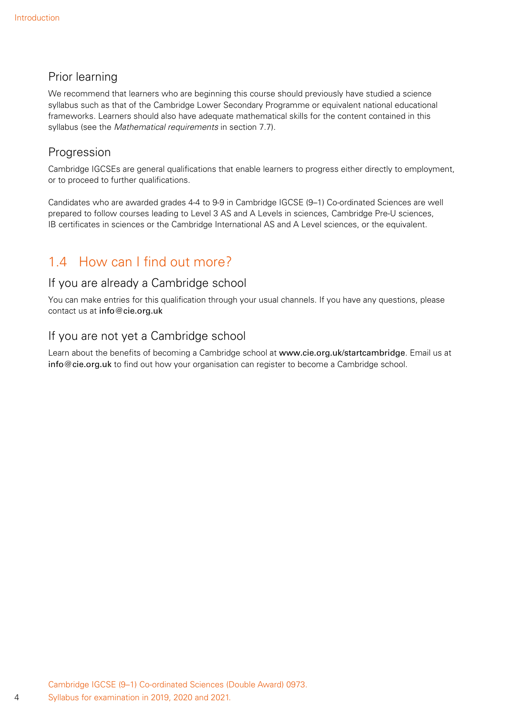## <span id="page-5-0"></span>Prior learning

We recommend that learners who are beginning this course should previously have studied a science syllabus such as that of the Cambridge Lower Secondary Programme or equivalent national educational frameworks. Learners should also have adequate mathematical skills for the content contained in this syllabus (see the *Mathematical requirements* in section 7.7).

## Progression

Cambridge IGCSEs are general qualifications that enable learners to progress either directly to employment, or to proceed to further qualifications.

Candidates who are awarded grades 4-4 to 9-9 in Cambridge IGCSE (9–1) Co-ordinated Sciences are well prepared to follow courses leading to Level 3 AS and A Levels in sciences, Cambridge Pre-U sciences, IB certificates in sciences or the Cambridge International AS and A Level sciences, or the equivalent.

## 1.4 How can I find out more?

### If you are already a Cambridge school

You can make entries for this qualification through your usual channels. If you have any questions, please contact us at info@cie.org.uk

## If you are not yet a Cambridge school

Learn about the benefits of becoming a Cambridge school at www.cie.org.uk/startcambridge. Email us at info@cie.org.uk to find out how your organisation can register to become a Cambridge school.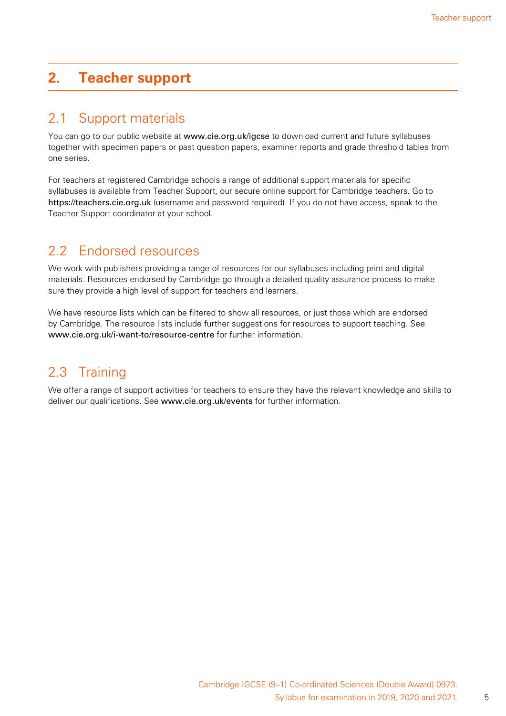## <span id="page-6-0"></span>**2. Teacher support**

## 2.1 Support materials

You can go to our public website at www.cie.org.uk/igcse to download current and future syllabuses together with specimen papers or past question papers, examiner reports and grade threshold tables from one series.

For teachers at registered Cambridge schools a range of additional support materials for specific syllabuses is available from Teacher Support, our secure online support for Cambridge teachers. Go to https://teachers.cie.org.uk (username and password required). If you do not have access, speak to the Teacher Support coordinator at your school.

## 2.2 Endorsed resources

We work with publishers providing a range of resources for our syllabuses including print and digital materials. Resources endorsed by Cambridge go through a detailed quality assurance process to make sure they provide a high level of support for teachers and learners.

We have resource lists which can be filtered to show all resources, or just those which are endorsed by Cambridge. The resource lists include further suggestions for resources to support teaching. See www.cie.org.uk/i-want-to/resource-centre for further information.

## 2.3 Training

We offer a range of support activities for teachers to ensure they have the relevant knowledge and skills to deliver our qualifications. See www.cie.org.uk/events for further information.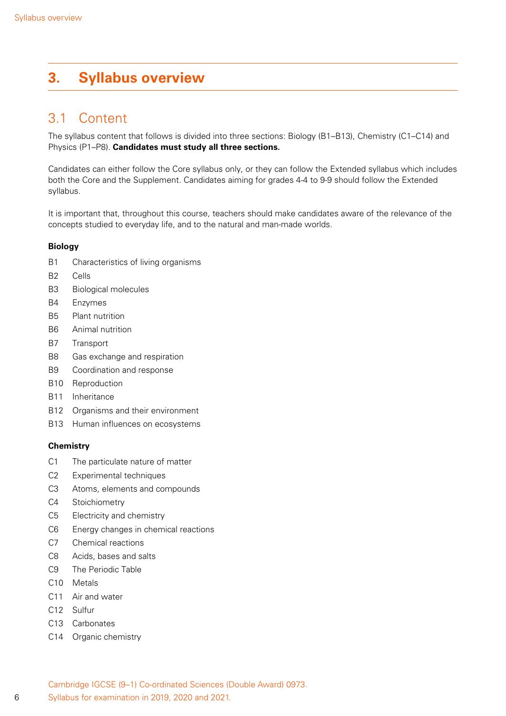## <span id="page-7-0"></span>**3. Syllabus overview**

## 3.1 Content

The syllabus content that follows is divided into three sections: Biology (B1–B13), Chemistry (C1–C14) and Physics (P1–P8). **Candidates must study all three sections.**

Candidates can either follow the Core syllabus only, or they can follow the Extended syllabus which includes both the Core and the Supplement. Candidates aiming for grades 4-4 to 9-9 should follow the Extended syllabus.

It is important that, throughout this course, teachers should make candidates aware of the relevance of the concepts studied to everyday life, and to the natural and man-made worlds.

### **Biology**

- B1 Characteristics of living organisms
- B2 Cells
- B3 Biological molecules
- B4 Enzymes
- B5 Plant nutrition
- B6 Animal nutrition
- B7 Transport
- B8 Gas exchange and respiration
- B9 Coordination and response
- B10 Reproduction
- B11 Inheritance
- B12 Organisms and their environment
- B13 Human influences on ecosystems

### **Chemistry**

- C1 The particulate nature of matter
- C2 Experimental techniques
- C3 Atoms, elements and compounds
- C4 Stoichiometry
- C5 Electricity and chemistry
- C6 Energy changes in chemical reactions
- C7 Chemical reactions
- C8 Acids, bases and salts
- C9 The Periodic Table
- C10 Metals
- C11 Air and water
- C12 Sulfur
- C13 Carbonates
- C14 Organic chemistry

6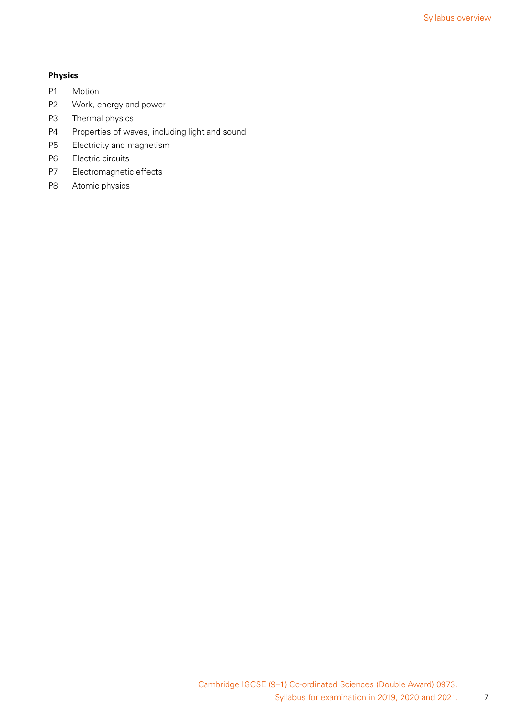### **Physics**

- P1 Motion
- P2 Work, energy and power
- P3 Thermal physics
- P4 Properties of waves, including light and sound
- P5 Electricity and magnetism
- P6 Electric circuits
- P7 Electromagnetic effects
- P8 Atomic physics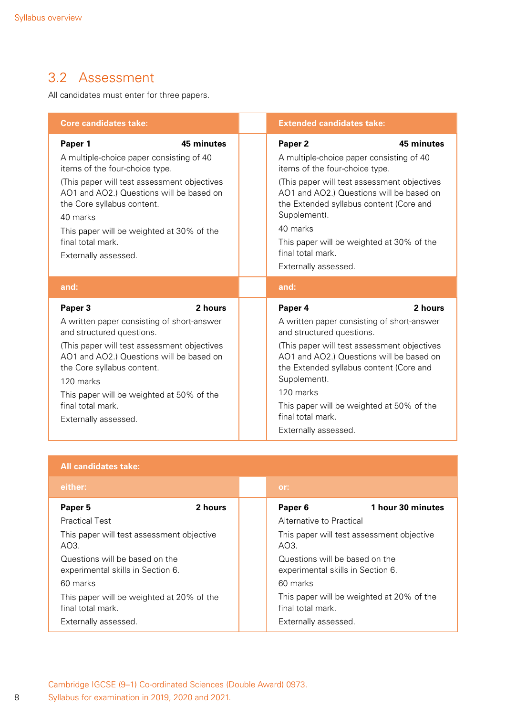## <span id="page-9-0"></span>3.2 Assessment

All candidates must enter for three papers.

| <b>Core candidates take:</b>                                                                                                                                                                                                                                                                                         |            | <b>Extended candidates take:</b>                                                                                                                                                                                                                                                                                                                             |            |
|----------------------------------------------------------------------------------------------------------------------------------------------------------------------------------------------------------------------------------------------------------------------------------------------------------------------|------------|--------------------------------------------------------------------------------------------------------------------------------------------------------------------------------------------------------------------------------------------------------------------------------------------------------------------------------------------------------------|------------|
| Paper 1<br>A multiple-choice paper consisting of 40<br>items of the four-choice type.<br>(This paper will test assessment objectives<br>AO1 and AO2.) Questions will be based on<br>the Core syllabus content.<br>40 marks<br>This paper will be weighted at 30% of the<br>final total mark.<br>Externally assessed. | 45 minutes | Paper <sub>2</sub><br>A multiple-choice paper consisting of 40<br>items of the four-choice type.<br>(This paper will test assessment objectives<br>AO1 and AO2.) Questions will be based on<br>the Extended syllabus content (Core and<br>Supplement).<br>40 marks<br>This paper will be weighted at 30% of the<br>final total mark.<br>Externally assessed. | 45 minutes |
| and:                                                                                                                                                                                                                                                                                                                 |            | and:                                                                                                                                                                                                                                                                                                                                                         |            |
| Paper 3<br>A written paper consisting of short-answer<br>and structured questions.<br>(This paper will test assessment objectives<br>AO1 and AO2.) Questions will be based on<br>the Core syllabus content.<br>120 marks<br>This paper will be weighted at 50% of the<br>final total mark.<br>Externally assessed.   | 2 hours    | Paper 4<br>A written paper consisting of short-answer<br>and structured questions.<br>(This paper will test assessment objectives<br>AO1 and AO2.) Questions will be based on<br>the Extended syllabus content (Core and<br>Supplement).<br>120 marks<br>This paper will be weighted at 50% of the<br>final total mark.<br>Externally assessed.              | 2 hours    |

### **All candidates take:**

| either:                                                             |         | or:                                                                 |                                           |
|---------------------------------------------------------------------|---------|---------------------------------------------------------------------|-------------------------------------------|
| Paper 5                                                             | 2 hours | Paper <sub>6</sub>                                                  | 1 hour 30 minutes                         |
| <b>Practical Test</b>                                               |         | Alternative to Practical                                            |                                           |
| This paper will test assessment objective<br>AO3.                   |         | AO3.                                                                | This paper will test assessment objective |
| Questions will be based on the<br>experimental skills in Section 6. |         | Questions will be based on the<br>experimental skills in Section 6. |                                           |
| 60 marks                                                            |         | 60 marks                                                            |                                           |
| This paper will be weighted at 20% of the<br>final total mark.      |         | final total mark.                                                   | This paper will be weighted at 20% of the |
| Externally assessed.                                                |         | Externally assessed.                                                |                                           |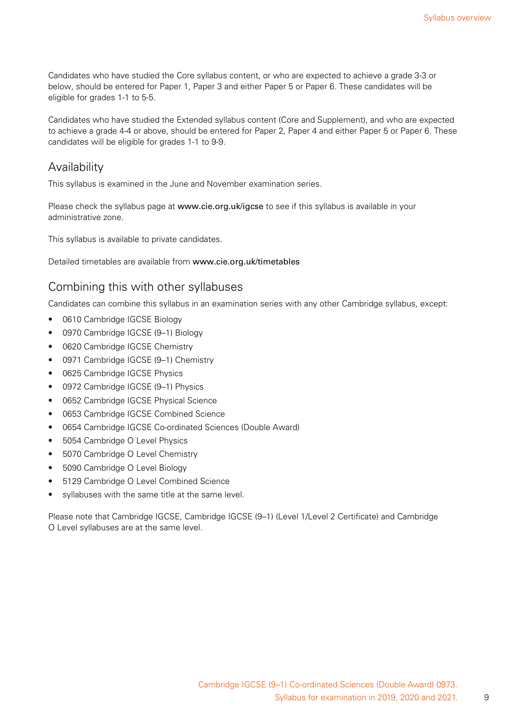Candidates who have studied the Core syllabus content, or who are expected to achieve a grade 3-3 or below, should be entered for Paper 1, Paper 3 and either Paper 5 or Paper 6. These candidates will be eligible for grades 1-1 to 5-5.

Candidates who have studied the Extended syllabus content (Core and Supplement), and who are expected to achieve a grade 4-4 or above, should be entered for Paper 2, Paper 4 and either Paper 5 or Paper 6. These candidates will be eligible for grades 1-1 to 9-9.

### Availability

This syllabus is examined in the June and November examination series.

Please check the syllabus page at www.cie.org.uk/igcse to see if this syllabus is available in your administrative zone.

This syllabus is available to private candidates.

Detailed timetables are available from www.cie.org.uk/timetables

### Combining this with other syllabuses

Candidates can combine this syllabus in an examination series with any other Cambridge syllabus, except:

- 0610 Cambridge IGCSE Biology
- 0970 Cambridge IGCSE (9-1) Biology
- 0620 Cambridge IGCSE Chemistry
- 0971 Cambridge IGCSE (9–1) Chemistry
- 0625 Cambridge IGCSE Physics
- 0972 Cambridge IGCSE (9-1) Physics
- 0652 Cambridge IGCSE Physical Science
- 0653 Cambridge IGCSE Combined Science
- 0654 Cambridge IGCSE Co-ordinated Sciences (Double Award)
- 5054 Cambridge O Level Physics
- 5070 Cambridge O Level Chemistry
- 5090 Cambridge O Level Biology
- 5129 Cambridge O Level Combined Science
- syllabuses with the same title at the same level.

Please note that Cambridge IGCSE, Cambridge IGCSE (9–1) (Level 1/Level 2 Certificate) and Cambridge O Level syllabuses are at the same level.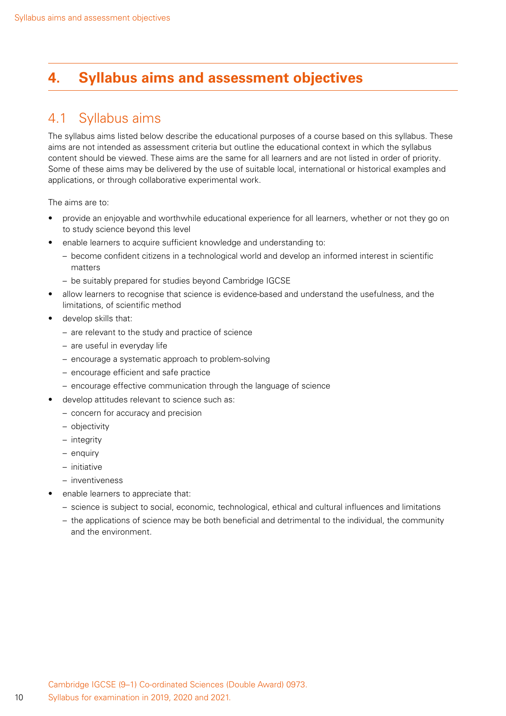## <span id="page-11-0"></span>**4. Syllabus aims and assessment objectives**

## 4.1 Syllabus aims

The syllabus aims listed below describe the educational purposes of a course based on this syllabus. These aims are not intended as assessment criteria but outline the educational context in which the syllabus content should be viewed. These aims are the same for all learners and are not listed in order of priority. Some of these aims may be delivered by the use of suitable local, international or historical examples and applications, or through collaborative experimental work.

The aims are to:

- provide an enjoyable and worthwhile educational experience for all learners, whether or not they go on to study science beyond this level
- enable learners to acquire sufficient knowledge and understanding to:
	- become confident citizens in a technological world and develop an informed interest in scientific matters
	- be suitably prepared for studies beyond Cambridge IGCSE
- allow learners to recognise that science is evidence-based and understand the usefulness, and the limitations, of scientific method
- develop skills that:
	- are relevant to the study and practice of science
	- are useful in everyday life
	- encourage a systematic approach to problem-solving
	- encourage efficient and safe practice
	- encourage effective communication through the language of science
	- develop attitudes relevant to science such as:
		- concern for accuracy and precision
		- objectivity
		- integrity
		- enquiry
		- initiative
		- inventiveness
- enable learners to appreciate that:
	- science is subject to social, economic, technological, ethical and cultural influences and limitations
	- the applications of science may be both beneficial and detrimental to the individual, the community and the environment.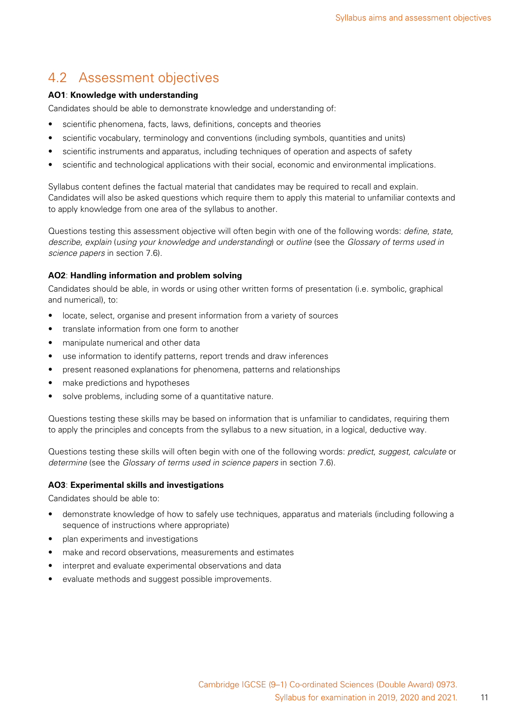## <span id="page-12-0"></span>4.2 Assessment objectives

### **AO1**: **Knowledge with understanding**

Candidates should be able to demonstrate knowledge and understanding of:

- scientific phenomena, facts, laws, definitions, concepts and theories
- scientific vocabulary, terminology and conventions (including symbols, quantities and units)
- scientific instruments and apparatus, including techniques of operation and aspects of safety
- scientific and technological applications with their social, economic and environmental implications.

Syllabus content defines the factual material that candidates may be required to recall and explain. Candidates will also be asked questions which require them to apply this material to unfamiliar contexts and to apply knowledge from one area of the syllabus to another.

Questions testing this assessment objective will often begin with one of the following words: *define*, *state*, *describe*, *explain* (*using your knowledge and understanding*) or *outline* (see the *Glossary of terms used in science papers* in section 7.6).

### **AO2**: **Handling information and problem solving**

Candidates should be able, in words or using other written forms of presentation (i.e. symbolic, graphical and numerical), to:

- locate, select, organise and present information from a variety of sources
- translate information from one form to another
- manipulate numerical and other data
- use information to identify patterns, report trends and draw inferences
- present reasoned explanations for phenomena, patterns and relationships
- make predictions and hypotheses
- solve problems, including some of a quantitative nature.

Questions testing these skills may be based on information that is unfamiliar to candidates, requiring them to apply the principles and concepts from the syllabus to a new situation, in a logical, deductive way.

Questions testing these skills will often begin with one of the following words: *predict*, *suggest*, *calculate* or *determine* (see the *Glossary of terms used in science papers* in section 7.6).

#### **AO3**: **Experimental skills and investigations**

Candidates should be able to:

- demonstrate knowledge of how to safely use techniques, apparatus and materials (including following a sequence of instructions where appropriate)
- plan experiments and investigations
- make and record observations, measurements and estimates
- interpret and evaluate experimental observations and data
- evaluate methods and suggest possible improvements.

11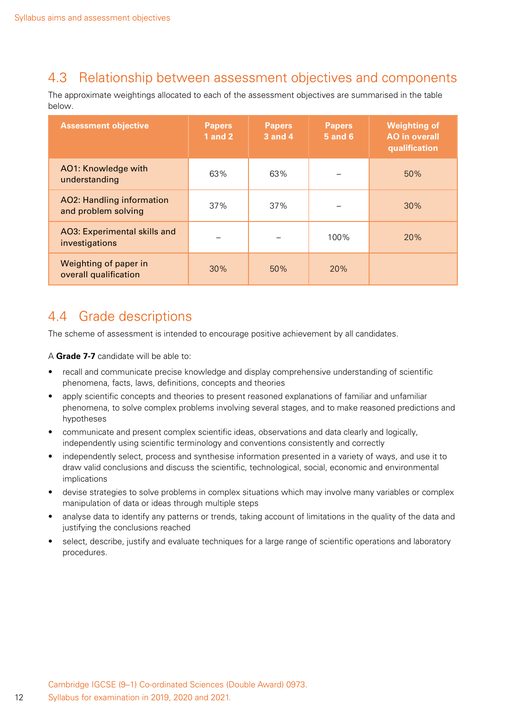## <span id="page-13-0"></span>4.3 Relationship between assessment objectives and components

The approximate weightings allocated to each of the assessment objectives are summarised in the table below.

| <b>Assessment objective</b>                             | <b>Papers</b><br><b>1</b> and 2 | <b>Papers</b><br><b>3 and 4</b> | <b>Papers</b><br><b>5 and 6</b> | <b>Weighting of</b><br><b>AO</b> in overall<br>qualification |
|---------------------------------------------------------|---------------------------------|---------------------------------|---------------------------------|--------------------------------------------------------------|
| AO1: Knowledge with<br>understanding                    | 63%                             | 63%                             |                                 | 50%                                                          |
| <b>AO2: Handling information</b><br>and problem solving | 37%                             | 37%                             |                                 | 30%                                                          |
| AO3: Experimental skills and<br>investigations          |                                 |                                 | 100%                            | 20%                                                          |
| Weighting of paper in<br>overall qualification          | 30%                             | 50%                             | <b>20%</b>                      |                                                              |

## 4.4 Grade descriptions

The scheme of assessment is intended to encourage positive achievement by all candidates.

A **Grade 7-7** candidate will be able to:

- recall and communicate precise knowledge and display comprehensive understanding of scientific phenomena, facts, laws, definitions, concepts and theories
- apply scientific concepts and theories to present reasoned explanations of familiar and unfamiliar phenomena, to solve complex problems involving several stages, and to make reasoned predictions and hypotheses
- communicate and present complex scientific ideas, observations and data clearly and logically, independently using scientific terminology and conventions consistently and correctly
- independently select, process and synthesise information presented in a variety of ways, and use it to draw valid conclusions and discuss the scientific, technological, social, economic and environmental implications
- devise strategies to solve problems in complex situations which may involve many variables or complex manipulation of data or ideas through multiple steps
- analyse data to identify any patterns or trends, taking account of limitations in the quality of the data and justifying the conclusions reached
- select, describe, justify and evaluate techniques for a large range of scientific operations and laboratory procedures.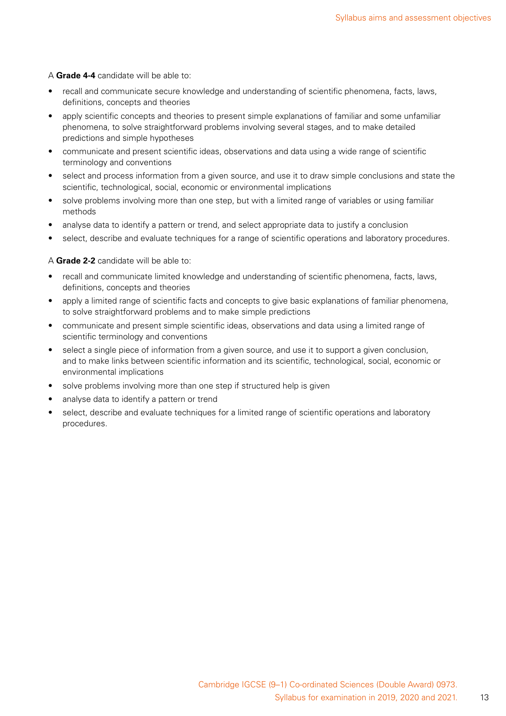#### A **Grade 4-4** candidate will be able to:

- recall and communicate secure knowledge and understanding of scientific phenomena, facts, laws, definitions, concepts and theories
- apply scientific concepts and theories to present simple explanations of familiar and some unfamiliar phenomena, to solve straightforward problems involving several stages, and to make detailed predictions and simple hypotheses
- communicate and present scientific ideas, observations and data using a wide range of scientific terminology and conventions
- select and process information from a given source, and use it to draw simple conclusions and state the scientific, technological, social, economic or environmental implications
- solve problems involving more than one step, but with a limited range of variables or using familiar methods
- analyse data to identify a pattern or trend, and select appropriate data to justify a conclusion
- select, describe and evaluate techniques for a range of scientific operations and laboratory procedures.

#### A **Grade 2-2** candidate will be able to:

- recall and communicate limited knowledge and understanding of scientific phenomena, facts, laws, definitions, concepts and theories
- apply a limited range of scientific facts and concepts to give basic explanations of familiar phenomena, to solve straightforward problems and to make simple predictions
- communicate and present simple scientific ideas, observations and data using a limited range of scientific terminology and conventions
- select a single piece of information from a given source, and use it to support a given conclusion, and to make links between scientific information and its scientific, technological, social, economic or environmental implications
- solve problems involving more than one step if structured help is given
- analyse data to identify a pattern or trend
- select, describe and evaluate techniques for a limited range of scientific operations and laboratory procedures.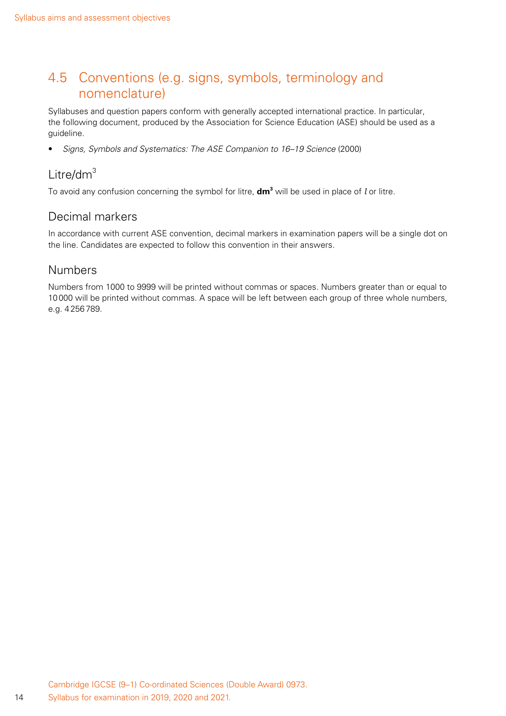## <span id="page-15-0"></span>4.5 Conventions (e.g. signs, symbols, terminology and nomenclature)

Syllabuses and question papers conform with generally accepted international practice. In particular, the following document, produced by the Association for Science Education (ASE) should be used as a guideline.

• *Signs, Symbols and Systematics: The ASE Companion to 16–19 Science* (2000)

## Litre/d $m^3$

To avoid any confusion concerning the symbol for litre, **dm3** will be used in place of *l* or litre.

### Decimal markers

In accordance with current ASE convention, decimal markers in examination papers will be a single dot on the line. Candidates are expected to follow this convention in their answers.

### Numbers

Numbers from 1000 to 9999 will be printed without commas or spaces. Numbers greater than or equal to 10000 will be printed without commas. A space will be left between each group of three whole numbers, e.g. 4256789.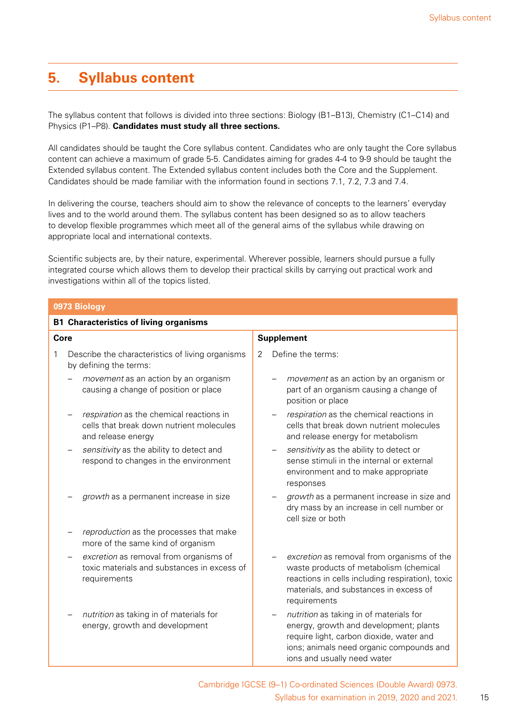## <span id="page-16-0"></span>**5. Syllabus content**

The syllabus content that follows is divided into three sections: Biology (B1–B13), Chemistry (C1–C14) and Physics (P1–P8). **Candidates must study all three sections.**

All candidates should be taught the Core syllabus content. Candidates who are only taught the Core syllabus content can achieve a maximum of grade 5-5. Candidates aiming for grades 4-4 to 9-9 should be taught the Extended syllabus content. The Extended syllabus content includes both the Core and the Supplement. Candidates should be made familiar with the information found in sections 7.1, 7.2, 7.3 and 7.4.

In delivering the course, teachers should aim to show the relevance of concepts to the learners' everyday lives and to the world around them. The syllabus content has been designed so as to allow teachers to develop flexible programmes which meet all of the general aims of the syllabus while drawing on appropriate local and international contexts.

Scientific subjects are, by their nature, experimental. Wherever possible, learners should pursue a fully integrated course which allows them to develop their practical skills by carrying out practical work and investigations within all of the topics listed.

| 0973 Biology                                                                                               |                                                                                                                                                                                                          |  |  |  |
|------------------------------------------------------------------------------------------------------------|----------------------------------------------------------------------------------------------------------------------------------------------------------------------------------------------------------|--|--|--|
| <b>B1 Characteristics of living organisms</b>                                                              |                                                                                                                                                                                                          |  |  |  |
| Core                                                                                                       | <b>Supplement</b>                                                                                                                                                                                        |  |  |  |
| Describe the characteristics of living organisms<br>1<br>by defining the terms:                            | Define the terms:<br>2                                                                                                                                                                                   |  |  |  |
| movement as an action by an organism<br>causing a change of position or place                              | movement as an action by an organism or<br>part of an organism causing a change of<br>position or place                                                                                                  |  |  |  |
| respiration as the chemical reactions in<br>cells that break down nutrient molecules<br>and release energy | respiration as the chemical reactions in<br>cells that break down nutrient molecules<br>and release energy for metabolism                                                                                |  |  |  |
| sensitivity as the ability to detect and<br>respond to changes in the environment                          | sensitivity as the ability to detect or<br>sense stimuli in the internal or external<br>environment and to make appropriate<br>responses                                                                 |  |  |  |
| growth as a permanent increase in size                                                                     | growth as a permanent increase in size and<br>dry mass by an increase in cell number or<br>cell size or both                                                                                             |  |  |  |
| reproduction as the processes that make<br>more of the same kind of organism                               |                                                                                                                                                                                                          |  |  |  |
| excretion as removal from organisms of<br>toxic materials and substances in excess of<br>requirements      | excretion as removal from organisms of the<br>waste products of metabolism (chemical<br>reactions in cells including respiration), toxic<br>materials, and substances in excess of<br>requirements       |  |  |  |
| nutrition as taking in of materials for<br>energy, growth and development                                  | nutrition as taking in of materials for<br>energy, growth and development; plants<br>require light, carbon dioxide, water and<br>ions; animals need organic compounds and<br>ions and usually need water |  |  |  |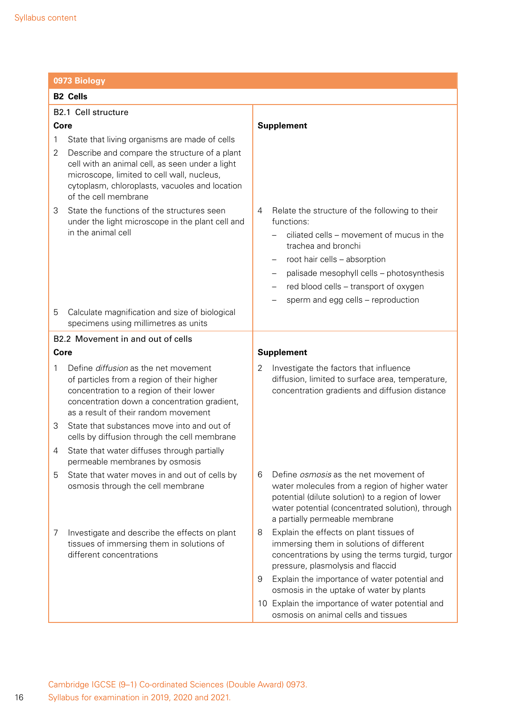|              | 0973 Biology                                                                                                                                                                                                             |                                                                                                                                                                                                                                              |  |  |  |
|--------------|--------------------------------------------------------------------------------------------------------------------------------------------------------------------------------------------------------------------------|----------------------------------------------------------------------------------------------------------------------------------------------------------------------------------------------------------------------------------------------|--|--|--|
|              | <b>B2 Cells</b>                                                                                                                                                                                                          |                                                                                                                                                                                                                                              |  |  |  |
|              | B2.1 Cell structure                                                                                                                                                                                                      |                                                                                                                                                                                                                                              |  |  |  |
| Core         |                                                                                                                                                                                                                          | <b>Supplement</b>                                                                                                                                                                                                                            |  |  |  |
| 1            | State that living organisms are made of cells                                                                                                                                                                            |                                                                                                                                                                                                                                              |  |  |  |
| 2            | Describe and compare the structure of a plant<br>cell with an animal cell, as seen under a light<br>microscope, limited to cell wall, nucleus,<br>cytoplasm, chloroplasts, vacuoles and location<br>of the cell membrane |                                                                                                                                                                                                                                              |  |  |  |
| 3            | State the functions of the structures seen<br>under the light microscope in the plant cell and                                                                                                                           | Relate the structure of the following to their<br>4<br>functions:                                                                                                                                                                            |  |  |  |
|              | in the animal cell                                                                                                                                                                                                       | ciliated cells - movement of mucus in the<br>trachea and bronchi                                                                                                                                                                             |  |  |  |
|              |                                                                                                                                                                                                                          | root hair cells - absorption                                                                                                                                                                                                                 |  |  |  |
|              |                                                                                                                                                                                                                          | palisade mesophyll cells - photosynthesis                                                                                                                                                                                                    |  |  |  |
|              |                                                                                                                                                                                                                          | red blood cells - transport of oxygen                                                                                                                                                                                                        |  |  |  |
|              |                                                                                                                                                                                                                          | sperm and egg cells - reproduction                                                                                                                                                                                                           |  |  |  |
| 5            | Calculate magnification and size of biological<br>specimens using millimetres as units                                                                                                                                   |                                                                                                                                                                                                                                              |  |  |  |
|              | B2.2 Movement in and out of cells                                                                                                                                                                                        |                                                                                                                                                                                                                                              |  |  |  |
| Core         |                                                                                                                                                                                                                          | <b>Supplement</b>                                                                                                                                                                                                                            |  |  |  |
| $\mathbf{1}$ | Define diffusion as the net movement<br>of particles from a region of their higher<br>concentration to a region of their lower<br>concentration down a concentration gradient,<br>as a result of their random movement   | Investigate the factors that influence<br>2<br>diffusion, limited to surface area, temperature,<br>concentration gradients and diffusion distance                                                                                            |  |  |  |
| 3            | State that substances move into and out of<br>cells by diffusion through the cell membrane                                                                                                                               |                                                                                                                                                                                                                                              |  |  |  |
| 4            | State that water diffuses through partially<br>permeable membranes by osmosis                                                                                                                                            |                                                                                                                                                                                                                                              |  |  |  |
| 5            | State that water moves in and out of cells by<br>osmosis through the cell membrane                                                                                                                                       | Define <i>osmosis</i> as the net movement of<br>6<br>water molecules from a region of higher water<br>potential (dilute solution) to a region of lower<br>water potential (concentrated solution), through<br>a partially permeable membrane |  |  |  |
| 7            | Investigate and describe the effects on plant<br>tissues of immersing them in solutions of<br>different concentrations                                                                                                   | Explain the effects on plant tissues of<br>8<br>immersing them in solutions of different<br>concentrations by using the terms turgid, turgor<br>pressure, plasmolysis and flaccid                                                            |  |  |  |
|              |                                                                                                                                                                                                                          | Explain the importance of water potential and<br>9<br>osmosis in the uptake of water by plants                                                                                                                                               |  |  |  |
|              |                                                                                                                                                                                                                          | 10 Explain the importance of water potential and<br>osmosis on animal cells and tissues                                                                                                                                                      |  |  |  |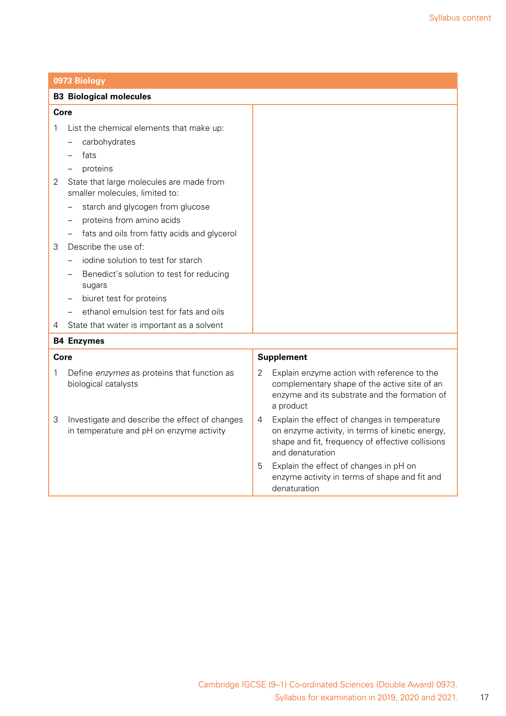|      | 0973 Biology                                                                               |                                                                                                                                                                              |
|------|--------------------------------------------------------------------------------------------|------------------------------------------------------------------------------------------------------------------------------------------------------------------------------|
|      | <b>B3 Biological molecules</b>                                                             |                                                                                                                                                                              |
| Core |                                                                                            |                                                                                                                                                                              |
| 1    | List the chemical elements that make up:                                                   |                                                                                                                                                                              |
|      | carbohydrates                                                                              |                                                                                                                                                                              |
|      | fats                                                                                       |                                                                                                                                                                              |
|      | proteins                                                                                   |                                                                                                                                                                              |
| 2    | State that large molecules are made from<br>smaller molecules, limited to:                 |                                                                                                                                                                              |
|      | starch and glycogen from glucose                                                           |                                                                                                                                                                              |
|      | proteins from amino acids                                                                  |                                                                                                                                                                              |
|      | fats and oils from fatty acids and glycerol                                                |                                                                                                                                                                              |
| 3    | Describe the use of:                                                                       |                                                                                                                                                                              |
|      | jodine solution to test for starch                                                         |                                                                                                                                                                              |
|      | Benedict's solution to test for reducing<br>sugars                                         |                                                                                                                                                                              |
|      | biuret test for proteins                                                                   |                                                                                                                                                                              |
|      | ethanol emulsion test for fats and oils                                                    |                                                                                                                                                                              |
| 4    | State that water is important as a solvent                                                 |                                                                                                                                                                              |
|      | <b>B4 Enzymes</b>                                                                          |                                                                                                                                                                              |
| Core |                                                                                            | <b>Supplement</b>                                                                                                                                                            |
| 1    | Define enzymes as proteins that function as<br>biological catalysts                        | $\overline{2}$<br>Explain enzyme action with reference to the<br>complementary shape of the active site of an<br>enzyme and its substrate and the formation of<br>a product  |
| 3    | Investigate and describe the effect of changes<br>in temperature and pH on enzyme activity | Explain the effect of changes in temperature<br>4<br>on enzyme activity, in terms of kinetic energy,<br>shape and fit, frequency of effective collisions<br>and denaturation |
|      |                                                                                            | Explain the effect of changes in pH on<br>5<br>enzyme activity in terms of shape and fit and<br>denaturation                                                                 |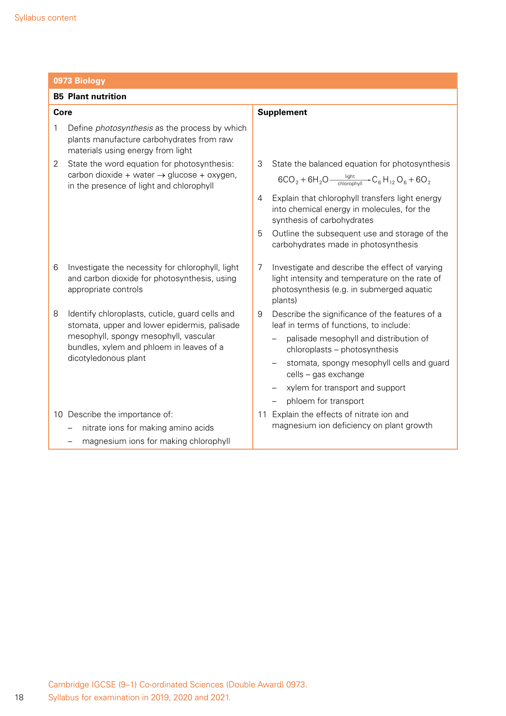|      | 0973 Biology                                                                                                                           |                            |                                                                                                                                               |  |  |  |
|------|----------------------------------------------------------------------------------------------------------------------------------------|----------------------------|-----------------------------------------------------------------------------------------------------------------------------------------------|--|--|--|
|      | <b>B5 Plant nutrition</b>                                                                                                              |                            |                                                                                                                                               |  |  |  |
| Core |                                                                                                                                        | <b>Supplement</b>          |                                                                                                                                               |  |  |  |
| 1    | Define <i>photosynthesis</i> as the process by which<br>plants manufacture carbohydrates from raw<br>materials using energy from light |                            |                                                                                                                                               |  |  |  |
| 2    | State the word equation for photosynthesis:                                                                                            |                            | State the balanced equation for photosynthesis                                                                                                |  |  |  |
|      | carbon dioxide + water $\rightarrow$ glucose + oxygen,<br>in the presence of light and chlorophyll                                     |                            | $6CO_2 + 6H_2O \frac{light}{chlorophv  }$ $\rightarrow$ $C_6H_{12}O_6 + 6O_2$                                                                 |  |  |  |
|      |                                                                                                                                        | synthesis of carbohydrates | Explain that chlorophyll transfers light energy<br>into chemical energy in molecules, for the                                                 |  |  |  |
|      |                                                                                                                                        |                            | Outline the subsequent use and storage of the<br>carbohydrates made in photosynthesis                                                         |  |  |  |
| 6    | Investigate the necessity for chlorophyll, light<br>and carbon dioxide for photosynthesis, using<br>appropriate controls               | plants)                    | Investigate and describe the effect of varying<br>light intensity and temperature on the rate of<br>photosynthesis (e.g. in submerged aquatic |  |  |  |
| 8    | Identify chloroplasts, cuticle, guard cells and<br>stomata, upper and lower epidermis, palisade                                        |                            | Describe the significance of the features of a<br>leaf in terms of functions, to include:                                                     |  |  |  |
|      | mesophyll, spongy mesophyll, vascular<br>bundles, xylem and phloem in leaves of a                                                      |                            | palisade mesophyll and distribution of<br>chloroplasts - photosynthesis                                                                       |  |  |  |
|      | dicotyledonous plant                                                                                                                   | cells - gas exchange       | stomata, spongy mesophyll cells and guard                                                                                                     |  |  |  |
|      |                                                                                                                                        |                            | xylem for transport and support                                                                                                               |  |  |  |
|      |                                                                                                                                        | phloem for transport       |                                                                                                                                               |  |  |  |
|      | 10 Describe the importance of:                                                                                                         |                            | 11 Explain the effects of nitrate ion and                                                                                                     |  |  |  |
|      | nitrate ions for making amino acids                                                                                                    |                            | magnesium ion deficiency on plant growth                                                                                                      |  |  |  |
|      | magnesium ions for making chlorophyll                                                                                                  |                            |                                                                                                                                               |  |  |  |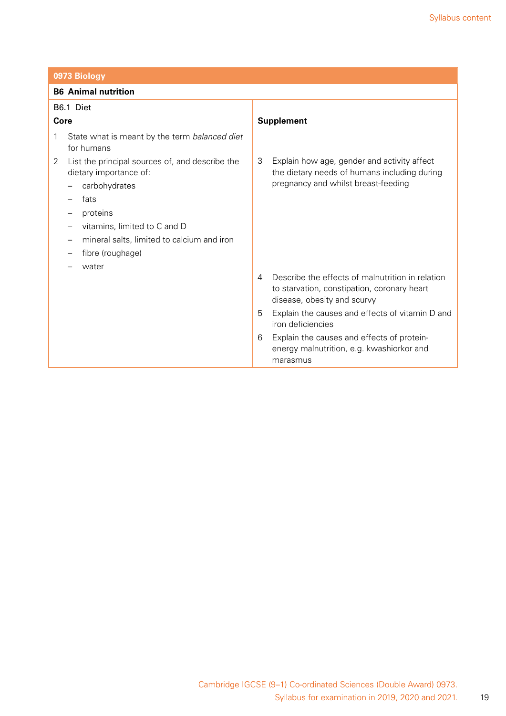|      | 0973 Biology                                                              |                |                                                                                                                                |  |
|------|---------------------------------------------------------------------------|----------------|--------------------------------------------------------------------------------------------------------------------------------|--|
|      | <b>B6</b> Animal nutrition                                                |                |                                                                                                                                |  |
|      | B6.1 Diet                                                                 |                |                                                                                                                                |  |
| Core |                                                                           |                | <b>Supplement</b>                                                                                                              |  |
| 1    | State what is meant by the term balanced diet<br>for humans               |                |                                                                                                                                |  |
| 2    | List the principal sources of, and describe the<br>dietary importance of: | 3              | Explain how age, gender and activity affect<br>the dietary needs of humans including during                                    |  |
|      | carbohydrates                                                             |                | pregnancy and whilst breast-feeding                                                                                            |  |
|      | fats                                                                      |                |                                                                                                                                |  |
|      | proteins                                                                  |                |                                                                                                                                |  |
|      | vitamins, limited to C and D                                              |                |                                                                                                                                |  |
|      | mineral salts, limited to calcium and iron                                |                |                                                                                                                                |  |
|      | fibre (roughage)                                                          |                |                                                                                                                                |  |
|      | water                                                                     |                |                                                                                                                                |  |
|      |                                                                           | $\overline{4}$ | Describe the effects of malnutrition in relation<br>to starvation, constipation, coronary heart<br>disease, obesity and scurvy |  |
|      |                                                                           | 5              | Explain the causes and effects of vitamin D and<br>iron deficiencies                                                           |  |
|      |                                                                           | 6              | Explain the causes and effects of protein-<br>energy malnutrition, e.g. kwashiorkor and<br>marasmus                            |  |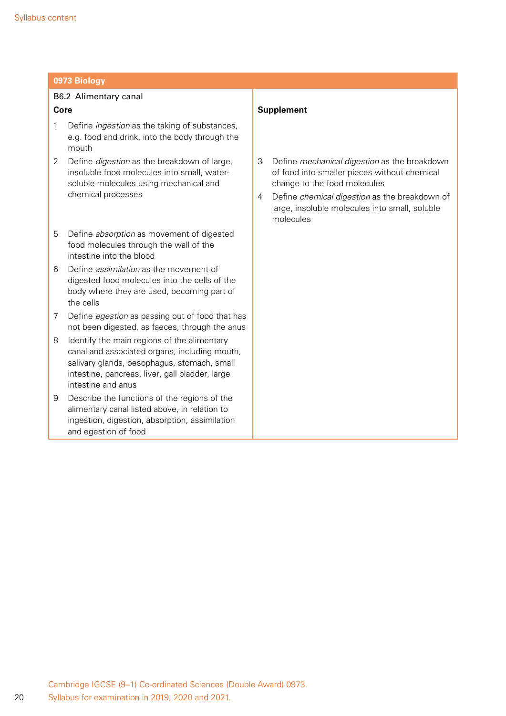### B6.2 Alimentary canal **Core**

- 1 Define *ingestion* as the taking of substances, e.g. food and drink, into the body through the mouth
- 2 Define *digestion* as the breakdown of large, insoluble food molecules into small, watersoluble molecules using mechanical and chemical processes
- 5 Define *absorption* as movement of digested food molecules through the wall of the intestine into the blood
- 6 Define *assimilation* as the movement of digested food molecules into the cells of the body where they are used, becoming part of the cells
- 7 Define *egestion* as passing out of food that has not been digested, as faeces, through the anus
- 8 Identify the main regions of the alimentary canal and associated organs, including mouth, salivary glands, oesophagus, stomach, small intestine, pancreas, liver, gall bladder, large intestine and anus
- 9 Describe the functions of the regions of the alimentary canal listed above, in relation to ingestion, digestion, absorption, assimilation and egestion of food

#### **Supplement**

- 3 Define *mechanical digestion* as the breakdown of food into smaller pieces without chemical change to the food molecules
- 4 Define *chemical digestion* as the breakdown of large, insoluble molecules into small, soluble molecules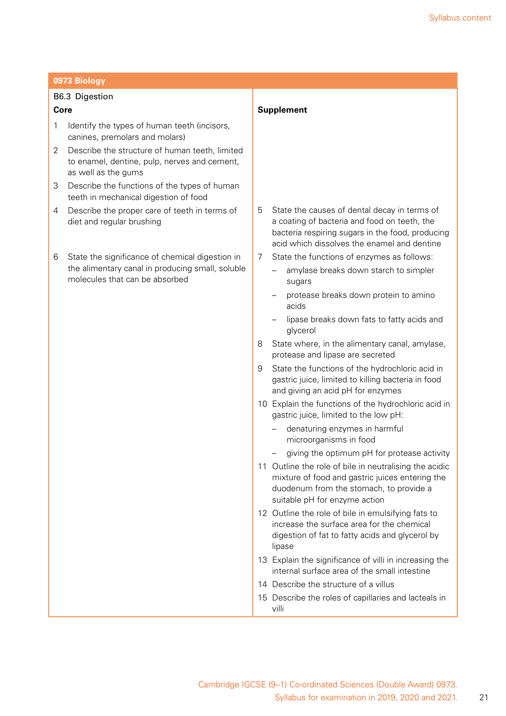| 0973 Biology |                                                                                                                                       |                   |                                                                                                                                                                                                 |  |  |
|--------------|---------------------------------------------------------------------------------------------------------------------------------------|-------------------|-------------------------------------------------------------------------------------------------------------------------------------------------------------------------------------------------|--|--|
|              | <b>B6.3 Digestion</b>                                                                                                                 |                   |                                                                                                                                                                                                 |  |  |
| Core         |                                                                                                                                       | <b>Supplement</b> |                                                                                                                                                                                                 |  |  |
| 1            | Identify the types of human teeth (incisors,<br>canines, premolars and molars)                                                        |                   |                                                                                                                                                                                                 |  |  |
| 2            | Describe the structure of human teeth, limited<br>to enamel, dentine, pulp, nerves and cement,<br>as well as the gums                 |                   |                                                                                                                                                                                                 |  |  |
| 3            | Describe the functions of the types of human<br>teeth in mechanical digestion of food                                                 |                   |                                                                                                                                                                                                 |  |  |
| 4            | Describe the proper care of teeth in terms of<br>diet and regular brushing                                                            | 5                 | State the causes of dental decay in terms of<br>a coating of bacteria and food on teeth, the<br>bacteria respiring sugars in the food, producing<br>acid which dissolves the enamel and dentine |  |  |
| 6            | State the significance of chemical digestion in<br>the alimentary canal in producing small, soluble<br>molecules that can be absorbed | 7                 | State the functions of enzymes as follows:<br>amylase breaks down starch to simpler<br>sugars                                                                                                   |  |  |
|              |                                                                                                                                       |                   | protease breaks down protein to amino<br>acids                                                                                                                                                  |  |  |
|              |                                                                                                                                       |                   | lipase breaks down fats to fatty acids and<br>glycerol                                                                                                                                          |  |  |
|              |                                                                                                                                       | 8                 | State where, in the alimentary canal, amylase,<br>protease and lipase are secreted                                                                                                              |  |  |
|              |                                                                                                                                       | 9                 | State the functions of the hydrochloric acid in<br>gastric juice, limited to killing bacteria in food<br>and giving an acid pH for enzymes                                                      |  |  |
|              |                                                                                                                                       |                   | 10 Explain the functions of the hydrochloric acid in<br>gastric juice, limited to the low pH:                                                                                                   |  |  |
|              |                                                                                                                                       |                   | denaturing enzymes in harmful<br>microorganisms in food                                                                                                                                         |  |  |
|              |                                                                                                                                       |                   | giving the optimum pH for protease activity                                                                                                                                                     |  |  |
|              |                                                                                                                                       |                   | 11 Outline the role of bile in neutralising the acidic<br>mixture of food and gastric juices entering the<br>duodenum from the stomach, to provide a<br>suitable pH for enzyme action           |  |  |
|              |                                                                                                                                       |                   | 12 Outline the role of bile in emulsifying fats to<br>increase the surface area for the chemical<br>digestion of fat to fatty acids and glycerol by<br>lipase                                   |  |  |
|              |                                                                                                                                       |                   | 13 Explain the significance of villi in increasing the<br>internal surface area of the small intestine                                                                                          |  |  |
|              |                                                                                                                                       |                   | 14 Describe the structure of a villus                                                                                                                                                           |  |  |
|              |                                                                                                                                       |                   | 15 Describe the roles of capillaries and lacteals in<br>villi                                                                                                                                   |  |  |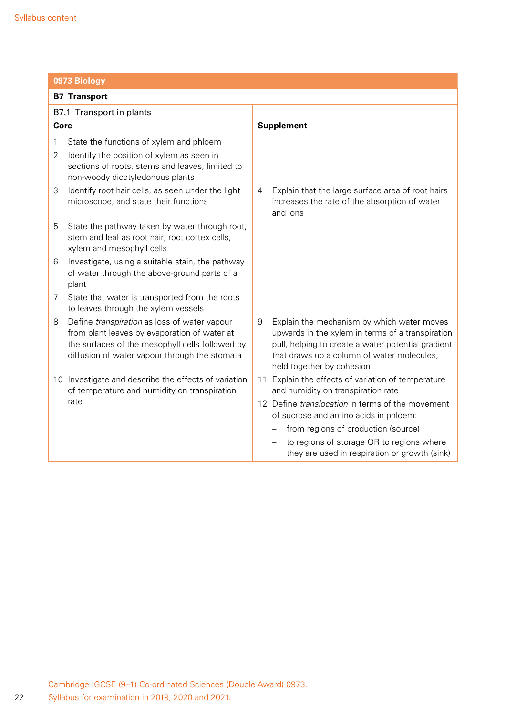| 0973 Biology                                                                                                                                                                                          |                                                                                                                                                                                                                                      |  |  |
|-------------------------------------------------------------------------------------------------------------------------------------------------------------------------------------------------------|--------------------------------------------------------------------------------------------------------------------------------------------------------------------------------------------------------------------------------------|--|--|
| <b>B7 Transport</b>                                                                                                                                                                                   |                                                                                                                                                                                                                                      |  |  |
| B7.1 Transport in plants                                                                                                                                                                              |                                                                                                                                                                                                                                      |  |  |
| Core                                                                                                                                                                                                  | <b>Supplement</b>                                                                                                                                                                                                                    |  |  |
| State the functions of xylem and phloem<br>1<br>Identify the position of xylem as seen in<br>2<br>sections of roots, stems and leaves, limited to<br>non-woody dicotyledonous plants                  |                                                                                                                                                                                                                                      |  |  |
| Identify root hair cells, as seen under the light<br>3<br>microscope, and state their functions                                                                                                       | Explain that the large surface area of root hairs<br>4<br>increases the rate of the absorption of water<br>and ions                                                                                                                  |  |  |
| 5<br>State the pathway taken by water through root,<br>stem and leaf as root hair, root cortex cells,<br>xylem and mesophyll cells                                                                    |                                                                                                                                                                                                                                      |  |  |
| Investigate, using a suitable stain, the pathway<br>6<br>of water through the above-ground parts of a<br>plant                                                                                        |                                                                                                                                                                                                                                      |  |  |
| State that water is transported from the roots<br>7<br>to leaves through the xylem vessels                                                                                                            |                                                                                                                                                                                                                                      |  |  |
| Define transpiration as loss of water vapour<br>8<br>from plant leaves by evaporation of water at<br>the surfaces of the mesophyll cells followed by<br>diffusion of water vapour through the stomata | Explain the mechanism by which water moves<br>9<br>upwards in the xylem in terms of a transpiration<br>pull, helping to create a water potential gradient<br>that draws up a column of water molecules,<br>held together by cohesion |  |  |
| 10 Investigate and describe the effects of variation<br>of temperature and humidity on transpiration                                                                                                  | 11 Explain the effects of variation of temperature<br>and humidity on transpiration rate                                                                                                                                             |  |  |
| rate                                                                                                                                                                                                  | 12 Define <i>translocation</i> in terms of the movement<br>of sucrose and amino acids in phloem:                                                                                                                                     |  |  |
|                                                                                                                                                                                                       | from regions of production (source)                                                                                                                                                                                                  |  |  |
|                                                                                                                                                                                                       | to regions of storage OR to regions where<br>they are used in respiration or growth (sink)                                                                                                                                           |  |  |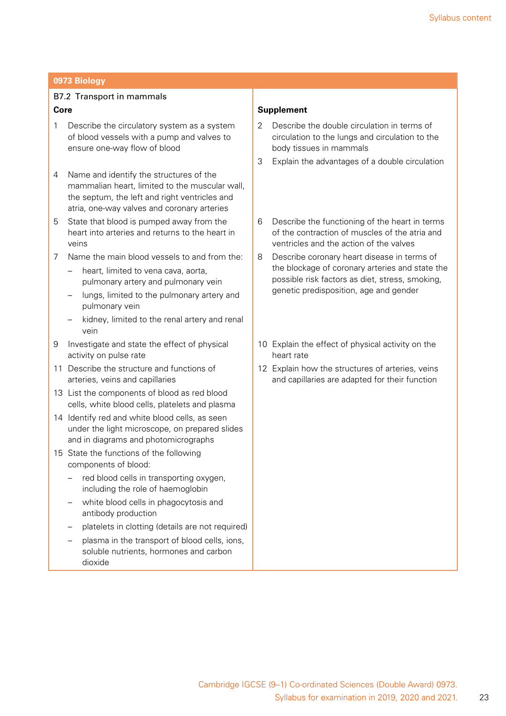### B7.2 Transport in mammals **Core**

- 1 Describe the circulatory system as a system of blood vessels with a pump and valves to ensure one-way flow of blood
- 4 Name and identify the structures of the mammalian heart, limited to the muscular wall, the septum, the left and right ventricles and atria, one-way valves and coronary arteries
- 5 State that blood is pumped away from the heart into arteries and returns to the heart in veins
- 7 Name the main blood vessels to and from the:
	- heart, limited to vena cava, aorta, pulmonary artery and pulmonary vein
	- lungs, limited to the pulmonary artery and pulmonary vein
	- kidney, limited to the renal artery and renal vein
- 9 Investigate and state the effect of physical activity on pulse rate
- 11 Describe the structure and functions of arteries, veins and capillaries
- 13 List the components of blood as red blood cells, white blood cells, platelets and plasma
- 14 Identify red and white blood cells, as seen under the light microscope, on prepared slides and in diagrams and photomicrographs
- 15 State the functions of the following components of blood:
	- red blood cells in transporting oxygen, including the role of haemoglobin
	- white blood cells in phagocytosis and antibody production
	- platelets in clotting (details are not required)
	- plasma in the transport of blood cells, ions, soluble nutrients, hormones and carbon dioxide

#### **Supplement**

- 2 Describe the double circulation in terms of circulation to the lungs and circulation to the body tissues in mammals
- 3 Explain the advantages of a double circulation
- 6 Describe the functioning of the heart in terms of the contraction of muscles of the atria and ventricles and the action of the valves
- 8 Describe coronary heart disease in terms of the blockage of coronary arteries and state the possible risk factors as diet, stress, smoking, genetic predisposition, age and gender
- 10 Explain the effect of physical activity on the heart rate
- 12 Explain how the structures of arteries, veins and capillaries are adapted for their function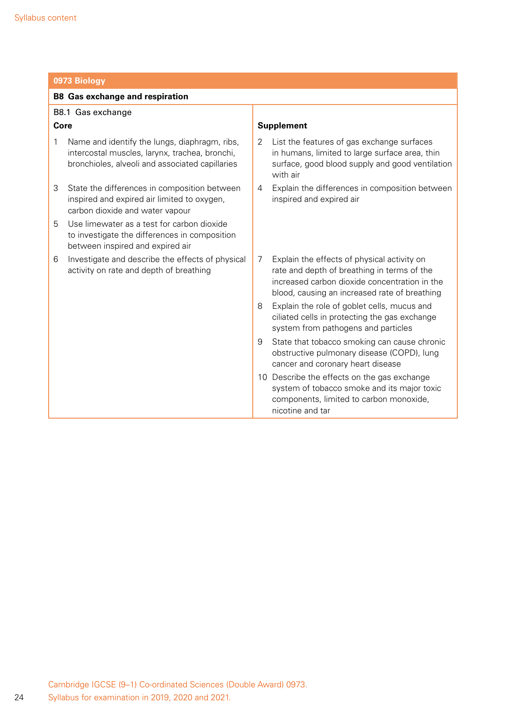|      | 0973 Biology                                                                                                                                       |   |                                                                                                                                                                                              |  |
|------|----------------------------------------------------------------------------------------------------------------------------------------------------|---|----------------------------------------------------------------------------------------------------------------------------------------------------------------------------------------------|--|
|      | <b>B8 Gas exchange and respiration</b>                                                                                                             |   |                                                                                                                                                                                              |  |
|      | B8.1 Gas exchange                                                                                                                                  |   |                                                                                                                                                                                              |  |
| Core |                                                                                                                                                    |   | <b>Supplement</b>                                                                                                                                                                            |  |
| 1    | Name and identify the lungs, diaphragm, ribs,<br>intercostal muscles, larynx, trachea, bronchi,<br>bronchioles, alveoli and associated capillaries | 2 | List the features of gas exchange surfaces<br>in humans, limited to large surface area, thin<br>surface, good blood supply and good ventilation<br>with air                                  |  |
| 3    | State the differences in composition between<br>inspired and expired air limited to oxygen,<br>carbon dioxide and water vapour                     | 4 | Explain the differences in composition between<br>inspired and expired air                                                                                                                   |  |
| 5    | Use limewater as a test for carbon dioxide<br>to investigate the differences in composition<br>between inspired and expired air                    |   |                                                                                                                                                                                              |  |
| 6    | Investigate and describe the effects of physical<br>activity on rate and depth of breathing                                                        | 7 | Explain the effects of physical activity on<br>rate and depth of breathing in terms of the<br>increased carbon dioxide concentration in the<br>blood, causing an increased rate of breathing |  |
|      |                                                                                                                                                    | 8 | Explain the role of goblet cells, mucus and<br>ciliated cells in protecting the gas exchange<br>system from pathogens and particles                                                          |  |
|      |                                                                                                                                                    | 9 | State that tobacco smoking can cause chronic<br>obstructive pulmonary disease (COPD), lung<br>cancer and coronary heart disease                                                              |  |
|      |                                                                                                                                                    |   | 10 Describe the effects on the gas exchange<br>system of tobacco smoke and its major toxic<br>components, limited to carbon monoxide,<br>nicotine and tar                                    |  |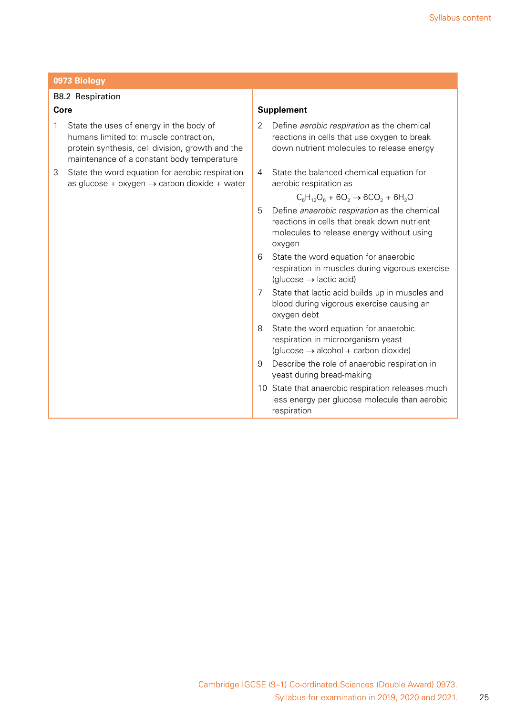#### B8.2 Respiration

#### **Core**

- 1 State the uses of energy in the body of humans limited to: muscle contraction, protein synthesis, cell division, growth and the maintenance of a constant body temperature
- 3 State the word equation for aerobic respiration as glucose + oxygen  $\rightarrow$  carbon dioxide + water

#### **Supplement**

- 2 Define *aerobic respiration* as the chemical reactions in cells that use oxygen to break down nutrient molecules to release energy
- 4 State the balanced chemical equation for aerobic respiration as

 $C_6H_{12}O_6 + 6O_2 \rightarrow 6CO_2 + 6H_2O$ 

- 5 Define *anaerobic respiration* as the chemical reactions in cells that break down nutrient molecules to release energy without using oxygen
- 6 State the word equation for anaerobic respiration in muscles during vigorous exercise  $(glucose \rightarrow lactic acid)$
- 7 State that lactic acid builds up in muscles and blood during vigorous exercise causing an oxygen debt
- 8 State the word equation for anaerobic respiration in microorganism yeast  $(glucose \rightarrow alcohol + carbon dioxide)$
- 9 Describe the role of anaerobic respiration in yeast during bread-making
- 10 State that anaerobic respiration releases much less energy per glucose molecule than aerobic respiration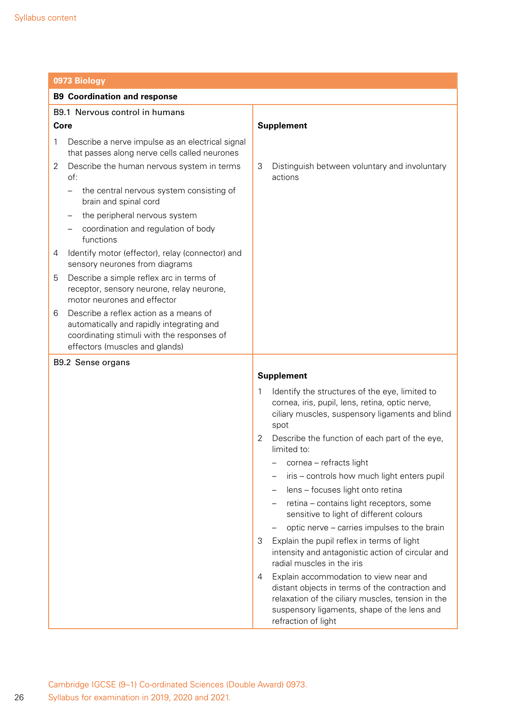|      | 0973 Biology                                                                                                                                                        |                   |                                                                                                                                                                                                                      |  |
|------|---------------------------------------------------------------------------------------------------------------------------------------------------------------------|-------------------|----------------------------------------------------------------------------------------------------------------------------------------------------------------------------------------------------------------------|--|
|      | <b>B9 Coordination and response</b>                                                                                                                                 |                   |                                                                                                                                                                                                                      |  |
|      | B9.1 Nervous control in humans                                                                                                                                      |                   |                                                                                                                                                                                                                      |  |
| Core |                                                                                                                                                                     | <b>Supplement</b> |                                                                                                                                                                                                                      |  |
| 1    | Describe a nerve impulse as an electrical signal<br>that passes along nerve cells called neurones                                                                   |                   |                                                                                                                                                                                                                      |  |
| 2    | Describe the human nervous system in terms<br>of:                                                                                                                   | 3                 | Distinguish between voluntary and involuntary<br>actions                                                                                                                                                             |  |
|      | the central nervous system consisting of<br>brain and spinal cord                                                                                                   |                   |                                                                                                                                                                                                                      |  |
|      | the peripheral nervous system                                                                                                                                       |                   |                                                                                                                                                                                                                      |  |
|      | coordination and regulation of body<br>functions                                                                                                                    |                   |                                                                                                                                                                                                                      |  |
| 4    | Identify motor (effector), relay (connector) and<br>sensory neurones from diagrams                                                                                  |                   |                                                                                                                                                                                                                      |  |
| 5    | Describe a simple reflex arc in terms of<br>receptor, sensory neurone, relay neurone,<br>motor neurones and effector                                                |                   |                                                                                                                                                                                                                      |  |
| 6    | Describe a reflex action as a means of<br>automatically and rapidly integrating and<br>coordinating stimuli with the responses of<br>effectors (muscles and glands) |                   |                                                                                                                                                                                                                      |  |
|      | B9.2 Sense organs                                                                                                                                                   |                   |                                                                                                                                                                                                                      |  |
|      |                                                                                                                                                                     |                   | <b>Supplement</b>                                                                                                                                                                                                    |  |
|      |                                                                                                                                                                     | 1                 | Identify the structures of the eye, limited to<br>cornea, iris, pupil, lens, retina, optic nerve,<br>ciliary muscles, suspensory ligaments and blind<br>spot                                                         |  |
|      |                                                                                                                                                                     | 2                 | Describe the function of each part of the eye,<br>limited to:                                                                                                                                                        |  |
|      |                                                                                                                                                                     |                   | cornea - refracts light                                                                                                                                                                                              |  |
|      |                                                                                                                                                                     |                   | iris - controls how much light enters pupil                                                                                                                                                                          |  |
|      |                                                                                                                                                                     |                   | lens - focuses light onto retina                                                                                                                                                                                     |  |
|      |                                                                                                                                                                     |                   | retina - contains light receptors, some<br>sensitive to light of different colours                                                                                                                                   |  |
|      |                                                                                                                                                                     |                   | optic nerve – carries impulses to the brain                                                                                                                                                                          |  |
|      |                                                                                                                                                                     | 3                 | Explain the pupil reflex in terms of light<br>intensity and antagonistic action of circular and<br>radial muscles in the iris                                                                                        |  |
|      |                                                                                                                                                                     | 4                 | Explain accommodation to view near and<br>distant objects in terms of the contraction and<br>relaxation of the ciliary muscles, tension in the<br>suspensory ligaments, shape of the lens and<br>refraction of light |  |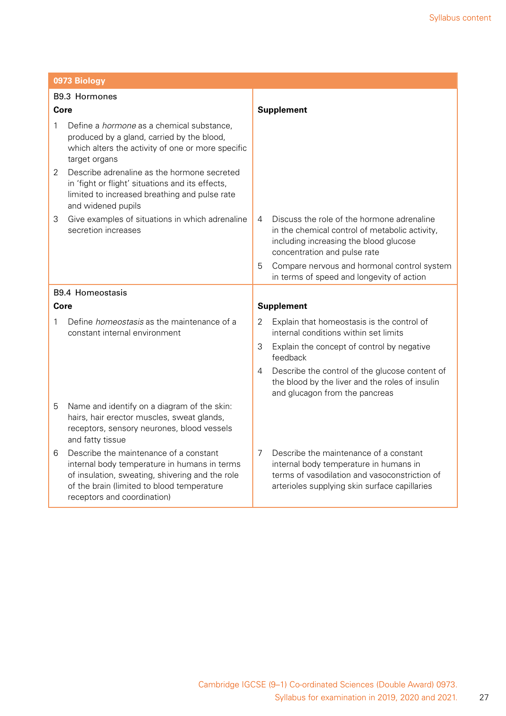|               | 0973 Biology                                                                                                                                                                                                           |                   |                                                                                                                                                                                    |  |
|---------------|------------------------------------------------------------------------------------------------------------------------------------------------------------------------------------------------------------------------|-------------------|------------------------------------------------------------------------------------------------------------------------------------------------------------------------------------|--|
| B9.3 Hormones |                                                                                                                                                                                                                        |                   |                                                                                                                                                                                    |  |
| Core          |                                                                                                                                                                                                                        | <b>Supplement</b> |                                                                                                                                                                                    |  |
| 1             | Define a <i>hormone</i> as a chemical substance,<br>produced by a gland, carried by the blood,<br>which alters the activity of one or more specific<br>target organs                                                   |                   |                                                                                                                                                                                    |  |
| 2             | Describe adrenaline as the hormone secreted<br>in 'fight or flight' situations and its effects,<br>limited to increased breathing and pulse rate<br>and widened pupils                                                 |                   |                                                                                                                                                                                    |  |
| 3             | Give examples of situations in which adrenaline<br>secretion increases                                                                                                                                                 | 4                 | Discuss the role of the hormone adrenaline<br>in the chemical control of metabolic activity,<br>including increasing the blood glucose<br>concentration and pulse rate             |  |
|               |                                                                                                                                                                                                                        | 5                 | Compare nervous and hormonal control system<br>in terms of speed and longevity of action                                                                                           |  |
|               | <b>B9.4 Homeostasis</b>                                                                                                                                                                                                |                   |                                                                                                                                                                                    |  |
| Core          |                                                                                                                                                                                                                        |                   | <b>Supplement</b>                                                                                                                                                                  |  |
| 1             | Define <i>homeostasis</i> as the maintenance of a<br>constant internal environment                                                                                                                                     | 2                 | Explain that homeostasis is the control of<br>internal conditions within set limits                                                                                                |  |
|               |                                                                                                                                                                                                                        | 3                 | Explain the concept of control by negative<br>feedback                                                                                                                             |  |
|               |                                                                                                                                                                                                                        | 4                 | Describe the control of the glucose content of<br>the blood by the liver and the roles of insulin<br>and glucagon from the pancreas                                                |  |
| 5             | Name and identify on a diagram of the skin:<br>hairs, hair erector muscles, sweat glands,<br>receptors, sensory neurones, blood vessels<br>and fatty tissue                                                            |                   |                                                                                                                                                                                    |  |
| 6             | Describe the maintenance of a constant<br>internal body temperature in humans in terms<br>of insulation, sweating, shivering and the role<br>of the brain (limited to blood temperature<br>receptors and coordination) | 7                 | Describe the maintenance of a constant<br>internal body temperature in humans in<br>terms of vasodilation and vasoconstriction of<br>arterioles supplying skin surface capillaries |  |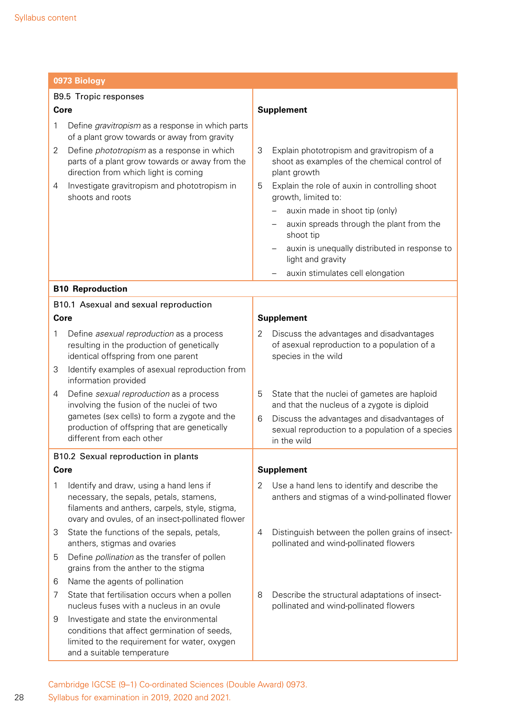| 0973 Biology |                                                                                                                                                                                          |   |                                                                                                                 |  |  |
|--------------|------------------------------------------------------------------------------------------------------------------------------------------------------------------------------------------|---|-----------------------------------------------------------------------------------------------------------------|--|--|
|              | <b>B9.5 Tropic responses</b>                                                                                                                                                             |   |                                                                                                                 |  |  |
| Core         |                                                                                                                                                                                          |   | <b>Supplement</b>                                                                                               |  |  |
| 1            | Define gravitropism as a response in which parts<br>of a plant grow towards or away from gravity                                                                                         |   |                                                                                                                 |  |  |
| 2            | Define <i>phototropism</i> as a response in which<br>parts of a plant grow towards or away from the<br>direction from which light is coming                                              | 3 | Explain phototropism and gravitropism of a<br>shoot as examples of the chemical control of<br>plant growth      |  |  |
| 4            | Investigate gravitropism and phototropism in<br>shoots and roots                                                                                                                         | 5 | Explain the role of auxin in controlling shoot<br>growth, limited to:                                           |  |  |
|              |                                                                                                                                                                                          |   | auxin made in shoot tip (only)                                                                                  |  |  |
|              |                                                                                                                                                                                          |   | auxin spreads through the plant from the<br>shoot tip                                                           |  |  |
|              |                                                                                                                                                                                          |   | auxin is unequally distributed in response to<br>light and gravity                                              |  |  |
|              |                                                                                                                                                                                          |   | auxin stimulates cell elongation                                                                                |  |  |
|              | <b>B10 Reproduction</b>                                                                                                                                                                  |   |                                                                                                                 |  |  |
|              | B10.1 Asexual and sexual reproduction                                                                                                                                                    |   |                                                                                                                 |  |  |
| Core         |                                                                                                                                                                                          |   | <b>Supplement</b>                                                                                               |  |  |
| 1            | Define asexual reproduction as a process<br>resulting in the production of genetically<br>identical offspring from one parent                                                            | 2 | Discuss the advantages and disadvantages<br>of asexual reproduction to a population of a<br>species in the wild |  |  |
| 3            | Identify examples of asexual reproduction from<br>information provided                                                                                                                   |   |                                                                                                                 |  |  |
| 4            | Define sexual reproduction as a process<br>involving the fusion of the nuclei of two<br>gametes (sex cells) to form a zygote and the                                                     | 5 | State that the nuclei of gametes are haploid<br>and that the nucleus of a zygote is diploid                     |  |  |
|              | production of offspring that are genetically<br>different from each other                                                                                                                | 6 | Discuss the advantages and disadvantages of<br>sexual reproduction to a population of a species<br>in the wild  |  |  |
|              | B10.2 Sexual reproduction in plants                                                                                                                                                      |   |                                                                                                                 |  |  |
| Core         |                                                                                                                                                                                          |   | <b>Supplement</b>                                                                                               |  |  |
| 1            | Identify and draw, using a hand lens if<br>necessary, the sepals, petals, stamens,<br>filaments and anthers, carpels, style, stigma,<br>ovary and ovules, of an insect-pollinated flower | 2 | Use a hand lens to identify and describe the<br>anthers and stigmas of a wind-pollinated flower                 |  |  |
| 3            | State the functions of the sepals, petals,<br>anthers, stigmas and ovaries                                                                                                               | 4 | Distinguish between the pollen grains of insect-<br>pollinated and wind-pollinated flowers                      |  |  |
| 5            | Define <i>pollination</i> as the transfer of pollen<br>grains from the anther to the stigma                                                                                              |   |                                                                                                                 |  |  |
| 6            | Name the agents of pollination                                                                                                                                                           |   |                                                                                                                 |  |  |
| 7            | State that fertilisation occurs when a pollen<br>nucleus fuses with a nucleus in an ovule                                                                                                | 8 | Describe the structural adaptations of insect-<br>pollinated and wind-pollinated flowers                        |  |  |
| 9            | Investigate and state the environmental<br>conditions that affect germination of seeds,<br>limited to the requirement for water, oxygen<br>and a suitable temperature                    |   |                                                                                                                 |  |  |

Cambridge IGCSE (9–1) Co-ordinated Sciences (Double Award) 0973. Syllabus for examination in 2019, 2020 and 2021.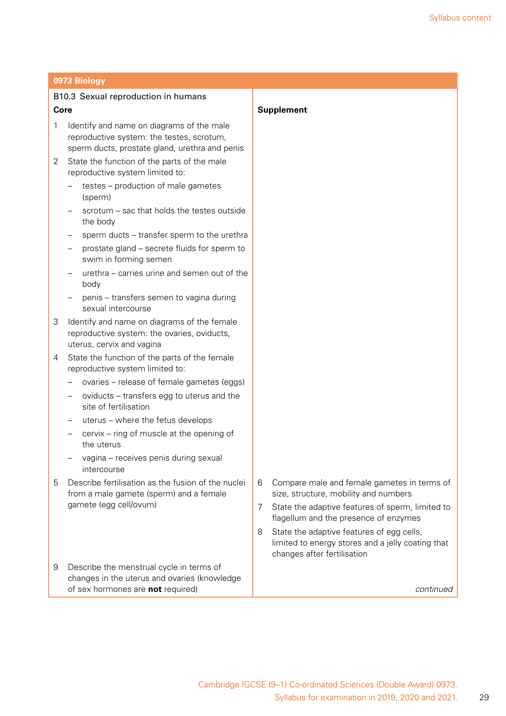|                | B10.3 Sexual reproduction in humans                                                                                                      |                                                                                                                                    |
|----------------|------------------------------------------------------------------------------------------------------------------------------------------|------------------------------------------------------------------------------------------------------------------------------------|
|                | Core                                                                                                                                     | <b>Supplement</b>                                                                                                                  |
| 1              | Identify and name on diagrams of the male<br>reproductive system: the testes, scrotum,<br>sperm ducts, prostate gland, urethra and penis |                                                                                                                                    |
| 2              | State the function of the parts of the male<br>reproductive system limited to:                                                           |                                                                                                                                    |
|                | testes - production of male gametes<br>(sperm)                                                                                           |                                                                                                                                    |
|                | scrotum – sac that holds the testes outside<br>the body                                                                                  |                                                                                                                                    |
|                | sperm ducts - transfer sperm to the urethra                                                                                              |                                                                                                                                    |
|                | prostate gland – secrete fluids for sperm to<br>swim in forming semen                                                                    |                                                                                                                                    |
|                | urethra – carries urine and semen out of the<br>body                                                                                     |                                                                                                                                    |
|                | penis – transfers semen to vagina during<br>sexual intercourse                                                                           |                                                                                                                                    |
| 3              | Identify and name on diagrams of the female<br>reproductive system: the ovaries, oviducts,<br>uterus, cervix and vagina                  |                                                                                                                                    |
| $\overline{4}$ | State the function of the parts of the female<br>reproductive system limited to:                                                         |                                                                                                                                    |
|                | ovaries - release of female gametes (eggs)                                                                                               |                                                                                                                                    |
|                | oviducts - transfers egg to uterus and the<br>site of fertilisation                                                                      |                                                                                                                                    |
|                | uterus - where the fetus develops                                                                                                        |                                                                                                                                    |
|                | cervix - ring of muscle at the opening of<br>the uterus                                                                                  |                                                                                                                                    |
|                | vagina - receives penis during sexual<br>intercourse                                                                                     |                                                                                                                                    |
| 5              | Describe fertilisation as the fusion of the nuclei<br>from a male gamete (sperm) and a female                                            | 6<br>Compare male and female gametes in terms of<br>size, structure, mobility and numbers                                          |
|                | gamete (egg cell/ovum)                                                                                                                   | State the adaptive features of sperm, limited to<br>7<br>flagellum and the presence of enzymes                                     |
|                |                                                                                                                                          | State the adaptive features of egg cells,<br>8<br>limited to energy stores and a jelly coating that<br>changes after fertilisation |
| 9              | Describe the menstrual cycle in terms of<br>changes in the uterus and ovaries (knowledge<br>of sex hormones are not required)            | continued                                                                                                                          |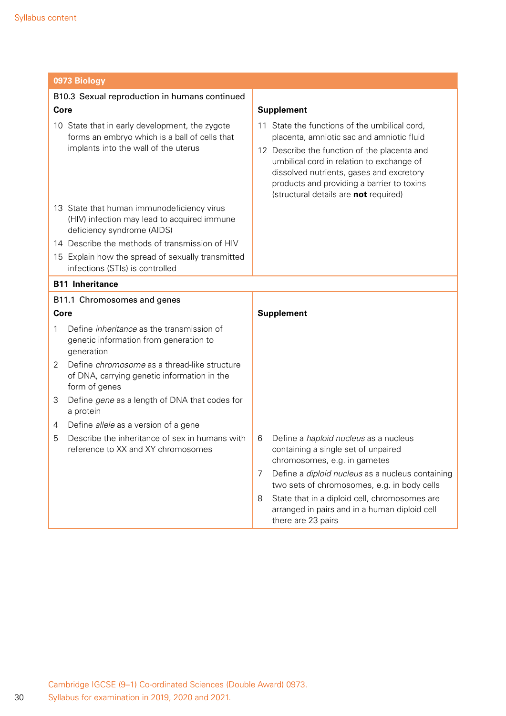| 0973 Biology                                                                                                             |                                                                                                                                                                                                                              |  |  |
|--------------------------------------------------------------------------------------------------------------------------|------------------------------------------------------------------------------------------------------------------------------------------------------------------------------------------------------------------------------|--|--|
| B10.3 Sexual reproduction in humans continued                                                                            |                                                                                                                                                                                                                              |  |  |
| Core                                                                                                                     | <b>Supplement</b>                                                                                                                                                                                                            |  |  |
| 10 State that in early development, the zygote<br>forms an embryo which is a ball of cells that                          | 11 State the functions of the umbilical cord,<br>placenta, amniotic sac and amniotic fluid                                                                                                                                   |  |  |
| implants into the wall of the uterus                                                                                     | 12 Describe the function of the placenta and<br>umbilical cord in relation to exchange of<br>dissolved nutrients, gases and excretory<br>products and providing a barrier to toxins<br>(structural details are not required) |  |  |
| 13 State that human immunodeficiency virus<br>(HIV) infection may lead to acquired immune<br>deficiency syndrome (AIDS)  |                                                                                                                                                                                                                              |  |  |
| 14 Describe the methods of transmission of HIV                                                                           |                                                                                                                                                                                                                              |  |  |
| 15 Explain how the spread of sexually transmitted<br>infections (STIs) is controlled                                     |                                                                                                                                                                                                                              |  |  |
| <b>B11 Inheritance</b>                                                                                                   |                                                                                                                                                                                                                              |  |  |
| B11.1 Chromosomes and genes                                                                                              |                                                                                                                                                                                                                              |  |  |
| Core                                                                                                                     | <b>Supplement</b>                                                                                                                                                                                                            |  |  |
| Define <i>inheritance</i> as the transmission of<br>1<br>genetic information from generation to<br>generation            |                                                                                                                                                                                                                              |  |  |
| Define <i>chromosome</i> as a thread-like structure<br>2<br>of DNA, carrying genetic information in the<br>form of genes |                                                                                                                                                                                                                              |  |  |
| Define gene as a length of DNA that codes for<br>3<br>a protein                                                          |                                                                                                                                                                                                                              |  |  |
| Define allele as a version of a gene<br>4                                                                                |                                                                                                                                                                                                                              |  |  |
| Describe the inheritance of sex in humans with<br>5<br>reference to XX and XY chromosomes                                | Define a <i>haploid nucleus</i> as a nucleus<br>6<br>containing a single set of unpaired<br>chromosomes, e.g. in gametes                                                                                                     |  |  |
|                                                                                                                          | Define a diploid nucleus as a nucleus containing<br>7<br>two sets of chromosomes, e.g. in body cells                                                                                                                         |  |  |
|                                                                                                                          | State that in a diploid cell, chromosomes are<br>8<br>arranged in pairs and in a human diploid cell<br>there are 23 pairs                                                                                                    |  |  |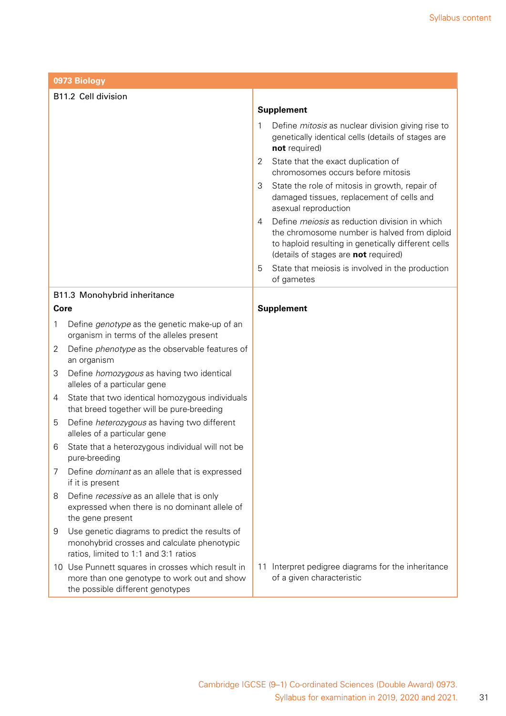|                              | 0973 Biology                                                                                                                           |   |                                                                                                                                                                                                     |  |
|------------------------------|----------------------------------------------------------------------------------------------------------------------------------------|---|-----------------------------------------------------------------------------------------------------------------------------------------------------------------------------------------------------|--|
| B11.2 Cell division          |                                                                                                                                        |   |                                                                                                                                                                                                     |  |
|                              |                                                                                                                                        |   | <b>Supplement</b>                                                                                                                                                                                   |  |
|                              |                                                                                                                                        | 1 | Define <i>mitosis</i> as nuclear division giving rise to<br>genetically identical cells (details of stages are<br>not required)                                                                     |  |
|                              |                                                                                                                                        | 2 | State that the exact duplication of<br>chromosomes occurs before mitosis                                                                                                                            |  |
|                              |                                                                                                                                        | 3 | State the role of mitosis in growth, repair of<br>damaged tissues, replacement of cells and<br>asexual reproduction                                                                                 |  |
|                              |                                                                                                                                        | 4 | Define <i>meiosis</i> as reduction division in which<br>the chromosome number is halved from diploid<br>to haploid resulting in genetically different cells<br>(details of stages are not required) |  |
|                              |                                                                                                                                        | 5 | State that meiosis is involved in the production<br>of gametes                                                                                                                                      |  |
| B11.3 Monohybrid inheritance |                                                                                                                                        |   |                                                                                                                                                                                                     |  |
| <b>Core</b>                  |                                                                                                                                        |   | <b>Supplement</b>                                                                                                                                                                                   |  |
| 1                            | Define genotype as the genetic make-up of an<br>organism in terms of the alleles present                                               |   |                                                                                                                                                                                                     |  |
| 2                            | Define <i>phenotype</i> as the observable features of<br>an organism                                                                   |   |                                                                                                                                                                                                     |  |
| 3                            | Define homozygous as having two identical<br>alleles of a particular gene                                                              |   |                                                                                                                                                                                                     |  |
| 4                            | State that two identical homozygous individuals<br>that breed together will be pure-breeding                                           |   |                                                                                                                                                                                                     |  |
| 5                            | Define heterozygous as having two different<br>alleles of a particular gene                                                            |   |                                                                                                                                                                                                     |  |
| 6                            | State that a heterozygous individual will not be<br>pure-breeding                                                                      |   |                                                                                                                                                                                                     |  |
| 7                            | Define dominant as an allele that is expressed<br>if it is present                                                                     |   |                                                                                                                                                                                                     |  |
| 8                            | Define recessive as an allele that is only<br>expressed when there is no dominant allele of<br>the gene present                        |   |                                                                                                                                                                                                     |  |
| 9                            | Use genetic diagrams to predict the results of<br>monohybrid crosses and calculate phenotypic<br>ratios, limited to 1:1 and 3:1 ratios |   |                                                                                                                                                                                                     |  |
|                              | 10 Use Punnett squares in crosses which result in<br>more than one genotype to work out and show<br>the possible different genotypes   |   | 11 Interpret pedigree diagrams for the inheritance<br>of a given characteristic                                                                                                                     |  |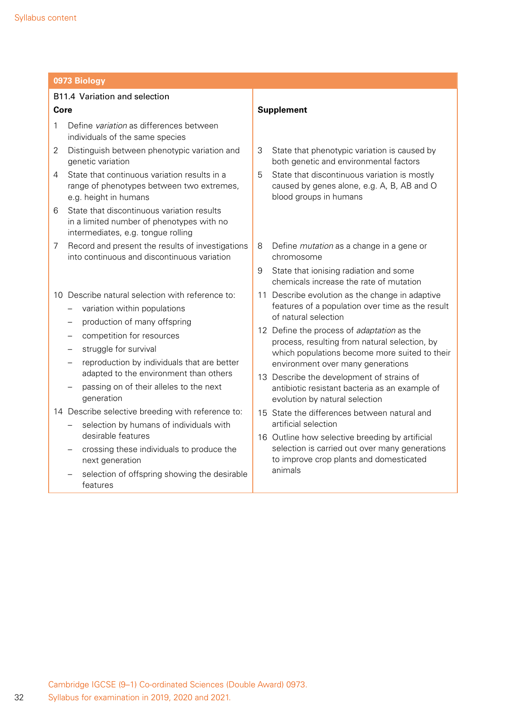|      | 0973 Biology                                                                                                                  |                                                                                                                           |  |  |
|------|-------------------------------------------------------------------------------------------------------------------------------|---------------------------------------------------------------------------------------------------------------------------|--|--|
|      | B11.4 Variation and selection                                                                                                 |                                                                                                                           |  |  |
| Core |                                                                                                                               | <b>Supplement</b>                                                                                                         |  |  |
| 1    | Define variation as differences between<br>individuals of the same species                                                    |                                                                                                                           |  |  |
| 2    | Distinguish between phenotypic variation and<br>genetic variation                                                             | State that phenotypic variation is caused by<br>3<br>both genetic and environmental factors                               |  |  |
| 4    | State that continuous variation results in a<br>range of phenotypes between two extremes,<br>e.g. height in humans            | 5<br>State that discontinuous variation is mostly<br>caused by genes alone, e.g. A, B, AB and O<br>blood groups in humans |  |  |
| 6    | State that discontinuous variation results<br>in a limited number of phenotypes with no<br>intermediates, e.g. tongue rolling |                                                                                                                           |  |  |
| 7    | Record and present the results of investigations<br>into continuous and discontinuous variation                               | 8<br>Define <i>mutation</i> as a change in a gene or<br>chromosome                                                        |  |  |
|      |                                                                                                                               | State that ionising radiation and some<br>9<br>chemicals increase the rate of mutation                                    |  |  |
|      | 10 Describe natural selection with reference to:                                                                              | 11 Describe evolution as the change in adaptive                                                                           |  |  |
|      | variation within populations                                                                                                  | features of a population over time as the result<br>of natural selection                                                  |  |  |
|      | production of many offspring<br>-                                                                                             | 12 Define the process of adaptation as the                                                                                |  |  |
|      | competition for resources                                                                                                     | process, resulting from natural selection, by                                                                             |  |  |
|      | struggle for survival<br>reproduction by individuals that are better                                                          | which populations become more suited to their                                                                             |  |  |
|      | adapted to the environment than others                                                                                        | environment over many generations<br>13 Describe the development of strains of                                            |  |  |
|      | passing on of their alleles to the next<br>generation                                                                         | antibiotic resistant bacteria as an example of<br>evolution by natural selection                                          |  |  |
|      | 14 Describe selective breeding with reference to:                                                                             | 15 State the differences between natural and                                                                              |  |  |
|      | selection by humans of individuals with<br>desirable features                                                                 | artificial selection<br>16 Outline how selective breeding by artificial                                                   |  |  |
|      | crossing these individuals to produce the<br>next generation                                                                  | selection is carried out over many generations<br>to improve crop plants and domesticated                                 |  |  |
|      | selection of offspring showing the desirable<br>features                                                                      | animals                                                                                                                   |  |  |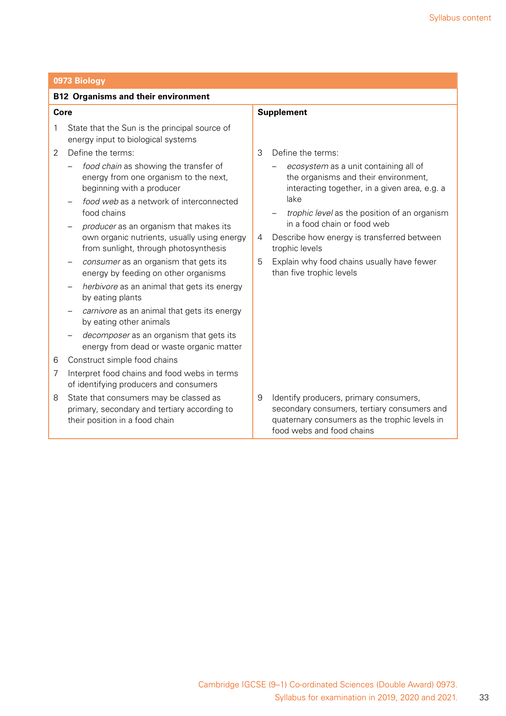|      | 0973 Biology                                                                                                                                                          |                                                                                                                                                                                        |  |  |
|------|-----------------------------------------------------------------------------------------------------------------------------------------------------------------------|----------------------------------------------------------------------------------------------------------------------------------------------------------------------------------------|--|--|
|      | <b>B12 Organisms and their environment</b>                                                                                                                            |                                                                                                                                                                                        |  |  |
| Core |                                                                                                                                                                       | <b>Supplement</b>                                                                                                                                                                      |  |  |
| 1    | State that the Sun is the principal source of<br>energy input to biological systems                                                                                   |                                                                                                                                                                                        |  |  |
| 2    | Define the terms:                                                                                                                                                     | 3<br>Define the terms:                                                                                                                                                                 |  |  |
|      | food chain as showing the transfer of<br>energy from one organism to the next,<br>beginning with a producer<br>food web as a network of interconnected<br>food chains | ecosystem as a unit containing all of<br>the organisms and their environment,<br>interacting together, in a given area, e.g. a<br>lake<br>trophic level as the position of an organism |  |  |
|      | producer as an organism that makes its                                                                                                                                | in a food chain or food web                                                                                                                                                            |  |  |
|      | own organic nutrients, usually using energy<br>from sunlight, through photosynthesis                                                                                  | Describe how energy is transferred between<br>4<br>trophic levels                                                                                                                      |  |  |
|      | consumer as an organism that gets its<br>energy by feeding on other organisms                                                                                         | 5<br>Explain why food chains usually have fewer<br>than five trophic levels                                                                                                            |  |  |
|      | herbivore as an animal that gets its energy<br>by eating plants                                                                                                       |                                                                                                                                                                                        |  |  |
|      | carnivore as an animal that gets its energy<br>by eating other animals                                                                                                |                                                                                                                                                                                        |  |  |
|      | decomposer as an organism that gets its<br>energy from dead or waste organic matter                                                                                   |                                                                                                                                                                                        |  |  |
| 6    | Construct simple food chains                                                                                                                                          |                                                                                                                                                                                        |  |  |
| 7    | Interpret food chains and food webs in terms<br>of identifying producers and consumers                                                                                |                                                                                                                                                                                        |  |  |
| 8    | State that consumers may be classed as<br>primary, secondary and tertiary according to<br>their position in a food chain                                              | 9<br>Identify producers, primary consumers,<br>secondary consumers, tertiary consumers and<br>quaternary consumers as the trophic levels in<br>food webs and food chains               |  |  |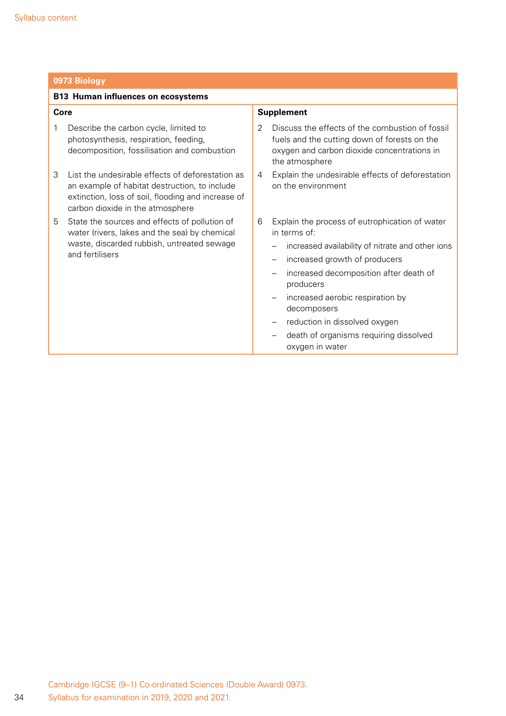| 0973 Biology                                                                                                                                                                                     |                                                                                                                                                                                                                                                                                                                                                                                              |  |  |
|--------------------------------------------------------------------------------------------------------------------------------------------------------------------------------------------------|----------------------------------------------------------------------------------------------------------------------------------------------------------------------------------------------------------------------------------------------------------------------------------------------------------------------------------------------------------------------------------------------|--|--|
| <b>B13 Human influences on ecosystems</b>                                                                                                                                                        |                                                                                                                                                                                                                                                                                                                                                                                              |  |  |
| Core                                                                                                                                                                                             | <b>Supplement</b>                                                                                                                                                                                                                                                                                                                                                                            |  |  |
| Describe the carbon cycle, limited to<br>1<br>photosynthesis, respiration, feeding,<br>decomposition, fossilisation and combustion                                                               | Discuss the effects of the combustion of fossil<br>2<br>fuels and the cutting down of forests on the<br>oxygen and carbon dioxide concentrations in<br>the atmosphere                                                                                                                                                                                                                        |  |  |
| List the undesirable effects of deforestation as<br>3<br>an example of habitat destruction, to include<br>extinction, loss of soil, flooding and increase of<br>carbon dioxide in the atmosphere | Explain the undesirable effects of deforestation<br>4<br>on the environment                                                                                                                                                                                                                                                                                                                  |  |  |
| State the sources and effects of pollution of<br>5<br>water (rivers, lakes and the sea) by chemical<br>waste, discarded rubbish, untreated sewage<br>and fertilisers                             | Explain the process of eutrophication of water<br>6<br>in terms of:<br>increased availability of nitrate and other ions<br>increased growth of producers<br>$\overline{\phantom{m}}$<br>increased decomposition after death of<br>producers<br>increased aerobic respiration by<br>decomposers<br>reduction in dissolved oxygen<br>death of organisms requiring dissolved<br>oxygen in water |  |  |

34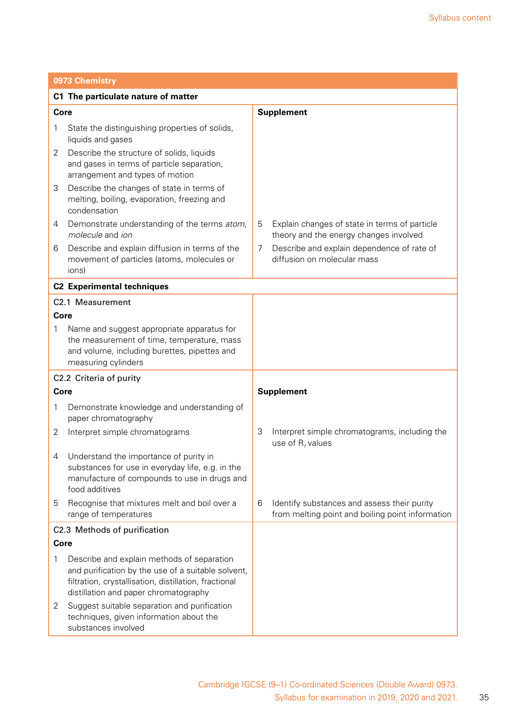|             | 0973 Chemistry                                                                                                                                                                                     |                   |                                                                                                 |  |  |
|-------------|----------------------------------------------------------------------------------------------------------------------------------------------------------------------------------------------------|-------------------|-------------------------------------------------------------------------------------------------|--|--|
|             | C1 The particulate nature of matter                                                                                                                                                                |                   |                                                                                                 |  |  |
| Core        |                                                                                                                                                                                                    | <b>Supplement</b> |                                                                                                 |  |  |
| 1           | State the distinguishing properties of solids,<br>liquids and gases                                                                                                                                |                   |                                                                                                 |  |  |
| 2           | Describe the structure of solids, liquids<br>and gases in terms of particle separation,<br>arrangement and types of motion                                                                         |                   |                                                                                                 |  |  |
| 3           | Describe the changes of state in terms of<br>melting, boiling, evaporation, freezing and<br>condensation                                                                                           |                   |                                                                                                 |  |  |
| 4           | Demonstrate understanding of the terms atom,<br>molecule and jon                                                                                                                                   | 5                 | Explain changes of state in terms of particle<br>theory and the energy changes involved         |  |  |
| 6           | Describe and explain diffusion in terms of the<br>movement of particles (atoms, molecules or<br>ions)                                                                                              | 7                 | Describe and explain dependence of rate of<br>diffusion on molecular mass                       |  |  |
|             | <b>C2 Experimental techniques</b>                                                                                                                                                                  |                   |                                                                                                 |  |  |
|             | C2.1 Measurement                                                                                                                                                                                   |                   |                                                                                                 |  |  |
| Core        |                                                                                                                                                                                                    |                   |                                                                                                 |  |  |
| 1           | Name and suggest appropriate apparatus for<br>the measurement of time, temperature, mass<br>and volume, including burettes, pipettes and<br>measuring cylinders                                    |                   |                                                                                                 |  |  |
|             | C2.2 Criteria of purity                                                                                                                                                                            |                   |                                                                                                 |  |  |
| <b>Core</b> |                                                                                                                                                                                                    |                   | <b>Supplement</b>                                                                               |  |  |
| 1           | Demonstrate knowledge and understanding of<br>paper chromatography                                                                                                                                 |                   |                                                                                                 |  |  |
| 2           | Interpret simple chromatograms                                                                                                                                                                     | 3                 | Interpret simple chromatograms, including the<br>use of $R_t$ values                            |  |  |
| 4           | Understand the importance of purity in<br>substances for use in everyday life, e.g. in the<br>manufacture of compounds to use in drugs and<br>food additives                                       |                   |                                                                                                 |  |  |
| 5           | Recognise that mixtures melt and boil over a<br>range of temperatures                                                                                                                              | 6                 | Identify substances and assess their purity<br>from melting point and boiling point information |  |  |
|             | C2.3 Methods of purification                                                                                                                                                                       |                   |                                                                                                 |  |  |
| Core        |                                                                                                                                                                                                    |                   |                                                                                                 |  |  |
| 1           | Describe and explain methods of separation<br>and purification by the use of a suitable solvent,<br>filtration, crystallisation, distillation, fractional<br>distillation and paper chromatography |                   |                                                                                                 |  |  |
| 2           | Suggest suitable separation and purification<br>techniques, given information about the<br>substances involved                                                                                     |                   |                                                                                                 |  |  |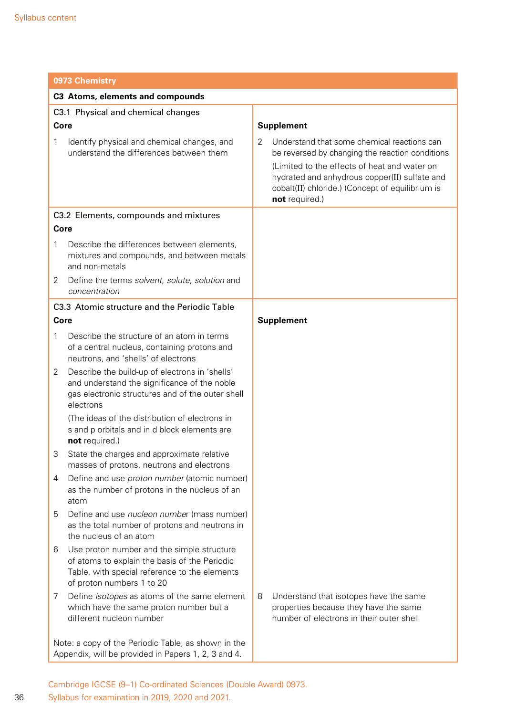|                                                                                                            | 0973 Chemistry                                                                                                                                                            |                   |                                                                                                                                                                     |  |  |
|------------------------------------------------------------------------------------------------------------|---------------------------------------------------------------------------------------------------------------------------------------------------------------------------|-------------------|---------------------------------------------------------------------------------------------------------------------------------------------------------------------|--|--|
|                                                                                                            | C3 Atoms, elements and compounds                                                                                                                                          |                   |                                                                                                                                                                     |  |  |
|                                                                                                            | C3.1 Physical and chemical changes                                                                                                                                        |                   |                                                                                                                                                                     |  |  |
| Core                                                                                                       |                                                                                                                                                                           | <b>Supplement</b> |                                                                                                                                                                     |  |  |
| 1                                                                                                          | Identify physical and chemical changes, and<br>understand the differences between them                                                                                    | 2                 | Understand that some chemical reactions can<br>be reversed by changing the reaction conditions                                                                      |  |  |
|                                                                                                            |                                                                                                                                                                           |                   | (Limited to the effects of heat and water on<br>hydrated and anhydrous copper(II) sulfate and<br>cobalt(II) chloride.) (Concept of equilibrium is<br>not required.) |  |  |
|                                                                                                            | C3.2 Elements, compounds and mixtures                                                                                                                                     |                   |                                                                                                                                                                     |  |  |
| Core                                                                                                       |                                                                                                                                                                           |                   |                                                                                                                                                                     |  |  |
| 1                                                                                                          | Describe the differences between elements,<br>mixtures and compounds, and between metals<br>and non-metals                                                                |                   |                                                                                                                                                                     |  |  |
| 2                                                                                                          | Define the terms solvent, solute, solution and<br>concentration                                                                                                           |                   |                                                                                                                                                                     |  |  |
|                                                                                                            | C3.3 Atomic structure and the Periodic Table                                                                                                                              |                   |                                                                                                                                                                     |  |  |
| Core                                                                                                       |                                                                                                                                                                           |                   | <b>Supplement</b>                                                                                                                                                   |  |  |
| 1                                                                                                          | Describe the structure of an atom in terms<br>of a central nucleus, containing protons and<br>neutrons, and 'shells' of electrons                                         |                   |                                                                                                                                                                     |  |  |
| 2                                                                                                          | Describe the build-up of electrons in 'shells'<br>and understand the significance of the noble<br>gas electronic structures and of the outer shell<br>electrons           |                   |                                                                                                                                                                     |  |  |
|                                                                                                            | (The ideas of the distribution of electrons in<br>s and p orbitals and in d block elements are<br>not required.)                                                          |                   |                                                                                                                                                                     |  |  |
| 3                                                                                                          | State the charges and approximate relative<br>masses of protons, neutrons and electrons                                                                                   |                   |                                                                                                                                                                     |  |  |
| 4                                                                                                          | Define and use proton number (atomic number)<br>as the number of protons in the nucleus of an<br>atom                                                                     |                   |                                                                                                                                                                     |  |  |
| 5                                                                                                          | Define and use <i>nucleon number</i> (mass number)<br>as the total number of protons and neutrons in<br>the nucleus of an atom                                            |                   |                                                                                                                                                                     |  |  |
| 6                                                                                                          | Use proton number and the simple structure<br>of atoms to explain the basis of the Periodic<br>Table, with special reference to the elements<br>of proton numbers 1 to 20 |                   |                                                                                                                                                                     |  |  |
| 7                                                                                                          | Define <i>isotopes</i> as atoms of the same element<br>which have the same proton number but a<br>different nucleon number                                                | 8                 | Understand that isotopes have the same<br>properties because they have the same<br>number of electrons in their outer shell                                         |  |  |
| Note: a copy of the Periodic Table, as shown in the<br>Appendix, will be provided in Papers 1, 2, 3 and 4. |                                                                                                                                                                           |                   |                                                                                                                                                                     |  |  |

Cambridge IGCSE (9–1) Co-ordinated Sciences (Double Award) 0973. Syllabus for examination in 2019, 2020 and 2021.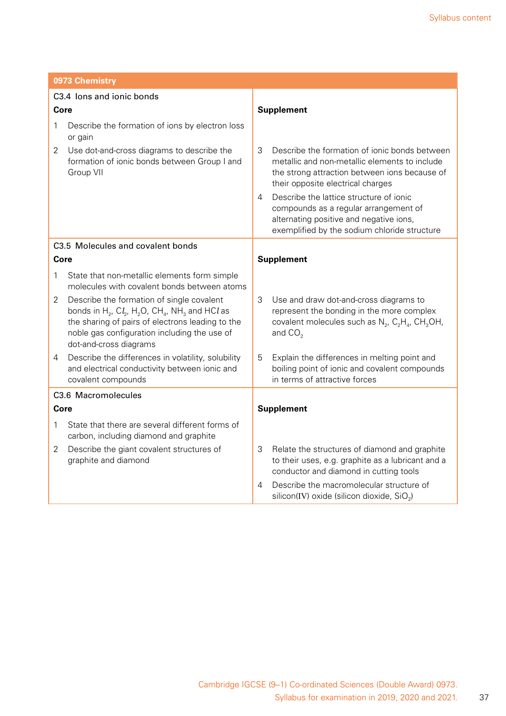| 0973 Chemistry                                                                                                                                                                                                                                                                             |                                                                                                                                                                                           |  |  |
|--------------------------------------------------------------------------------------------------------------------------------------------------------------------------------------------------------------------------------------------------------------------------------------------|-------------------------------------------------------------------------------------------------------------------------------------------------------------------------------------------|--|--|
| C3.4 lons and jonic bonds                                                                                                                                                                                                                                                                  |                                                                                                                                                                                           |  |  |
| <b>Core</b>                                                                                                                                                                                                                                                                                | <b>Supplement</b>                                                                                                                                                                         |  |  |
| Describe the formation of ions by electron loss<br>1<br>or gain                                                                                                                                                                                                                            |                                                                                                                                                                                           |  |  |
| Use dot-and-cross diagrams to describe the<br>2<br>formation of ionic bonds between Group I and<br>Group VII                                                                                                                                                                               | 3<br>Describe the formation of ionic bonds between<br>metallic and non-metallic elements to include<br>the strong attraction between ions because of<br>their opposite electrical charges |  |  |
|                                                                                                                                                                                                                                                                                            | Describe the lattice structure of ionic<br>4<br>compounds as a regular arrangement of<br>alternating positive and negative ions,<br>exemplified by the sodium chloride structure          |  |  |
| C3.5 Molecules and covalent bonds                                                                                                                                                                                                                                                          |                                                                                                                                                                                           |  |  |
| Core                                                                                                                                                                                                                                                                                       | <b>Supplement</b>                                                                                                                                                                         |  |  |
| 1<br>State that non-metallic elements form simple<br>molecules with covalent bonds between atoms                                                                                                                                                                                           |                                                                                                                                                                                           |  |  |
| Describe the formation of single covalent<br>2<br>bonds in H <sub>2</sub> , CI <sub>2</sub> , H <sub>2</sub> O, CH <sub>4</sub> , NH <sub>3</sub> and HCI as<br>the sharing of pairs of electrons leading to the<br>noble gas configuration including the use of<br>dot-and-cross diagrams | 3<br>Use and draw dot-and-cross diagrams to<br>represent the bonding in the more complex<br>covalent molecules such as $N_2$ , $C_2H_4$ , CH <sub>3</sub> OH,<br>and $CO2$                |  |  |
| Describe the differences in volatility, solubility<br>4<br>and electrical conductivity between ionic and<br>covalent compounds                                                                                                                                                             | 5<br>Explain the differences in melting point and<br>boiling point of ionic and covalent compounds<br>in terms of attractive forces                                                       |  |  |
| C3.6 Macromolecules                                                                                                                                                                                                                                                                        |                                                                                                                                                                                           |  |  |
| <b>Core</b>                                                                                                                                                                                                                                                                                | <b>Supplement</b>                                                                                                                                                                         |  |  |
| State that there are several different forms of<br>1<br>carbon, including diamond and graphite                                                                                                                                                                                             |                                                                                                                                                                                           |  |  |
| Describe the giant covalent structures of<br>2<br>graphite and diamond                                                                                                                                                                                                                     | 3<br>Relate the structures of diamond and graphite<br>to their uses, e.g. graphite as a lubricant and a<br>conductor and diamond in cutting tools                                         |  |  |
|                                                                                                                                                                                                                                                                                            | Describe the macromolecular structure of<br>4<br>silicon(IV) oxide (silicon dioxide, SiO <sub>2</sub> )                                                                                   |  |  |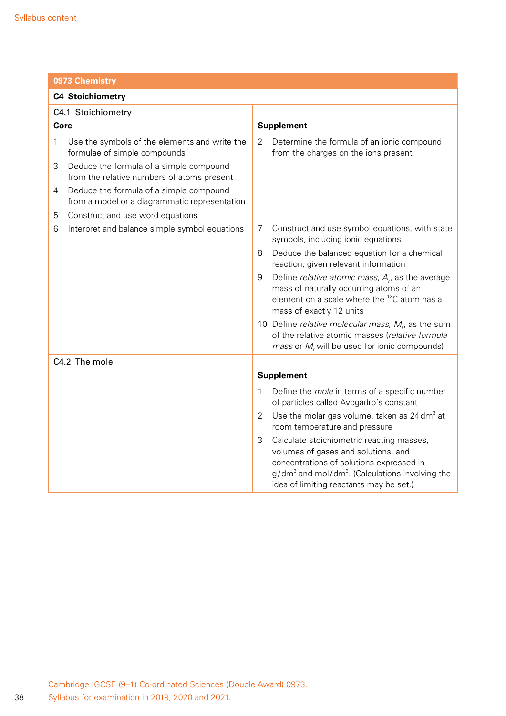| 0973 Chemistry                                                                                |                                                                                                                                                                                                                                               |  |  |
|-----------------------------------------------------------------------------------------------|-----------------------------------------------------------------------------------------------------------------------------------------------------------------------------------------------------------------------------------------------|--|--|
| <b>C4 Stoichiometry</b>                                                                       |                                                                                                                                                                                                                                               |  |  |
| C4.1 Stoichiometry                                                                            |                                                                                                                                                                                                                                               |  |  |
| Core                                                                                          | <b>Supplement</b>                                                                                                                                                                                                                             |  |  |
| 1<br>Use the symbols of the elements and write the<br>formulae of simple compounds            | 2<br>Determine the formula of an ionic compound<br>from the charges on the ions present                                                                                                                                                       |  |  |
| 3<br>Deduce the formula of a simple compound<br>from the relative numbers of atoms present    |                                                                                                                                                                                                                                               |  |  |
| Deduce the formula of a simple compound<br>4<br>from a model or a diagrammatic representation |                                                                                                                                                                                                                                               |  |  |
| Construct and use word equations<br>5                                                         |                                                                                                                                                                                                                                               |  |  |
| Interpret and balance simple symbol equations<br>6                                            | Construct and use symbol equations, with state<br>7<br>symbols, including ionic equations                                                                                                                                                     |  |  |
|                                                                                               | Deduce the balanced equation for a chemical<br>8<br>reaction, given relevant information                                                                                                                                                      |  |  |
|                                                                                               | 9<br>Define <i>relative atomic mass</i> , $Ar$ , as the average<br>mass of naturally occurring atoms of an<br>element on a scale where the ${}^{12}C$ atom has a<br>mass of exactly 12 units                                                  |  |  |
|                                                                                               | 10 Define relative molecular mass, $Mr$ , as the sum<br>of the relative atomic masses (relative formula<br>mass or $M_r$ will be used for ionic compounds)                                                                                    |  |  |
| C4.2 The mole                                                                                 |                                                                                                                                                                                                                                               |  |  |
|                                                                                               | <b>Supplement</b>                                                                                                                                                                                                                             |  |  |
|                                                                                               | Define the <i>mole</i> in terms of a specific number<br>1<br>of particles called Avogadro's constant                                                                                                                                          |  |  |
|                                                                                               | 2<br>Use the molar gas volume, taken as $24 \text{ dm}^3$ at<br>room temperature and pressure                                                                                                                                                 |  |  |
|                                                                                               | 3<br>Calculate stoichiometric reacting masses,<br>volumes of gases and solutions, and<br>concentrations of solutions expressed in<br>$g/dm3$ and mol/dm <sup>3</sup> . (Calculations involving the<br>idea of limiting reactants may be set.) |  |  |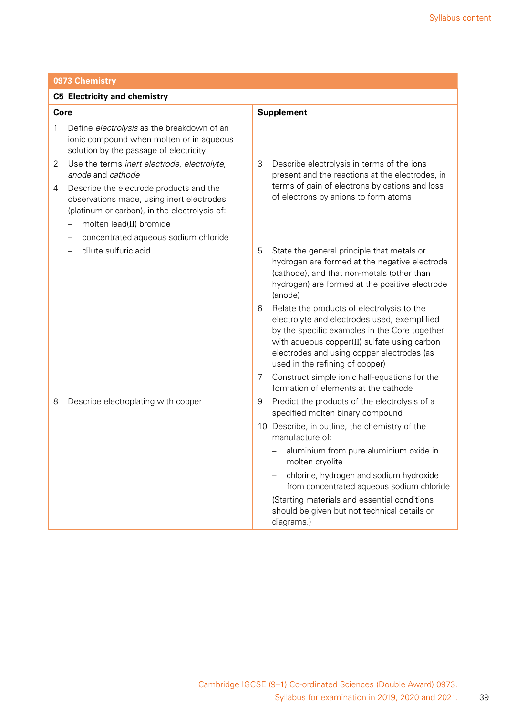| 0973 Chemistry                      |                                                                                                                                       |   |                                                                                                                                                                                                                                                                              |  |
|-------------------------------------|---------------------------------------------------------------------------------------------------------------------------------------|---|------------------------------------------------------------------------------------------------------------------------------------------------------------------------------------------------------------------------------------------------------------------------------|--|
| <b>C5 Electricity and chemistry</b> |                                                                                                                                       |   |                                                                                                                                                                                                                                                                              |  |
| Core                                |                                                                                                                                       |   | <b>Supplement</b>                                                                                                                                                                                                                                                            |  |
| 1                                   | Define electrolysis as the breakdown of an<br>ionic compound when molten or in aqueous<br>solution by the passage of electricity      |   |                                                                                                                                                                                                                                                                              |  |
| 2<br>anode and cathode              | Use the terms inert electrode, electrolyte,                                                                                           | 3 | Describe electrolysis in terms of the ions<br>present and the reactions at the electrodes, in                                                                                                                                                                                |  |
| 4                                   | Describe the electrode products and the<br>observations made, using inert electrodes<br>(platinum or carbon), in the electrolysis of: |   | terms of gain of electrons by cations and loss<br>of electrons by anions to form atoms                                                                                                                                                                                       |  |
|                                     | molten lead(II) bromide                                                                                                               |   |                                                                                                                                                                                                                                                                              |  |
|                                     | concentrated aqueous sodium chloride                                                                                                  |   |                                                                                                                                                                                                                                                                              |  |
| dilute sulfuric acid                |                                                                                                                                       | 5 | State the general principle that metals or<br>hydrogen are formed at the negative electrode<br>(cathode), and that non-metals (other than<br>hydrogen) are formed at the positive electrode<br>(anode)                                                                       |  |
|                                     |                                                                                                                                       | 6 | Relate the products of electrolysis to the<br>electrolyte and electrodes used, exemplified<br>by the specific examples in the Core together<br>with aqueous copper(II) sulfate using carbon<br>electrodes and using copper electrodes (as<br>used in the refining of copper) |  |
|                                     |                                                                                                                                       | 7 | Construct simple ionic half-equations for the<br>formation of elements at the cathode                                                                                                                                                                                        |  |
| 8                                   | Describe electroplating with copper                                                                                                   | 9 | Predict the products of the electrolysis of a<br>specified molten binary compound                                                                                                                                                                                            |  |
|                                     |                                                                                                                                       |   | 10 Describe, in outline, the chemistry of the<br>manufacture of:                                                                                                                                                                                                             |  |
|                                     |                                                                                                                                       |   | aluminium from pure aluminium oxide in<br>molten cryolite                                                                                                                                                                                                                    |  |
|                                     |                                                                                                                                       |   | chlorine, hydrogen and sodium hydroxide<br>from concentrated aqueous sodium chloride                                                                                                                                                                                         |  |
|                                     |                                                                                                                                       |   | (Starting materials and essential conditions<br>should be given but not technical details or<br>diagrams.)                                                                                                                                                                   |  |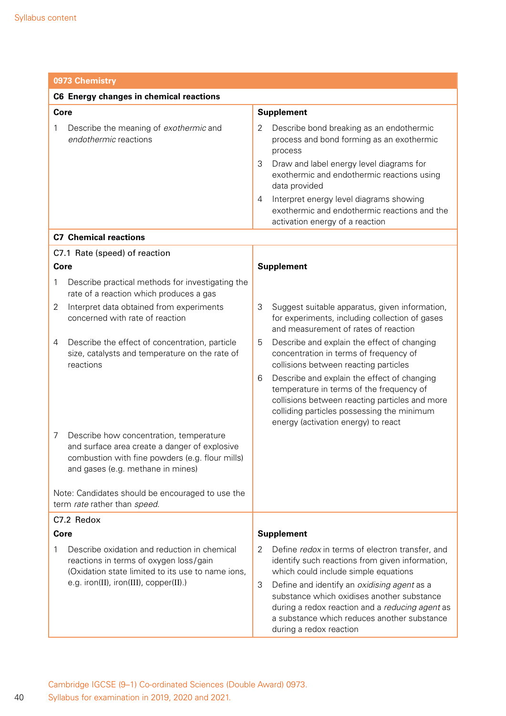|      | 0973 Chemistry                                                                                                                                                                   |             |                                                                                                                                                                                                                                                                             |  |  |
|------|----------------------------------------------------------------------------------------------------------------------------------------------------------------------------------|-------------|-----------------------------------------------------------------------------------------------------------------------------------------------------------------------------------------------------------------------------------------------------------------------------|--|--|
|      | C6 Energy changes in chemical reactions                                                                                                                                          |             |                                                                                                                                                                                                                                                                             |  |  |
| Core |                                                                                                                                                                                  |             | <b>Supplement</b>                                                                                                                                                                                                                                                           |  |  |
| 1    | Describe the meaning of exothermic and<br>endothermic reactions                                                                                                                  | 2<br>3<br>4 | Describe bond breaking as an endothermic<br>process and bond forming as an exothermic<br>process<br>Draw and label energy level diagrams for<br>exothermic and endothermic reactions using<br>data provided<br>Interpret energy level diagrams showing                      |  |  |
|      |                                                                                                                                                                                  |             | exothermic and endothermic reactions and the<br>activation energy of a reaction                                                                                                                                                                                             |  |  |
|      | <b>C7 Chemical reactions</b>                                                                                                                                                     |             |                                                                                                                                                                                                                                                                             |  |  |
|      | C7.1 Rate (speed) of reaction                                                                                                                                                    |             |                                                                                                                                                                                                                                                                             |  |  |
| Core |                                                                                                                                                                                  |             | <b>Supplement</b>                                                                                                                                                                                                                                                           |  |  |
| 1    | Describe practical methods for investigating the<br>rate of a reaction which produces a gas                                                                                      |             |                                                                                                                                                                                                                                                                             |  |  |
| 2    | Interpret data obtained from experiments<br>concerned with rate of reaction                                                                                                      | 3           | Suggest suitable apparatus, given information,<br>for experiments, including collection of gases<br>and measurement of rates of reaction                                                                                                                                    |  |  |
| 4    | Describe the effect of concentration, particle<br>size, catalysts and temperature on the rate of<br>reactions                                                                    | 5<br>6      | Describe and explain the effect of changing<br>concentration in terms of frequency of<br>collisions between reacting particles<br>Describe and explain the effect of changing<br>temperature in terms of the frequency of<br>collisions between reacting particles and more |  |  |
| 7    | Describe how concentration, temperature<br>and surface area create a danger of explosive<br>combustion with fine powders (e.g. flour mills)<br>and gases (e.g. methane in mines) |             | colliding particles possessing the minimum<br>energy (activation energy) to react                                                                                                                                                                                           |  |  |
|      | Note: Candidates should be encouraged to use the<br>term rate rather than speed.                                                                                                 |             |                                                                                                                                                                                                                                                                             |  |  |
|      | C7.2 Redox                                                                                                                                                                       |             |                                                                                                                                                                                                                                                                             |  |  |
| Core |                                                                                                                                                                                  |             | <b>Supplement</b>                                                                                                                                                                                                                                                           |  |  |
| 1    | Describe oxidation and reduction in chemical<br>reactions in terms of oxygen loss/gain<br>(Oxidation state limited to its use to name ions,                                      | 2           | Define redox in terms of electron transfer, and<br>identify such reactions from given information,<br>which could include simple equations                                                                                                                                  |  |  |
|      | e.g. iron(II), iron(III), copper(II).)                                                                                                                                           | 3           | Define and identify an oxidising agent as a<br>substance which oxidises another substance<br>during a redox reaction and a reducing agent as<br>a substance which reduces another substance<br>during a redox reaction                                                      |  |  |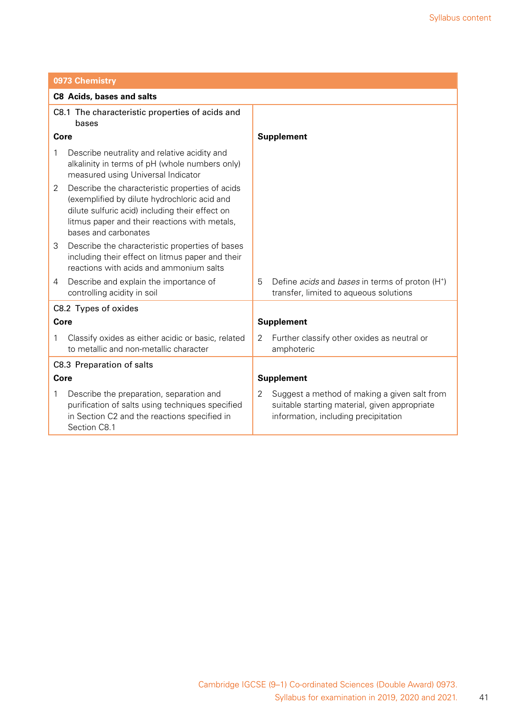| 0973 Chemistry                                           |                                                                                                                                                                                                                             |   |                                                                                                                                       |  |
|----------------------------------------------------------|-----------------------------------------------------------------------------------------------------------------------------------------------------------------------------------------------------------------------------|---|---------------------------------------------------------------------------------------------------------------------------------------|--|
|                                                          | <b>C8 Acids, bases and salts</b>                                                                                                                                                                                            |   |                                                                                                                                       |  |
| C8.1 The characteristic properties of acids and<br>bases |                                                                                                                                                                                                                             |   |                                                                                                                                       |  |
| Core                                                     |                                                                                                                                                                                                                             |   | <b>Supplement</b>                                                                                                                     |  |
| 1                                                        | Describe neutrality and relative acidity and<br>alkalinity in terms of pH (whole numbers only)<br>measured using Universal Indicator                                                                                        |   |                                                                                                                                       |  |
| $\overline{2}$                                           | Describe the characteristic properties of acids<br>(exemplified by dilute hydrochloric acid and<br>dilute sulfuric acid) including their effect on<br>litmus paper and their reactions with metals,<br>bases and carbonates |   |                                                                                                                                       |  |
| 3                                                        | Describe the characteristic properties of bases<br>including their effect on litmus paper and their<br>reactions with acids and ammonium salts                                                                              |   |                                                                                                                                       |  |
| 4                                                        | Describe and explain the importance of<br>controlling acidity in soil                                                                                                                                                       | 5 | Define <i>acids</i> and <i>bases</i> in terms of proton (H <sup>+</sup> )<br>transfer, limited to aqueous solutions                   |  |
|                                                          | C8.2 Types of oxides                                                                                                                                                                                                        |   |                                                                                                                                       |  |
|                                                          | Core                                                                                                                                                                                                                        |   | <b>Supplement</b>                                                                                                                     |  |
| 1                                                        | Classify oxides as either acidic or basic, related<br>to metallic and non-metallic character                                                                                                                                | 2 | Further classify other oxides as neutral or<br>amphoteric                                                                             |  |
|                                                          | C8.3 Preparation of salts                                                                                                                                                                                                   |   |                                                                                                                                       |  |
| Core                                                     |                                                                                                                                                                                                                             |   | <b>Supplement</b>                                                                                                                     |  |
| 1                                                        | Describe the preparation, separation and<br>purification of salts using techniques specified<br>in Section C2 and the reactions specified in<br>Section C8.1                                                                | 2 | Suggest a method of making a given salt from<br>suitable starting material, given appropriate<br>information, including precipitation |  |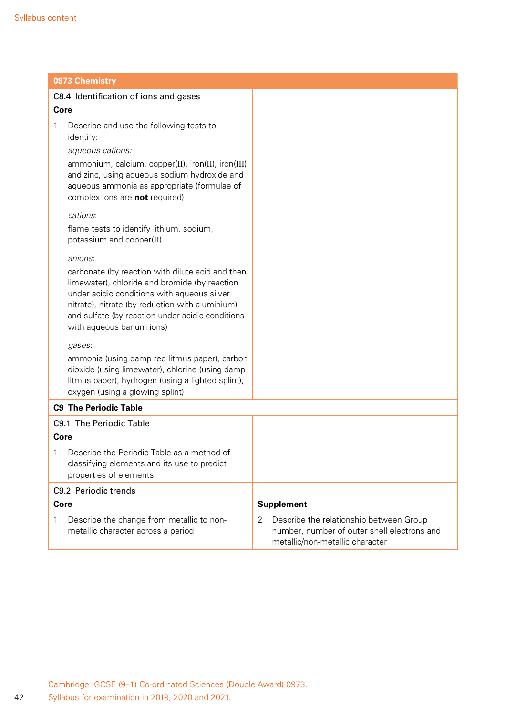| 0973 Chemistry                                                                                                                                                                                                                                                                       |                                                                                                                                |
|--------------------------------------------------------------------------------------------------------------------------------------------------------------------------------------------------------------------------------------------------------------------------------------|--------------------------------------------------------------------------------------------------------------------------------|
| C8.4 Identification of ions and gases                                                                                                                                                                                                                                                |                                                                                                                                |
| Core                                                                                                                                                                                                                                                                                 |                                                                                                                                |
| 1<br>Describe and use the following tests to<br>identify:                                                                                                                                                                                                                            |                                                                                                                                |
| aqueous cations:                                                                                                                                                                                                                                                                     |                                                                                                                                |
| ammonium, calcium, copper(II), iron(II), iron(III)<br>and zinc, using aqueous sodium hydroxide and<br>aqueous ammonia as appropriate (formulae of<br>complex ions are not required)                                                                                                  |                                                                                                                                |
| cations:                                                                                                                                                                                                                                                                             |                                                                                                                                |
| flame tests to identify lithium, sodium,<br>potassium and copper(II)                                                                                                                                                                                                                 |                                                                                                                                |
| anions:                                                                                                                                                                                                                                                                              |                                                                                                                                |
| carbonate (by reaction with dilute acid and then<br>limewater), chloride and bromide (by reaction<br>under acidic conditions with aqueous silver<br>nitrate), nitrate (by reduction with aluminium)<br>and sulfate (by reaction under acidic conditions<br>with aqueous barium ions) |                                                                                                                                |
| gases:                                                                                                                                                                                                                                                                               |                                                                                                                                |
| ammonia (using damp red litmus paper), carbon<br>dioxide (using limewater), chlorine (using damp<br>litmus paper), hydrogen (using a lighted splint),<br>oxygen (using a glowing splint)                                                                                             |                                                                                                                                |
| <b>C9 The Periodic Table</b>                                                                                                                                                                                                                                                         |                                                                                                                                |
| C9.1 The Periodic Table                                                                                                                                                                                                                                                              |                                                                                                                                |
| Core                                                                                                                                                                                                                                                                                 |                                                                                                                                |
| Describe the Periodic Table as a method of<br>Τ<br>classifying elements and its use to predict<br>properties of elements                                                                                                                                                             |                                                                                                                                |
| C9.2 Periodic trends                                                                                                                                                                                                                                                                 |                                                                                                                                |
| Core                                                                                                                                                                                                                                                                                 | <b>Supplement</b>                                                                                                              |
| 1<br>Describe the change from metallic to non-<br>metallic character across a period                                                                                                                                                                                                 | 2<br>Describe the relationship between Group<br>number, number of outer shell electrons and<br>metallic/non-metallic character |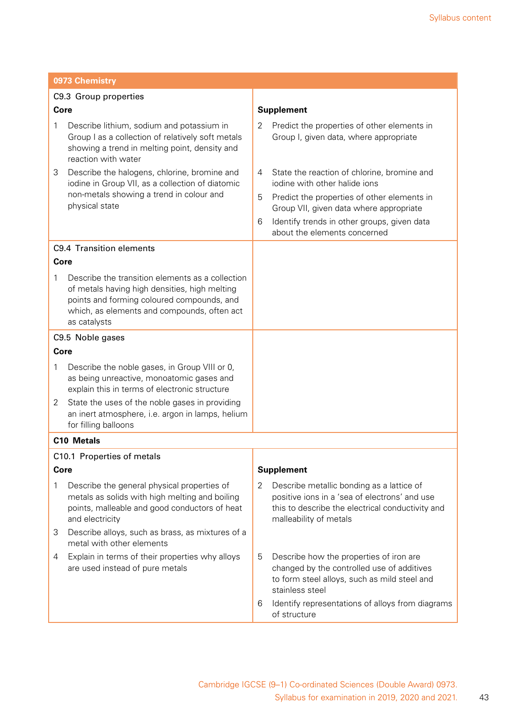|        | 0973 Chemistry                                                                                                                                                                                                 |                       |                                                                                                                                                                                                                                                       |
|--------|----------------------------------------------------------------------------------------------------------------------------------------------------------------------------------------------------------------|-----------------------|-------------------------------------------------------------------------------------------------------------------------------------------------------------------------------------------------------------------------------------------------------|
|        | C9.3 Group properties                                                                                                                                                                                          |                       |                                                                                                                                                                                                                                                       |
| Core   |                                                                                                                                                                                                                |                       | <b>Supplement</b>                                                                                                                                                                                                                                     |
| 1      | Describe lithium, sodium and potassium in<br>Group I as a collection of relatively soft metals<br>showing a trend in melting point, density and<br>reaction with water                                         | $\mathbf{2}^{\prime}$ | Predict the properties of other elements in<br>Group I, given data, where appropriate                                                                                                                                                                 |
| 3      | Describe the halogens, chlorine, bromine and<br>iodine in Group VII, as a collection of diatomic<br>non-metals showing a trend in colour and<br>physical state                                                 | 4<br>5<br>6           | State the reaction of chlorine, bromine and<br>jodine with other halide jons<br>Predict the properties of other elements in<br>Group VII, given data where appropriate<br>Identify trends in other groups, given data<br>about the elements concerned |
|        | C9.4 Transition elements                                                                                                                                                                                       |                       |                                                                                                                                                                                                                                                       |
| Core   |                                                                                                                                                                                                                |                       |                                                                                                                                                                                                                                                       |
| 1      | Describe the transition elements as a collection<br>of metals having high densities, high melting<br>points and forming coloured compounds, and<br>which, as elements and compounds, often act<br>as catalysts |                       |                                                                                                                                                                                                                                                       |
|        | C9.5 Noble gases                                                                                                                                                                                               |                       |                                                                                                                                                                                                                                                       |
| Core   |                                                                                                                                                                                                                |                       |                                                                                                                                                                                                                                                       |
| 1<br>2 | Describe the noble gases, in Group VIII or 0,<br>as being unreactive, monoatomic gases and<br>explain this in terms of electronic structure<br>State the uses of the noble gases in providing                  |                       |                                                                                                                                                                                                                                                       |
|        | an inert atmosphere, i.e. argon in lamps, helium<br>for filling balloons                                                                                                                                       |                       |                                                                                                                                                                                                                                                       |
|        | <b>C10 Metals</b>                                                                                                                                                                                              |                       |                                                                                                                                                                                                                                                       |
|        | C10.1 Properties of metals                                                                                                                                                                                     |                       |                                                                                                                                                                                                                                                       |
| Core   |                                                                                                                                                                                                                |                       | <b>Supplement</b>                                                                                                                                                                                                                                     |
| 1      | Describe the general physical properties of<br>metals as solids with high melting and boiling<br>points, malleable and good conductors of heat<br>and electricity                                              | 2                     | Describe metallic bonding as a lattice of<br>positive ions in a 'sea of electrons' and use<br>this to describe the electrical conductivity and<br>malleability of metals                                                                              |
| 3      | Describe alloys, such as brass, as mixtures of a<br>metal with other elements                                                                                                                                  |                       |                                                                                                                                                                                                                                                       |
| 4      | Explain in terms of their properties why alloys<br>are used instead of pure metals                                                                                                                             | 5                     | Describe how the properties of iron are<br>changed by the controlled use of additives<br>to form steel alloys, such as mild steel and<br>stainless steel                                                                                              |
|        |                                                                                                                                                                                                                | 6                     | Identify representations of alloys from diagrams<br>of structure                                                                                                                                                                                      |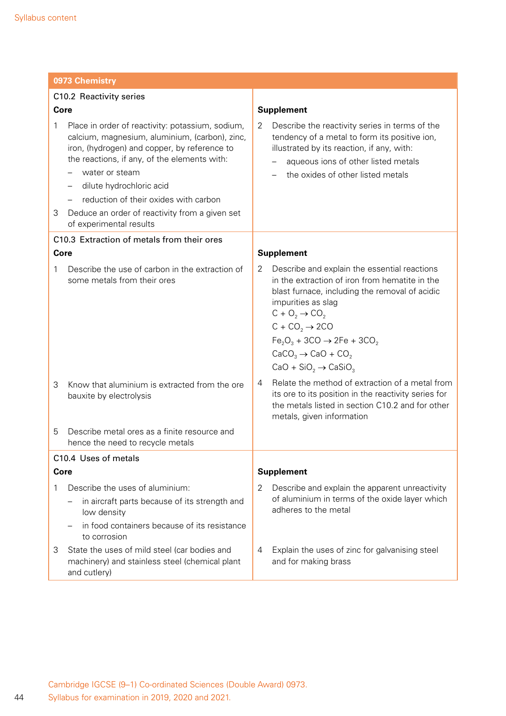|        | 0973 Chemistry                                                                                                                                                                                                                                                                                                                                                                              |        |                                                                                                                                                                                                                                                                                                                                                                                                                                                          |  |
|--------|---------------------------------------------------------------------------------------------------------------------------------------------------------------------------------------------------------------------------------------------------------------------------------------------------------------------------------------------------------------------------------------------|--------|----------------------------------------------------------------------------------------------------------------------------------------------------------------------------------------------------------------------------------------------------------------------------------------------------------------------------------------------------------------------------------------------------------------------------------------------------------|--|
|        | C10.2 Reactivity series                                                                                                                                                                                                                                                                                                                                                                     |        |                                                                                                                                                                                                                                                                                                                                                                                                                                                          |  |
|        | Core                                                                                                                                                                                                                                                                                                                                                                                        |        | <b>Supplement</b>                                                                                                                                                                                                                                                                                                                                                                                                                                        |  |
| 1<br>З | Place in order of reactivity: potassium, sodium,<br>calcium, magnesium, aluminium, (carbon), zinc,<br>iron, (hydrogen) and copper, by reference to<br>the reactions, if any, of the elements with:<br>water or steam<br>dilute hydrochloric acid<br>reduction of their oxides with carbon<br>$\qquad \qquad -$<br>Deduce an order of reactivity from a given set<br>of experimental results | 2      | Describe the reactivity series in terms of the<br>tendency of a metal to form its positive ion,<br>illustrated by its reaction, if any, with:<br>aqueous ions of other listed metals<br>the oxides of other listed metals                                                                                                                                                                                                                                |  |
|        | C10.3 Extraction of metals from their ores                                                                                                                                                                                                                                                                                                                                                  |        |                                                                                                                                                                                                                                                                                                                                                                                                                                                          |  |
| Core   |                                                                                                                                                                                                                                                                                                                                                                                             |        | <b>Supplement</b>                                                                                                                                                                                                                                                                                                                                                                                                                                        |  |
| 1<br>3 | Describe the use of carbon in the extraction of<br>some metals from their ores<br>Know that aluminium is extracted from the ore<br>bauxite by electrolysis                                                                                                                                                                                                                                  | 2<br>4 | Describe and explain the essential reactions<br>in the extraction of iron from hematite in the<br>blast furnace, including the removal of acidic<br>impurities as slag<br>$C + O_2 \rightarrow CO_2$<br>$C + CO2 \rightarrow 2CO$<br>$Fe2O3 + 3CO \rightarrow 2Fe + 3CO2$<br>$CaCO3 \rightarrow CaO + CO2$<br>$CaO + SiO2 \rightarrow CaSiO3$<br>Relate the method of extraction of a metal from<br>its ore to its position in the reactivity series for |  |
| 5      | Describe metal ores as a finite resource and                                                                                                                                                                                                                                                                                                                                                |        | the metals listed in section C10.2 and for other<br>metals, given information                                                                                                                                                                                                                                                                                                                                                                            |  |
|        | hence the need to recycle metals                                                                                                                                                                                                                                                                                                                                                            |        |                                                                                                                                                                                                                                                                                                                                                                                                                                                          |  |
|        | C10.4 Uses of metals                                                                                                                                                                                                                                                                                                                                                                        |        |                                                                                                                                                                                                                                                                                                                                                                                                                                                          |  |
| Core   |                                                                                                                                                                                                                                                                                                                                                                                             |        | <b>Supplement</b>                                                                                                                                                                                                                                                                                                                                                                                                                                        |  |
| 1      | Describe the uses of aluminium:                                                                                                                                                                                                                                                                                                                                                             | 2      | Describe and explain the apparent unreactivity                                                                                                                                                                                                                                                                                                                                                                                                           |  |
|        | in aircraft parts because of its strength and<br>low density                                                                                                                                                                                                                                                                                                                                |        | of aluminium in terms of the oxide layer which<br>adheres to the metal                                                                                                                                                                                                                                                                                                                                                                                   |  |
|        | in food containers because of its resistance<br>to corrosion                                                                                                                                                                                                                                                                                                                                |        |                                                                                                                                                                                                                                                                                                                                                                                                                                                          |  |
| 3      | State the uses of mild steel (car bodies and<br>machinery) and stainless steel (chemical plant<br>and cutlery)                                                                                                                                                                                                                                                                              | 4      | Explain the uses of zinc for galvanising steel<br>and for making brass                                                                                                                                                                                                                                                                                                                                                                                   |  |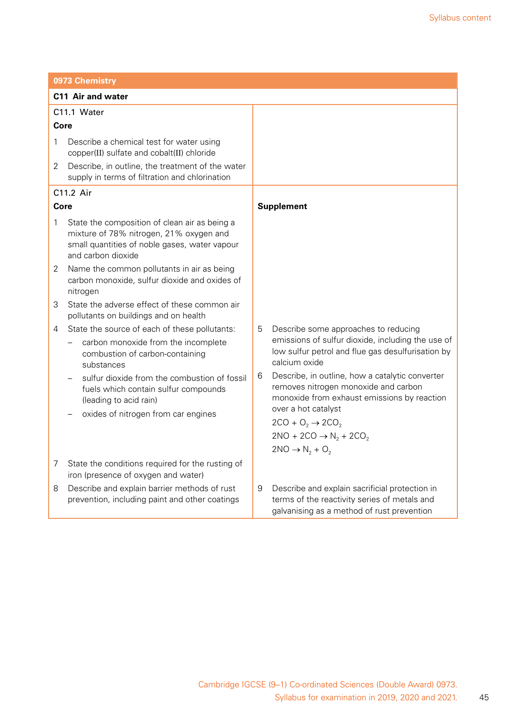|             | 0973 Chemistry                                                                                                                                                                                                                                          |        |                                                                                                                                                                                                                                                                                                           |  |  |
|-------------|---------------------------------------------------------------------------------------------------------------------------------------------------------------------------------------------------------------------------------------------------------|--------|-----------------------------------------------------------------------------------------------------------------------------------------------------------------------------------------------------------------------------------------------------------------------------------------------------------|--|--|
|             | <b>C11 Air and water</b>                                                                                                                                                                                                                                |        |                                                                                                                                                                                                                                                                                                           |  |  |
| C11.1 Water |                                                                                                                                                                                                                                                         |        |                                                                                                                                                                                                                                                                                                           |  |  |
| Core        |                                                                                                                                                                                                                                                         |        |                                                                                                                                                                                                                                                                                                           |  |  |
| 1           | Describe a chemical test for water using<br>copper(II) sulfate and cobalt(II) chloride                                                                                                                                                                  |        |                                                                                                                                                                                                                                                                                                           |  |  |
| 2           | Describe, in outline, the treatment of the water<br>supply in terms of filtration and chlorination                                                                                                                                                      |        |                                                                                                                                                                                                                                                                                                           |  |  |
|             | C11.2 Air                                                                                                                                                                                                                                               |        |                                                                                                                                                                                                                                                                                                           |  |  |
| Core        |                                                                                                                                                                                                                                                         |        | <b>Supplement</b>                                                                                                                                                                                                                                                                                         |  |  |
| 1           | State the composition of clean air as being a<br>mixture of 78% nitrogen, 21% oxygen and<br>small quantities of noble gases, water vapour<br>and carbon dioxide                                                                                         |        |                                                                                                                                                                                                                                                                                                           |  |  |
| 2           | Name the common pollutants in air as being<br>carbon monoxide, sulfur dioxide and oxides of<br>nitrogen                                                                                                                                                 |        |                                                                                                                                                                                                                                                                                                           |  |  |
| 3           | State the adverse effect of these common air<br>pollutants on buildings and on health                                                                                                                                                                   |        |                                                                                                                                                                                                                                                                                                           |  |  |
| 4           | State the source of each of these pollutants:<br>carbon monoxide from the incomplete<br>combustion of carbon-containing<br>substances<br>sulfur dioxide from the combustion of fossil<br>fuels which contain sulfur compounds<br>(leading to acid rain) | 5<br>6 | Describe some approaches to reducing<br>emissions of sulfur dioxide, including the use of<br>low sulfur petrol and flue gas desulfurisation by<br>calcium oxide<br>Describe, in outline, how a catalytic converter<br>removes nitrogen monoxide and carbon<br>monoxide from exhaust emissions by reaction |  |  |
|             | oxides of nitrogen from car engines                                                                                                                                                                                                                     |        | over a hot catalyst<br>$2CO + O2 \rightarrow 2CO2$<br>$2NO + 2CO \rightarrow N_2 + 2CO_2$<br>$2NO \rightarrow N_2 + O_2$                                                                                                                                                                                  |  |  |
| 7           | State the conditions required for the rusting of<br>iron (presence of oxygen and water)                                                                                                                                                                 |        |                                                                                                                                                                                                                                                                                                           |  |  |
| 8           | Describe and explain barrier methods of rust<br>prevention, including paint and other coatings                                                                                                                                                          | 9      | Describe and explain sacrificial protection in<br>terms of the reactivity series of metals and<br>galvanising as a method of rust prevention                                                                                                                                                              |  |  |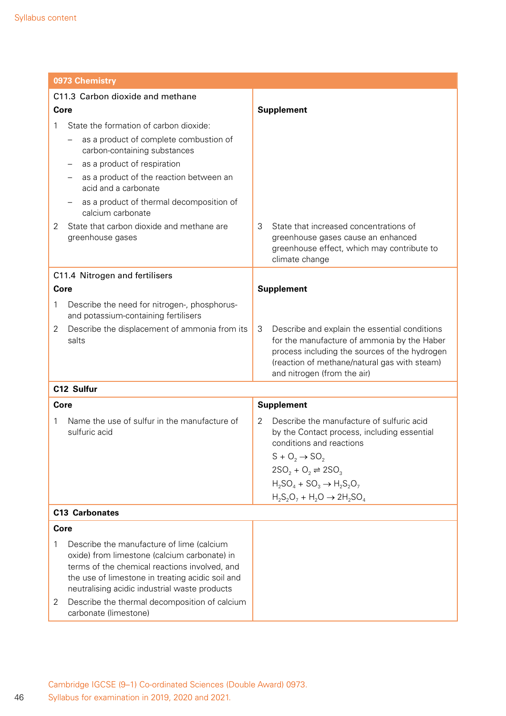| 0973 Chemistry                                                                                                                                                                   |                                                                                                                                                                                                                                                 |                                                                                                                                                                                                                                                                                        |  |  |
|----------------------------------------------------------------------------------------------------------------------------------------------------------------------------------|-------------------------------------------------------------------------------------------------------------------------------------------------------------------------------------------------------------------------------------------------|----------------------------------------------------------------------------------------------------------------------------------------------------------------------------------------------------------------------------------------------------------------------------------------|--|--|
| C11.3 Carbon dioxide and methane                                                                                                                                                 |                                                                                                                                                                                                                                                 |                                                                                                                                                                                                                                                                                        |  |  |
| Core                                                                                                                                                                             |                                                                                                                                                                                                                                                 | <b>Supplement</b>                                                                                                                                                                                                                                                                      |  |  |
| State the formation of carbon dioxide:<br>1<br>carbon-containing substances<br>as a product of respiration<br>acid and a carbonate<br>calcium carbonate<br>2<br>greenhouse gases | as a product of complete combustion of<br>as a product of the reaction between an<br>as a product of thermal decomposition of<br>State that carbon dioxide and methane are                                                                      | 3<br>State that increased concentrations of<br>greenhouse gases cause an enhanced                                                                                                                                                                                                      |  |  |
|                                                                                                                                                                                  |                                                                                                                                                                                                                                                 | greenhouse effect, which may contribute to<br>climate change                                                                                                                                                                                                                           |  |  |
| C11.4 Nitrogen and fertilisers                                                                                                                                                   |                                                                                                                                                                                                                                                 |                                                                                                                                                                                                                                                                                        |  |  |
| Core                                                                                                                                                                             |                                                                                                                                                                                                                                                 | <b>Supplement</b>                                                                                                                                                                                                                                                                      |  |  |
| 1<br>and potassium-containing fertilisers                                                                                                                                        | Describe the need for nitrogen-, phosphorus-                                                                                                                                                                                                    |                                                                                                                                                                                                                                                                                        |  |  |
| 2<br>salts                                                                                                                                                                       | Describe the displacement of ammonia from its                                                                                                                                                                                                   | 3<br>Describe and explain the essential conditions<br>for the manufacture of ammonia by the Haber<br>process including the sources of the hydrogen<br>(reaction of methane/natural gas with steam)<br>and nitrogen (from the air)                                                      |  |  |
| C12 Sulfur                                                                                                                                                                       |                                                                                                                                                                                                                                                 |                                                                                                                                                                                                                                                                                        |  |  |
| Core                                                                                                                                                                             |                                                                                                                                                                                                                                                 | <b>Supplement</b>                                                                                                                                                                                                                                                                      |  |  |
| 1<br>sulfuric acid                                                                                                                                                               | Name the use of sulfur in the manufacture of                                                                                                                                                                                                    | Describe the manufacture of sulfuric acid<br>2<br>by the Contact process, including essential<br>conditions and reactions<br>$S + O_2 \rightarrow SO_2$<br>$2SO_2 + O_2 \rightleftharpoons 2SO_3$<br>$H_2SO_4 + SO_3 \rightarrow H_2S_2O_7$<br>$H_2S_2O_7 + H_2O \rightarrow 2H_2SO_4$ |  |  |
| <b>C13 Carbonates</b>                                                                                                                                                            |                                                                                                                                                                                                                                                 |                                                                                                                                                                                                                                                                                        |  |  |
| Core                                                                                                                                                                             |                                                                                                                                                                                                                                                 |                                                                                                                                                                                                                                                                                        |  |  |
| 1                                                                                                                                                                                | Describe the manufacture of lime (calcium<br>oxide) from limestone (calcium carbonate) in<br>terms of the chemical reactions involved, and<br>the use of limestone in treating acidic soil and<br>neutralising acidic industrial waste products |                                                                                                                                                                                                                                                                                        |  |  |
| 2<br>carbonate (limestone)                                                                                                                                                       | Describe the thermal decomposition of calcium                                                                                                                                                                                                   |                                                                                                                                                                                                                                                                                        |  |  |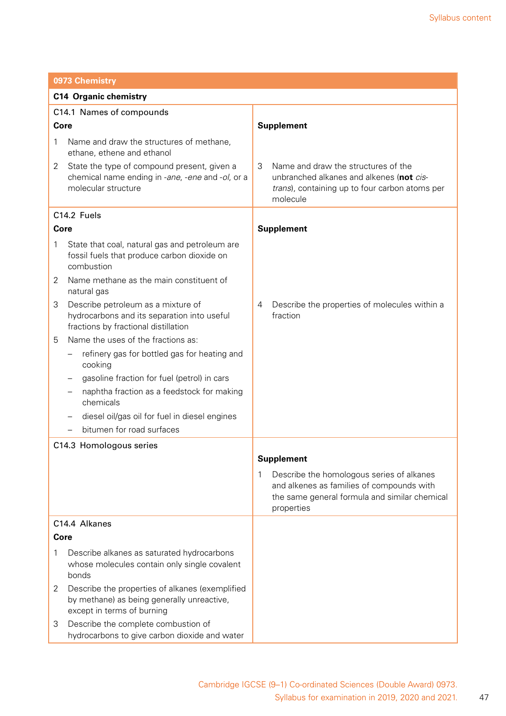|   | 0973 Chemistry                                                                                                              |                                                                                                                                                            |  |
|---|-----------------------------------------------------------------------------------------------------------------------------|------------------------------------------------------------------------------------------------------------------------------------------------------------|--|
|   | <b>C14 Organic chemistry</b>                                                                                                |                                                                                                                                                            |  |
|   | C14.1 Names of compounds                                                                                                    |                                                                                                                                                            |  |
|   | Core                                                                                                                        | <b>Supplement</b>                                                                                                                                          |  |
| 1 | Name and draw the structures of methane,<br>ethane, ethene and ethanol                                                      |                                                                                                                                                            |  |
| 2 | State the type of compound present, given a<br>chemical name ending in -ane, -ene and -ol, or a<br>molecular structure      | 3<br>Name and draw the structures of the<br>unbranched alkanes and alkenes (not cis-<br>trans), containing up to four carbon atoms per<br>molecule         |  |
|   | C14.2 Fuels                                                                                                                 |                                                                                                                                                            |  |
|   | Core                                                                                                                        | <b>Supplement</b>                                                                                                                                          |  |
| 1 | State that coal, natural gas and petroleum are<br>fossil fuels that produce carbon dioxide on<br>combustion                 |                                                                                                                                                            |  |
| 2 | Name methane as the main constituent of<br>natural gas                                                                      |                                                                                                                                                            |  |
| 3 | Describe petroleum as a mixture of<br>hydrocarbons and its separation into useful<br>fractions by fractional distillation   | Describe the properties of molecules within a<br>4<br>fraction                                                                                             |  |
| 5 | Name the uses of the fractions as:                                                                                          |                                                                                                                                                            |  |
|   | refinery gas for bottled gas for heating and<br>cooking                                                                     |                                                                                                                                                            |  |
|   | gasoline fraction for fuel (petrol) in cars                                                                                 |                                                                                                                                                            |  |
|   | naphtha fraction as a feedstock for making<br>chemicals                                                                     |                                                                                                                                                            |  |
|   | diesel oil/gas oil for fuel in diesel engines                                                                               |                                                                                                                                                            |  |
|   | bitumen for road surfaces                                                                                                   |                                                                                                                                                            |  |
|   | C14.3 Homologous series                                                                                                     |                                                                                                                                                            |  |
|   |                                                                                                                             | <b>Supplement</b>                                                                                                                                          |  |
|   |                                                                                                                             | Describe the homologous series of alkanes<br>1<br>and alkenes as families of compounds with<br>the same general formula and similar chemical<br>properties |  |
|   | C14.4 Alkanes                                                                                                               |                                                                                                                                                            |  |
|   | Core                                                                                                                        |                                                                                                                                                            |  |
| 1 | Describe alkanes as saturated hydrocarbons<br>whose molecules contain only single covalent<br>bonds                         |                                                                                                                                                            |  |
| 2 | Describe the properties of alkanes (exemplified<br>by methane) as being generally unreactive,<br>except in terms of burning |                                                                                                                                                            |  |
| 3 | Describe the complete combustion of<br>hydrocarbons to give carbon dioxide and water                                        |                                                                                                                                                            |  |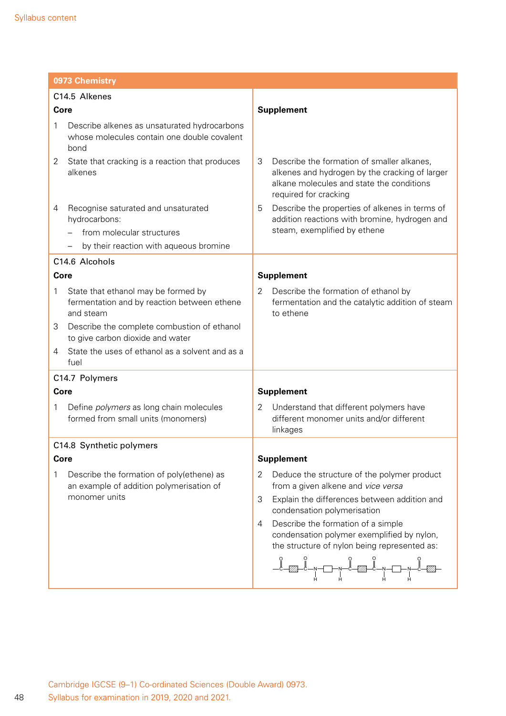|      | 0973 Chemistry                                                                                         |                                                                                                                                                                                                                                                                                                                                                                                                                                                                                                                                                                                                                                                                     |  |
|------|--------------------------------------------------------------------------------------------------------|---------------------------------------------------------------------------------------------------------------------------------------------------------------------------------------------------------------------------------------------------------------------------------------------------------------------------------------------------------------------------------------------------------------------------------------------------------------------------------------------------------------------------------------------------------------------------------------------------------------------------------------------------------------------|--|
|      | C14.5 Alkenes                                                                                          |                                                                                                                                                                                                                                                                                                                                                                                                                                                                                                                                                                                                                                                                     |  |
| Core |                                                                                                        | <b>Supplement</b>                                                                                                                                                                                                                                                                                                                                                                                                                                                                                                                                                                                                                                                   |  |
| 1    | Describe alkenes as unsaturated hydrocarbons<br>whose molecules contain one double covalent<br>bond    |                                                                                                                                                                                                                                                                                                                                                                                                                                                                                                                                                                                                                                                                     |  |
| 2    | State that cracking is a reaction that produces<br>alkenes                                             | Describe the formation of smaller alkanes,<br>3<br>alkenes and hydrogen by the cracking of larger<br>alkane molecules and state the conditions<br>required for cracking                                                                                                                                                                                                                                                                                                                                                                                                                                                                                             |  |
| 4    | Recognise saturated and unsaturated<br>hydrocarbons:                                                   | Describe the properties of alkenes in terms of<br>5<br>addition reactions with bromine, hydrogen and                                                                                                                                                                                                                                                                                                                                                                                                                                                                                                                                                                |  |
|      | from molecular structures                                                                              | steam, exemplified by ethene                                                                                                                                                                                                                                                                                                                                                                                                                                                                                                                                                                                                                                        |  |
|      | by their reaction with aqueous bromine                                                                 |                                                                                                                                                                                                                                                                                                                                                                                                                                                                                                                                                                                                                                                                     |  |
|      | C14.6 Alcohols                                                                                         |                                                                                                                                                                                                                                                                                                                                                                                                                                                                                                                                                                                                                                                                     |  |
|      | Core                                                                                                   | <b>Supplement</b>                                                                                                                                                                                                                                                                                                                                                                                                                                                                                                                                                                                                                                                   |  |
| 1    | State that ethanol may be formed by<br>fermentation and by reaction between ethene<br>and steam        | Describe the formation of ethanol by<br>2<br>fermentation and the catalytic addition of steam<br>to ethene                                                                                                                                                                                                                                                                                                                                                                                                                                                                                                                                                          |  |
| 3    | Describe the complete combustion of ethanol<br>to give carbon dioxide and water                        |                                                                                                                                                                                                                                                                                                                                                                                                                                                                                                                                                                                                                                                                     |  |
| 4    | State the uses of ethanol as a solvent and as a<br>fuel                                                |                                                                                                                                                                                                                                                                                                                                                                                                                                                                                                                                                                                                                                                                     |  |
|      | C14.7 Polymers                                                                                         |                                                                                                                                                                                                                                                                                                                                                                                                                                                                                                                                                                                                                                                                     |  |
|      | Core                                                                                                   | <b>Supplement</b>                                                                                                                                                                                                                                                                                                                                                                                                                                                                                                                                                                                                                                                   |  |
| 1    | Define <i>polymers</i> as long chain molecules<br>formed from small units (monomers)                   | Understand that different polymers have<br>2<br>different monomer units and/or different<br>linkages                                                                                                                                                                                                                                                                                                                                                                                                                                                                                                                                                                |  |
|      | C14.8 Synthetic polymers                                                                               |                                                                                                                                                                                                                                                                                                                                                                                                                                                                                                                                                                                                                                                                     |  |
|      | <b>Core</b>                                                                                            | <b>Supplement</b>                                                                                                                                                                                                                                                                                                                                                                                                                                                                                                                                                                                                                                                   |  |
| 1    | Describe the formation of poly(ethene) as<br>an example of addition polymerisation of<br>monomer units | Deduce the structure of the polymer product<br>2<br>from a given alkene and vice versa<br>3<br>Explain the differences between addition and<br>condensation polymerisation<br>Describe the formation of a simple<br>4<br>condensation polymer exemplified by nylon,<br>the structure of nylon being represented as:<br>$\begin{picture}(180,10) \put(0,0){\line(1,0){100}} \put(10,0){\line(1,0){100}} \put(10,0){\line(1,0){100}} \put(10,0){\line(1,0){100}} \put(10,0){\line(1,0){100}} \put(10,0){\line(1,0){100}} \put(10,0){\line(1,0){100}} \put(10,0){\line(1,0){100}} \put(10,0){\line(1,0){100}} \put(10,0){\line(1,0){100}} \put(10,0){\line(1,0){100}}$ |  |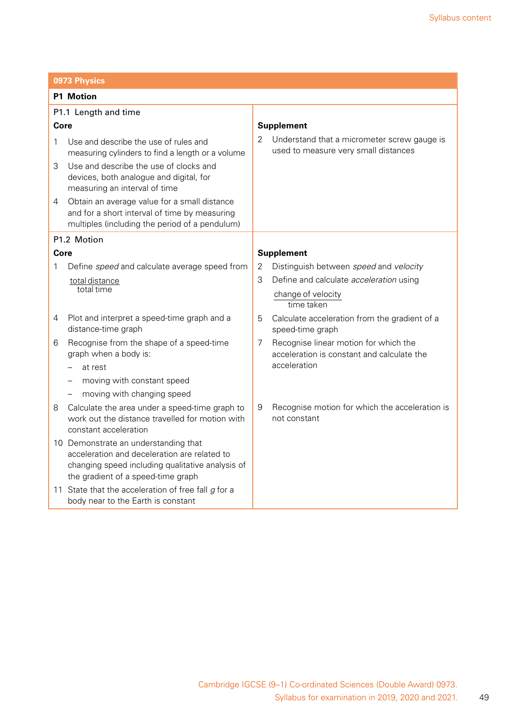|                      | 0973 Physics                                                                                                                                                                   |   |                                                                                     |
|----------------------|--------------------------------------------------------------------------------------------------------------------------------------------------------------------------------|---|-------------------------------------------------------------------------------------|
| <b>P1 Motion</b>     |                                                                                                                                                                                |   |                                                                                     |
| P1.1 Length and time |                                                                                                                                                                                |   |                                                                                     |
| Core                 |                                                                                                                                                                                |   | <b>Supplement</b>                                                                   |
| 1                    | Use and describe the use of rules and<br>measuring cylinders to find a length or a volume                                                                                      | 2 | Understand that a micrometer screw gauge is<br>used to measure very small distances |
| 3                    | Use and describe the use of clocks and<br>devices, both analogue and digital, for<br>measuring an interval of time                                                             |   |                                                                                     |
| 4                    | Obtain an average value for a small distance<br>and for a short interval of time by measuring<br>multiples (including the period of a pendulum)                                |   |                                                                                     |
|                      | P1.2 Motion                                                                                                                                                                    |   |                                                                                     |
| Core                 |                                                                                                                                                                                |   | <b>Supplement</b>                                                                   |
| 1                    | Define speed and calculate average speed from                                                                                                                                  | 2 | Distinguish between speed and velocity                                              |
|                      | total distance<br>total time                                                                                                                                                   | 3 | Define and calculate <i>acceleration</i> using                                      |
|                      |                                                                                                                                                                                |   | change of velocity<br>time taken                                                    |
| 4                    | Plot and interpret a speed-time graph and a<br>distance-time graph                                                                                                             | 5 | Calculate acceleration from the gradient of a<br>speed-time graph                   |
| 6                    | Recognise from the shape of a speed-time<br>graph when a body is:                                                                                                              | 7 | Recognise linear motion for which the<br>acceleration is constant and calculate the |
|                      | at rest                                                                                                                                                                        |   | acceleration                                                                        |
|                      | moving with constant speed                                                                                                                                                     |   |                                                                                     |
|                      | moving with changing speed                                                                                                                                                     |   |                                                                                     |
| 8                    | Calculate the area under a speed-time graph to<br>work out the distance travelled for motion with<br>constant acceleration                                                     | 9 | Recognise motion for which the acceleration is<br>not constant                      |
|                      | 10 Demonstrate an understanding that<br>acceleration and deceleration are related to<br>changing speed including qualitative analysis of<br>the gradient of a speed-time graph |   |                                                                                     |
|                      | 11 State that the acceleration of free fall $g$ for a<br>body near to the Earth is constant                                                                                    |   |                                                                                     |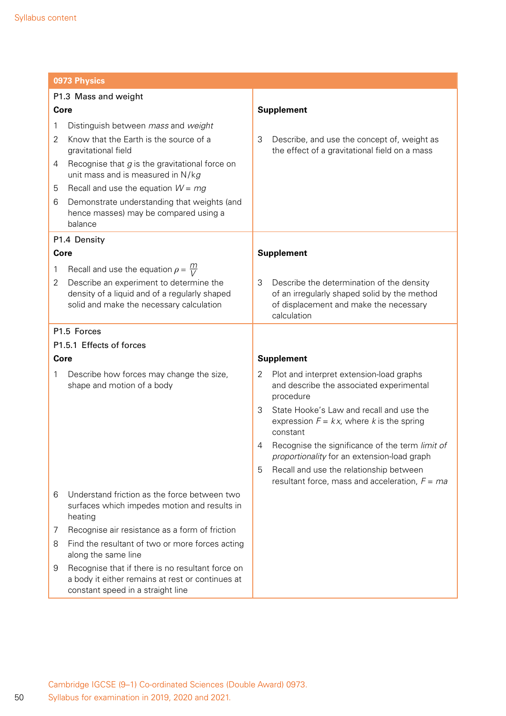|                      | 0973 Physics                                                                                                                              |                                                                                                                                                         |
|----------------------|-------------------------------------------------------------------------------------------------------------------------------------------|---------------------------------------------------------------------------------------------------------------------------------------------------------|
| P1.3 Mass and weight |                                                                                                                                           |                                                                                                                                                         |
| Core                 |                                                                                                                                           | <b>Supplement</b>                                                                                                                                       |
| 1                    | Distinguish between mass and weight                                                                                                       |                                                                                                                                                         |
| 2                    | Know that the Earth is the source of a<br>gravitational field                                                                             | 3<br>Describe, and use the concept of, weight as<br>the effect of a gravitational field on a mass                                                       |
| 4                    | Recognise that $g$ is the gravitational force on<br>unit mass and is measured in N/kg                                                     |                                                                                                                                                         |
| 5                    | Recall and use the equation $W = mg$                                                                                                      |                                                                                                                                                         |
| 6                    | Demonstrate understanding that weights (and<br>hence masses) may be compared using a<br>balance                                           |                                                                                                                                                         |
|                      | P1.4 Density                                                                                                                              |                                                                                                                                                         |
| Core                 |                                                                                                                                           | <b>Supplement</b>                                                                                                                                       |
| 1                    | Recall and use the equation $\rho = \frac{m}{V}$                                                                                          |                                                                                                                                                         |
| 2                    | Describe an experiment to determine the<br>density of a liquid and of a regularly shaped<br>solid and make the necessary calculation      | 3<br>Describe the determination of the density<br>of an irregularly shaped solid by the method<br>of displacement and make the necessary<br>calculation |
|                      | P1.5 Forces                                                                                                                               |                                                                                                                                                         |
|                      | P1.5.1 Effects of forces                                                                                                                  |                                                                                                                                                         |
| Core                 |                                                                                                                                           | <b>Supplement</b>                                                                                                                                       |
| 1                    | Describe how forces may change the size,<br>shape and motion of a body                                                                    | Plot and interpret extension-load graphs<br>2<br>and describe the associated experimental<br>procedure                                                  |
|                      |                                                                                                                                           | 3<br>State Hooke's Law and recall and use the<br>expression $F = kx$ , where k is the spring<br>constant                                                |
|                      |                                                                                                                                           | Recognise the significance of the term limit of<br>4<br>proportionality for an extension-load graph                                                     |
|                      |                                                                                                                                           | Recall and use the relationship between<br>5<br>resultant force, mass and acceleration, $F = ma$                                                        |
| 6                    | Understand friction as the force between two<br>surfaces which impedes motion and results in<br>heating                                   |                                                                                                                                                         |
| 7                    | Recognise air resistance as a form of friction                                                                                            |                                                                                                                                                         |
| 8                    | Find the resultant of two or more forces acting<br>along the same line                                                                    |                                                                                                                                                         |
| 9                    | Recognise that if there is no resultant force on<br>a body it either remains at rest or continues at<br>constant speed in a straight line |                                                                                                                                                         |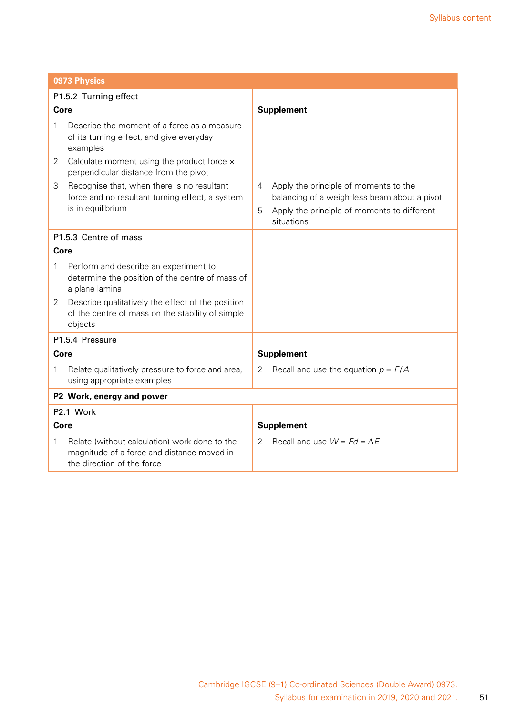| 0973 Physics                                                                                                                   |                                                                                                                                                              |
|--------------------------------------------------------------------------------------------------------------------------------|--------------------------------------------------------------------------------------------------------------------------------------------------------------|
| P1.5.2 Turning effect                                                                                                          |                                                                                                                                                              |
| Core                                                                                                                           | <b>Supplement</b>                                                                                                                                            |
| Describe the moment of a force as a measure<br>1<br>of its turning effect, and give everyday<br>examples                       |                                                                                                                                                              |
| Calculate moment using the product force $\times$<br>$\overline{2}$<br>perpendicular distance from the pivot                   |                                                                                                                                                              |
| 3<br>Recognise that, when there is no resultant<br>force and no resultant turning effect, a system<br>is in equilibrium        | Apply the principle of moments to the<br>4<br>balancing of a weightless beam about a pivot<br>Apply the principle of moments to different<br>5<br>situations |
| P1.5.3 Centre of mass                                                                                                          |                                                                                                                                                              |
| Core                                                                                                                           |                                                                                                                                                              |
| Perform and describe an experiment to<br>1<br>determine the position of the centre of mass of<br>a plane lamina                |                                                                                                                                                              |
| Describe qualitatively the effect of the position<br>2<br>of the centre of mass on the stability of simple<br>objects          |                                                                                                                                                              |
| P1.5.4 Pressure                                                                                                                |                                                                                                                                                              |
| Core                                                                                                                           | <b>Supplement</b>                                                                                                                                            |
| Relate qualitatively pressure to force and area,<br>1<br>using appropriate examples                                            | Recall and use the equation $p = F/A$<br>2                                                                                                                   |
| P2 Work, energy and power                                                                                                      |                                                                                                                                                              |
| P2.1 Work                                                                                                                      |                                                                                                                                                              |
| Core                                                                                                                           | <b>Supplement</b>                                                                                                                                            |
| Relate (without calculation) work done to the<br>1<br>magnitude of a force and distance moved in<br>the direction of the force | Recall and use $W = Fd = \Delta E$<br>2                                                                                                                      |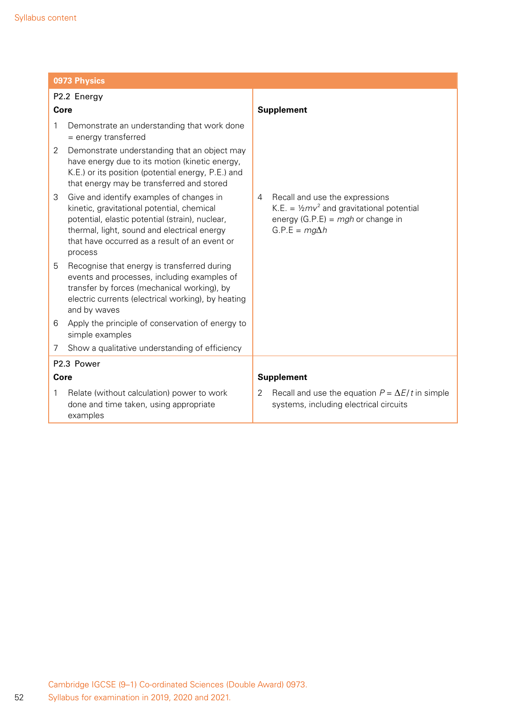| 0973 Physics                                                                                                                                                                                                                                              |                                                                                                                                                            |  |
|-----------------------------------------------------------------------------------------------------------------------------------------------------------------------------------------------------------------------------------------------------------|------------------------------------------------------------------------------------------------------------------------------------------------------------|--|
| P2.2 Energy                                                                                                                                                                                                                                               |                                                                                                                                                            |  |
| Core                                                                                                                                                                                                                                                      | <b>Supplement</b>                                                                                                                                          |  |
| Demonstrate an understanding that work done<br>1<br>= energy transferred                                                                                                                                                                                  |                                                                                                                                                            |  |
| Demonstrate understanding that an object may<br>2<br>have energy due to its motion (kinetic energy,<br>K.E.) or its position (potential energy, P.E.) and<br>that energy may be transferred and stored                                                    |                                                                                                                                                            |  |
| Give and identify examples of changes in<br>3<br>kinetic, gravitational potential, chemical<br>potential, elastic potential (strain), nuclear,<br>thermal, light, sound and electrical energy<br>that have occurred as a result of an event or<br>process | Recall and use the expressions<br>4<br>K.E. = $\frac{1}{2}mv^2$ and gravitational potential<br>energy (G.P.E) = $mgh$ or change in<br>$G.P.E = mg\Delta h$ |  |
| 5<br>Recognise that energy is transferred during<br>events and processes, including examples of<br>transfer by forces (mechanical working), by<br>electric currents (electrical working), by heating<br>and by waves                                      |                                                                                                                                                            |  |
| Apply the principle of conservation of energy to<br>6<br>simple examples                                                                                                                                                                                  |                                                                                                                                                            |  |
| Show a qualitative understanding of efficiency<br>7                                                                                                                                                                                                       |                                                                                                                                                            |  |
| P2.3 Power                                                                                                                                                                                                                                                |                                                                                                                                                            |  |
| Core                                                                                                                                                                                                                                                      | <b>Supplement</b>                                                                                                                                          |  |
| Relate (without calculation) power to work<br>1<br>done and time taken, using appropriate<br>examples                                                                                                                                                     | Recall and use the equation $P = \Delta E / t$ in simple<br>2<br>systems, including electrical circuits                                                    |  |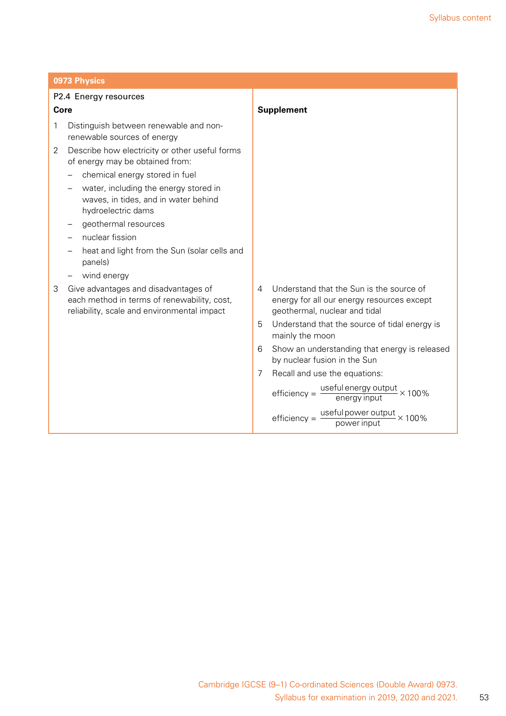| 0973 Physics                                                                                                                            |                                                                                                                              |  |
|-----------------------------------------------------------------------------------------------------------------------------------------|------------------------------------------------------------------------------------------------------------------------------|--|
| P2.4 Energy resources                                                                                                                   |                                                                                                                              |  |
| Core                                                                                                                                    | <b>Supplement</b>                                                                                                            |  |
| Distinguish between renewable and non-<br>1<br>renewable sources of energy                                                              |                                                                                                                              |  |
| 2<br>Describe how electricity or other useful forms<br>of energy may be obtained from:                                                  |                                                                                                                              |  |
| chemical energy stored in fuel<br>water, including the energy stored in<br>waves, in tides, and in water behind<br>hydroelectric dams   |                                                                                                                              |  |
| geothermal resources                                                                                                                    |                                                                                                                              |  |
| nuclear fission                                                                                                                         |                                                                                                                              |  |
| heat and light from the Sun (solar cells and<br>panels)                                                                                 |                                                                                                                              |  |
| wind energy                                                                                                                             |                                                                                                                              |  |
| 3<br>Give advantages and disadvantages of<br>each method in terms of renewability, cost,<br>reliability, scale and environmental impact | Understand that the Sun is the source of<br>4<br>energy for all our energy resources except<br>geothermal, nuclear and tidal |  |
|                                                                                                                                         | Understand that the source of tidal energy is<br>5<br>mainly the moon                                                        |  |
|                                                                                                                                         | Show an understanding that energy is released<br>6<br>by nuclear fusion in the Sun                                           |  |
|                                                                                                                                         | 7<br>Recall and use the equations:                                                                                           |  |
|                                                                                                                                         | efficiency = $\frac{\text{useful energy output}}{\text{energy input}} \times 100\%$                                          |  |
|                                                                                                                                         | useful power output $\times$ 100%<br>$efficiency =$<br>power input                                                           |  |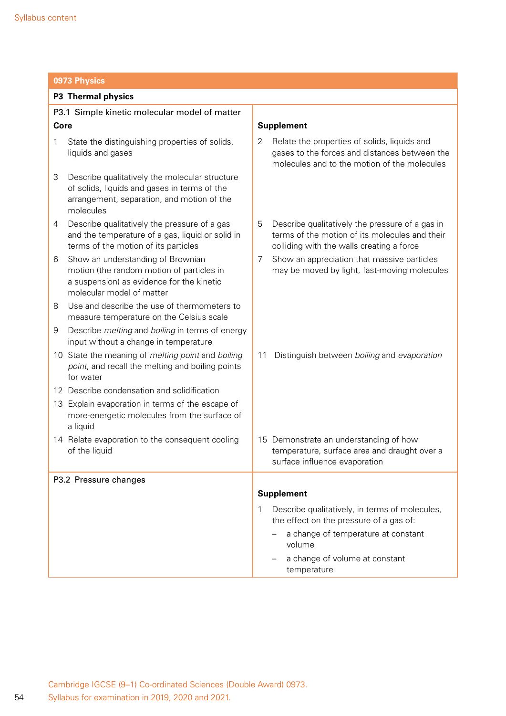| 0973 Physics                                                                                                                                                   |                                                                                                                                                     |  |
|----------------------------------------------------------------------------------------------------------------------------------------------------------------|-----------------------------------------------------------------------------------------------------------------------------------------------------|--|
| P3 Thermal physics                                                                                                                                             |                                                                                                                                                     |  |
| P3.1 Simple kinetic molecular model of matter                                                                                                                  |                                                                                                                                                     |  |
| Core                                                                                                                                                           | <b>Supplement</b>                                                                                                                                   |  |
| State the distinguishing properties of solids,<br>1<br>liquids and gases                                                                                       | Relate the properties of solids, liquids and<br>2<br>gases to the forces and distances between the<br>molecules and to the motion of the molecules  |  |
| 3<br>Describe qualitatively the molecular structure<br>of solids, liquids and gases in terms of the<br>arrangement, separation, and motion of the<br>molecules |                                                                                                                                                     |  |
| Describe qualitatively the pressure of a gas<br>4<br>and the temperature of a gas, liquid or solid in<br>terms of the motion of its particles                  | 5<br>Describe qualitatively the pressure of a gas in<br>terms of the motion of its molecules and their<br>colliding with the walls creating a force |  |
| Show an understanding of Brownian<br>6<br>motion (the random motion of particles in<br>a suspension) as evidence for the kinetic<br>molecular model of matter  | 7<br>Show an appreciation that massive particles<br>may be moved by light, fast-moving molecules                                                    |  |
| Use and describe the use of thermometers to<br>8<br>measure temperature on the Celsius scale                                                                   |                                                                                                                                                     |  |
| Describe <i>melting</i> and <i>boiling</i> in terms of energy<br>9<br>input without a change in temperature                                                    |                                                                                                                                                     |  |
| 10 State the meaning of melting point and boiling<br>point, and recall the melting and boiling points<br>for water                                             | Distinguish between boiling and evaporation<br>11                                                                                                   |  |
| 12 Describe condensation and solidification                                                                                                                    |                                                                                                                                                     |  |
| 13 Explain evaporation in terms of the escape of<br>more-energetic molecules from the surface of<br>a liquid                                                   |                                                                                                                                                     |  |
| 14 Relate evaporation to the consequent cooling<br>of the liquid                                                                                               | 15 Demonstrate an understanding of how<br>temperature, surface area and draught over a<br>surface influence evaporation                             |  |
| P3.2 Pressure changes                                                                                                                                          |                                                                                                                                                     |  |
|                                                                                                                                                                | <b>Supplement</b>                                                                                                                                   |  |
|                                                                                                                                                                | Describe qualitatively, in terms of molecules,<br>1<br>the effect on the pressure of a gas of:                                                      |  |
|                                                                                                                                                                | a change of temperature at constant<br>volume                                                                                                       |  |
|                                                                                                                                                                | a change of volume at constant<br>temperature                                                                                                       |  |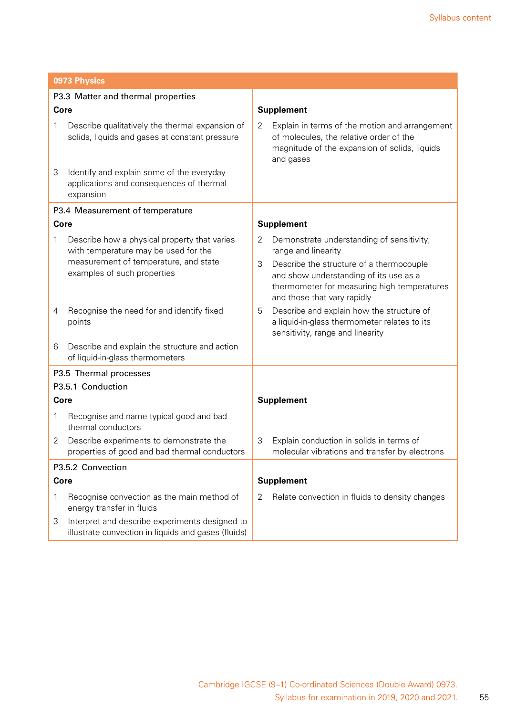| 0973 Physics                       |                                                                                                       |   |                                                                                                                                                                  |  |
|------------------------------------|-------------------------------------------------------------------------------------------------------|---|------------------------------------------------------------------------------------------------------------------------------------------------------------------|--|
| P3.3 Matter and thermal properties |                                                                                                       |   |                                                                                                                                                                  |  |
| Core                               |                                                                                                       |   | <b>Supplement</b>                                                                                                                                                |  |
| 1                                  | Describe qualitatively the thermal expansion of<br>solids, liquids and gases at constant pressure     | 2 | Explain in terms of the motion and arrangement<br>of molecules, the relative order of the<br>magnitude of the expansion of solids, liquids<br>and gases          |  |
| 3                                  | Identify and explain some of the everyday<br>applications and consequences of thermal<br>expansion    |   |                                                                                                                                                                  |  |
|                                    | P3.4 Measurement of temperature                                                                       |   |                                                                                                                                                                  |  |
|                                    | <b>Core</b>                                                                                           |   | <b>Supplement</b>                                                                                                                                                |  |
| 1                                  | Describe how a physical property that varies<br>with temperature may be used for the                  | 2 | Demonstrate understanding of sensitivity,<br>range and linearity                                                                                                 |  |
|                                    | measurement of temperature, and state<br>examples of such properties                                  | 3 | Describe the structure of a thermocouple<br>and show understanding of its use as a<br>thermometer for measuring high temperatures<br>and those that vary rapidly |  |
| 4                                  | Recognise the need for and identify fixed<br>points                                                   | 5 | Describe and explain how the structure of<br>a liquid-in-glass thermometer relates to its<br>sensitivity, range and linearity                                    |  |
| 6                                  | Describe and explain the structure and action<br>of liquid-in-glass thermometers                      |   |                                                                                                                                                                  |  |
|                                    | P3.5 Thermal processes                                                                                |   |                                                                                                                                                                  |  |
|                                    | P3.5.1 Conduction                                                                                     |   |                                                                                                                                                                  |  |
|                                    | Core                                                                                                  |   | <b>Supplement</b>                                                                                                                                                |  |
| 1                                  | Recognise and name typical good and bad<br>thermal conductors                                         |   |                                                                                                                                                                  |  |
| 2                                  | Describe experiments to demonstrate the<br>properties of good and bad thermal conductors              | 3 | Explain conduction in solids in terms of<br>molecular vibrations and transfer by electrons                                                                       |  |
| P3.5.2 Convection                  |                                                                                                       |   |                                                                                                                                                                  |  |
| <b>Core</b>                        |                                                                                                       |   | <b>Supplement</b>                                                                                                                                                |  |
| 1                                  | Recognise convection as the main method of<br>energy transfer in fluids                               | 2 | Relate convection in fluids to density changes                                                                                                                   |  |
| 3                                  | Interpret and describe experiments designed to<br>illustrate convection in liquids and gases (fluids) |   |                                                                                                                                                                  |  |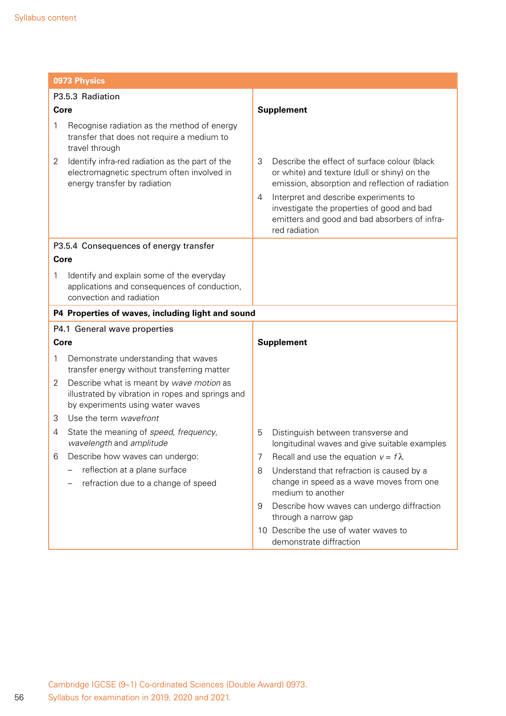| 0973 Physics                                                                                                                           |                                                                                                                                                                                                                                                                                                                     |  |
|----------------------------------------------------------------------------------------------------------------------------------------|---------------------------------------------------------------------------------------------------------------------------------------------------------------------------------------------------------------------------------------------------------------------------------------------------------------------|--|
| P3.5.3 Radiation                                                                                                                       |                                                                                                                                                                                                                                                                                                                     |  |
| Core                                                                                                                                   | <b>Supplement</b>                                                                                                                                                                                                                                                                                                   |  |
| Recognise radiation as the method of energy<br>1<br>transfer that does not require a medium to<br>travel through                       |                                                                                                                                                                                                                                                                                                                     |  |
| Identify infra-red radiation as the part of the<br>2<br>electromagnetic spectrum often involved in<br>energy transfer by radiation     | Describe the effect of surface colour (black<br>3<br>or white) and texture (dull or shiny) on the<br>emission, absorption and reflection of radiation<br>Interpret and describe experiments to<br>4<br>investigate the properties of good and bad<br>emitters and good and bad absorbers of infra-<br>red radiation |  |
| P3.5.4 Consequences of energy transfer                                                                                                 |                                                                                                                                                                                                                                                                                                                     |  |
| Core                                                                                                                                   |                                                                                                                                                                                                                                                                                                                     |  |
| Identify and explain some of the everyday<br>1<br>applications and consequences of conduction,<br>convection and radiation             |                                                                                                                                                                                                                                                                                                                     |  |
| P4 Properties of waves, including light and sound                                                                                      |                                                                                                                                                                                                                                                                                                                     |  |
| P4.1 General wave properties                                                                                                           |                                                                                                                                                                                                                                                                                                                     |  |
| Core                                                                                                                                   | <b>Supplement</b>                                                                                                                                                                                                                                                                                                   |  |
| Demonstrate understanding that waves<br>1<br>transfer energy without transferring matter                                               |                                                                                                                                                                                                                                                                                                                     |  |
| 2<br>Describe what is meant by wave motion as<br>illustrated by vibration in ropes and springs and<br>by experiments using water waves |                                                                                                                                                                                                                                                                                                                     |  |
| Use the term wavefront<br>3                                                                                                            |                                                                                                                                                                                                                                                                                                                     |  |
| State the meaning of speed, frequency,<br>4<br>wavelength and amplitude                                                                | 5<br>Distinguish between transverse and<br>longitudinal waves and give suitable examples                                                                                                                                                                                                                            |  |
| Describe how waves can undergo:<br>6                                                                                                   | Recall and use the equation $v = f \lambda$<br>7                                                                                                                                                                                                                                                                    |  |
| reflection at a plane surface<br>refraction due to a change of speed                                                                   | Understand that refraction is caused by a<br>8<br>change in speed as a wave moves from one<br>medium to another                                                                                                                                                                                                     |  |
|                                                                                                                                        | Describe how waves can undergo diffraction<br>9<br>through a narrow gap                                                                                                                                                                                                                                             |  |
|                                                                                                                                        | 10 Describe the use of water waves to<br>demonstrate diffraction                                                                                                                                                                                                                                                    |  |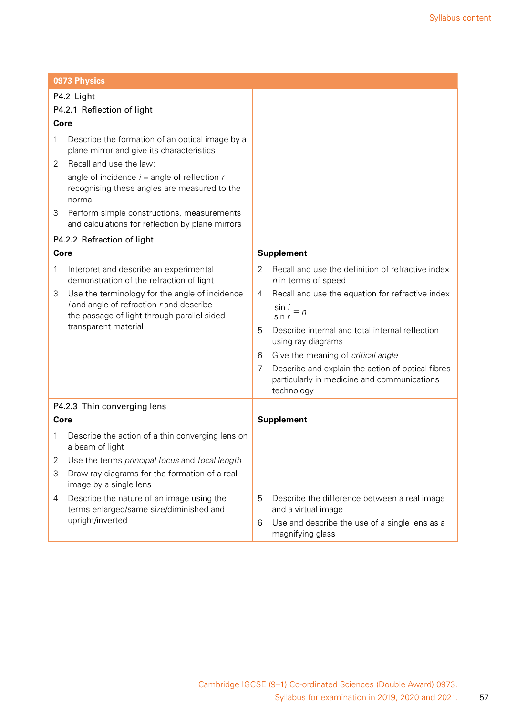|                | 0973 Physics                                                                                                                                                                |                                                                                                                     |
|----------------|-----------------------------------------------------------------------------------------------------------------------------------------------------------------------------|---------------------------------------------------------------------------------------------------------------------|
|                | P4.2 Light                                                                                                                                                                  |                                                                                                                     |
|                | P4.2.1 Reflection of light                                                                                                                                                  |                                                                                                                     |
| Core           |                                                                                                                                                                             |                                                                                                                     |
| 1<br>2         | Describe the formation of an optical image by a<br>plane mirror and give its characteristics<br>Recall and use the law:<br>angle of incidence $i =$ angle of reflection $r$ |                                                                                                                     |
| 3              | recognising these angles are measured to the<br>normal                                                                                                                      |                                                                                                                     |
|                | Perform simple constructions, measurements<br>and calculations for reflection by plane mirrors                                                                              |                                                                                                                     |
|                | P4.2.2 Refraction of light                                                                                                                                                  |                                                                                                                     |
| Core           |                                                                                                                                                                             | <b>Supplement</b>                                                                                                   |
| 1              | Interpret and describe an experimental<br>demonstration of the refraction of light                                                                                          | Recall and use the definition of refractive index<br>2<br>$n$ in terms of speed                                     |
| 3              | Use the terminology for the angle of incidence                                                                                                                              | Recall and use the equation for refractive index<br>4                                                               |
|                | $i$ and angle of refraction $r$ and describe<br>the passage of light through parallel-sided                                                                                 | $\frac{\sin i}{\sin r} = n$                                                                                         |
|                | transparent material                                                                                                                                                        | Describe internal and total internal reflection<br>5<br>using ray diagrams                                          |
|                |                                                                                                                                                                             | Give the meaning of critical angle<br>6                                                                             |
|                |                                                                                                                                                                             | Describe and explain the action of optical fibres<br>7<br>particularly in medicine and communications<br>technology |
|                | P4.2.3 Thin converging lens                                                                                                                                                 |                                                                                                                     |
| Core           |                                                                                                                                                                             | <b>Supplement</b>                                                                                                   |
| 1              | Describe the action of a thin converging lens on<br>a beam of light                                                                                                         |                                                                                                                     |
| $\overline{2}$ | Use the terms principal focus and focal length                                                                                                                              |                                                                                                                     |
| 3              | Draw ray diagrams for the formation of a real<br>image by a single lens                                                                                                     |                                                                                                                     |
| 4              | Describe the nature of an image using the<br>terms enlarged/same size/diminished and                                                                                        | 5<br>Describe the difference between a real image<br>and a virtual image                                            |
|                | upright/inverted                                                                                                                                                            | Use and describe the use of a single lens as a<br>6<br>magnifying glass                                             |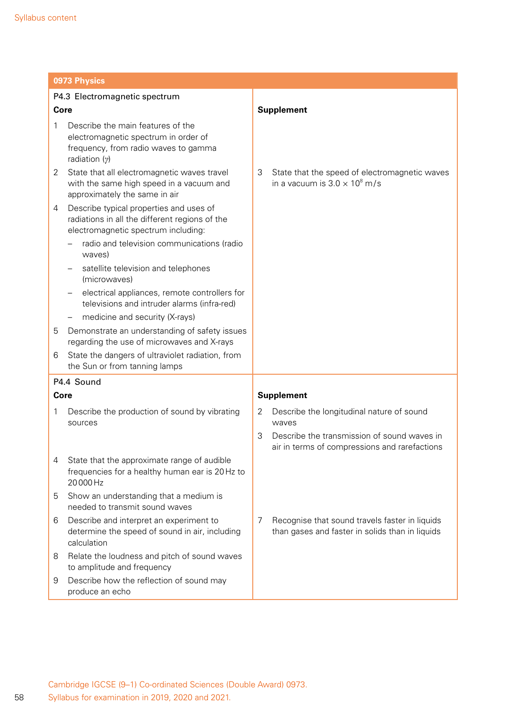|      | 0973 Physics                                                                                                                         |                                                                                                        |
|------|--------------------------------------------------------------------------------------------------------------------------------------|--------------------------------------------------------------------------------------------------------|
|      | P4.3 Electromagnetic spectrum                                                                                                        |                                                                                                        |
| Core |                                                                                                                                      | <b>Supplement</b>                                                                                      |
| 1    | Describe the main features of the<br>electromagnetic spectrum in order of<br>frequency, from radio waves to gamma<br>radiation $(y)$ |                                                                                                        |
| 2    | State that all electromagnetic waves travel<br>with the same high speed in a vacuum and<br>approximately the same in air             | 3<br>State that the speed of electromagnetic waves<br>in a vacuum is $3.0 \times 10^8$ m/s             |
| 4    | Describe typical properties and uses of<br>radiations in all the different regions of the<br>electromagnetic spectrum including:     |                                                                                                        |
|      | radio and television communications (radio<br>waves)                                                                                 |                                                                                                        |
|      | satellite television and telephones<br>(microwaves)                                                                                  |                                                                                                        |
|      | electrical appliances, remote controllers for<br>televisions and intruder alarms (infra-red)                                         |                                                                                                        |
|      | medicine and security (X-rays)<br>$\qquad \qquad -$                                                                                  |                                                                                                        |
| 5    | Demonstrate an understanding of safety issues<br>regarding the use of microwaves and X-rays                                          |                                                                                                        |
| 6    | State the dangers of ultraviolet radiation, from<br>the Sun or from tanning lamps                                                    |                                                                                                        |
|      | P4.4 Sound                                                                                                                           |                                                                                                        |
| Core |                                                                                                                                      | <b>Supplement</b>                                                                                      |
| 1    | Describe the production of sound by vibrating<br>sources                                                                             | Describe the longitudinal nature of sound<br>2<br>waves                                                |
|      |                                                                                                                                      | 3<br>Describe the transmission of sound waves in<br>air in terms of compressions and rarefactions      |
| 4    | State that the approximate range of audible<br>frequencies for a healthy human ear is 20 Hz to<br>20000Hz                            |                                                                                                        |
| 5    | Show an understanding that a medium is<br>needed to transmit sound waves                                                             |                                                                                                        |
| 6    | Describe and interpret an experiment to<br>determine the speed of sound in air, including<br>calculation                             | Recognise that sound travels faster in liquids<br>7<br>than gases and faster in solids than in liquids |
| 8    | Relate the loudness and pitch of sound waves<br>to amplitude and frequency                                                           |                                                                                                        |
| 9    | Describe how the reflection of sound may<br>produce an echo                                                                          |                                                                                                        |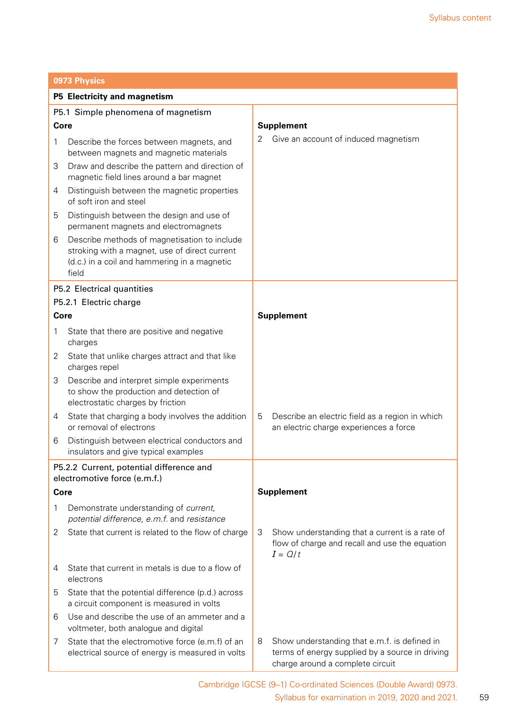|                                                                          | 0973 Physics                                                                                                                                           |                   |                                                                                                                                     |  |  |
|--------------------------------------------------------------------------|--------------------------------------------------------------------------------------------------------------------------------------------------------|-------------------|-------------------------------------------------------------------------------------------------------------------------------------|--|--|
|                                                                          | P5 Electricity and magnetism                                                                                                                           |                   |                                                                                                                                     |  |  |
|                                                                          | P5.1 Simple phenomena of magnetism                                                                                                                     |                   |                                                                                                                                     |  |  |
| Core                                                                     |                                                                                                                                                        |                   | <b>Supplement</b>                                                                                                                   |  |  |
| 1                                                                        | Describe the forces between magnets, and<br>between magnets and magnetic materials                                                                     | 2                 | Give an account of induced magnetism                                                                                                |  |  |
| 3                                                                        | Draw and describe the pattern and direction of<br>magnetic field lines around a bar magnet                                                             |                   |                                                                                                                                     |  |  |
| 4                                                                        | Distinguish between the magnetic properties<br>of soft iron and steel                                                                                  |                   |                                                                                                                                     |  |  |
| 5                                                                        | Distinguish between the design and use of<br>permanent magnets and electromagnets                                                                      |                   |                                                                                                                                     |  |  |
| 6                                                                        | Describe methods of magnetisation to include<br>stroking with a magnet, use of direct current<br>(d.c.) in a coil and hammering in a magnetic<br>field |                   |                                                                                                                                     |  |  |
|                                                                          | P5.2 Electrical quantities                                                                                                                             |                   |                                                                                                                                     |  |  |
|                                                                          | P5.2.1 Electric charge                                                                                                                                 |                   |                                                                                                                                     |  |  |
| Core                                                                     |                                                                                                                                                        |                   | <b>Supplement</b>                                                                                                                   |  |  |
| 1                                                                        | State that there are positive and negative<br>charges                                                                                                  |                   |                                                                                                                                     |  |  |
| 2                                                                        | State that unlike charges attract and that like<br>charges repel                                                                                       |                   |                                                                                                                                     |  |  |
| 3                                                                        | Describe and interpret simple experiments<br>to show the production and detection of<br>electrostatic charges by friction                              |                   |                                                                                                                                     |  |  |
| 4                                                                        | State that charging a body involves the addition<br>or removal of electrons                                                                            | 5                 | Describe an electric field as a region in which<br>an electric charge experiences a force                                           |  |  |
| 6                                                                        | Distinguish between electrical conductors and<br>insulators and give typical examples                                                                  |                   |                                                                                                                                     |  |  |
| P5.2.2 Current, potential difference and<br>electromotive force (e.m.f.) |                                                                                                                                                        |                   |                                                                                                                                     |  |  |
| Core                                                                     |                                                                                                                                                        | <b>Supplement</b> |                                                                                                                                     |  |  |
| 1                                                                        | Demonstrate understanding of current,<br>potential difference, e.m.f. and resistance                                                                   |                   |                                                                                                                                     |  |  |
| 2                                                                        | State that current is related to the flow of charge                                                                                                    | 3                 | Show understanding that a current is a rate of<br>flow of charge and recall and use the equation<br>$I = Q/t$                       |  |  |
| 4                                                                        | State that current in metals is due to a flow of<br>electrons                                                                                          |                   |                                                                                                                                     |  |  |
| 5                                                                        | State that the potential difference (p.d.) across<br>a circuit component is measured in volts                                                          |                   |                                                                                                                                     |  |  |
| 6                                                                        | Use and describe the use of an ammeter and a<br>voltmeter, both analogue and digital                                                                   |                   |                                                                                                                                     |  |  |
| 7                                                                        | State that the electromotive force (e.m.f) of an<br>electrical source of energy is measured in volts                                                   | 8                 | Show understanding that e.m.f. is defined in<br>terms of energy supplied by a source in driving<br>charge around a complete circuit |  |  |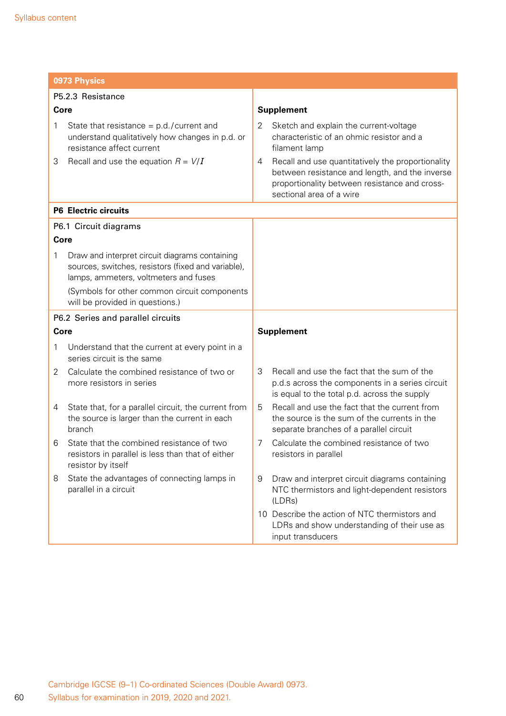|                                   | 0973 Physics                                                                                                                                  |                                                                                                                                                                                       |  |  |  |
|-----------------------------------|-----------------------------------------------------------------------------------------------------------------------------------------------|---------------------------------------------------------------------------------------------------------------------------------------------------------------------------------------|--|--|--|
|                                   | P5.2.3 Resistance                                                                                                                             |                                                                                                                                                                                       |  |  |  |
| Core                              |                                                                                                                                               | <b>Supplement</b>                                                                                                                                                                     |  |  |  |
| 1                                 | State that resistance = $p.d./current$ and<br>understand qualitatively how changes in p.d. or<br>resistance affect current                    | Sketch and explain the current-voltage<br>2<br>characteristic of an ohmic resistor and a<br>filament lamp                                                                             |  |  |  |
| 3                                 | Recall and use the equation $R = V/I$                                                                                                         | Recall and use quantitatively the proportionality<br>4<br>between resistance and length, and the inverse<br>proportionality between resistance and cross-<br>sectional area of a wire |  |  |  |
|                                   | <b>P6 Electric circuits</b>                                                                                                                   |                                                                                                                                                                                       |  |  |  |
|                                   | P6.1 Circuit diagrams                                                                                                                         |                                                                                                                                                                                       |  |  |  |
| Core                              |                                                                                                                                               |                                                                                                                                                                                       |  |  |  |
| 1                                 | Draw and interpret circuit diagrams containing<br>sources, switches, resistors (fixed and variable),<br>lamps, ammeters, voltmeters and fuses |                                                                                                                                                                                       |  |  |  |
|                                   | (Symbols for other common circuit components<br>will be provided in questions.)                                                               |                                                                                                                                                                                       |  |  |  |
| P6.2 Series and parallel circuits |                                                                                                                                               |                                                                                                                                                                                       |  |  |  |
| Core                              |                                                                                                                                               | <b>Supplement</b>                                                                                                                                                                     |  |  |  |
| 1                                 | Understand that the current at every point in a<br>series circuit is the same                                                                 |                                                                                                                                                                                       |  |  |  |
| 2                                 | Calculate the combined resistance of two or<br>more resistors in series                                                                       | Recall and use the fact that the sum of the<br>3<br>p.d.s across the components in a series circuit<br>is equal to the total p.d. across the supply                                   |  |  |  |
| 4                                 | State that, for a parallel circuit, the current from<br>the source is larger than the current in each<br>branch                               | Recall and use the fact that the current from<br>5<br>the source is the sum of the currents in the<br>separate branches of a parallel circuit                                         |  |  |  |
| 6                                 | State that the combined resistance of two<br>resistors in parallel is less than that of either<br>resistor by itself                          | Calculate the combined resistance of two<br>7<br>resistors in parallel                                                                                                                |  |  |  |
| 8                                 | State the advantages of connecting lamps in<br>parallel in a circuit                                                                          | 9<br>Draw and interpret circuit diagrams containing<br>NTC thermistors and light-dependent resistors<br>(LDRs)                                                                        |  |  |  |
|                                   |                                                                                                                                               | 10 Describe the action of NTC thermistors and<br>LDRs and show understanding of their use as<br>input transducers                                                                     |  |  |  |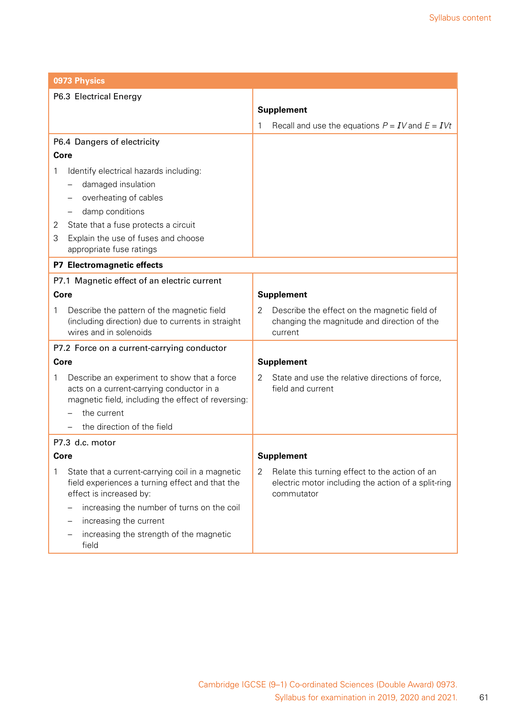|                        | 0973 Physics                                                                                        |                   |                                                                                                       |  |  |
|------------------------|-----------------------------------------------------------------------------------------------------|-------------------|-------------------------------------------------------------------------------------------------------|--|--|
| P6.3 Electrical Energy |                                                                                                     |                   |                                                                                                       |  |  |
|                        |                                                                                                     | <b>Supplement</b> |                                                                                                       |  |  |
|                        |                                                                                                     | 1                 | Recall and use the equations $P = IV$ and $E = IVt$                                                   |  |  |
|                        | P6.4 Dangers of electricity                                                                         |                   |                                                                                                       |  |  |
| Core                   |                                                                                                     |                   |                                                                                                       |  |  |
| 1                      | Identify electrical hazards including:                                                              |                   |                                                                                                       |  |  |
|                        | damaged insulation                                                                                  |                   |                                                                                                       |  |  |
|                        | overheating of cables                                                                               |                   |                                                                                                       |  |  |
|                        | damp conditions                                                                                     |                   |                                                                                                       |  |  |
| 2                      | State that a fuse protects a circuit                                                                |                   |                                                                                                       |  |  |
| 3                      | Explain the use of fuses and choose                                                                 |                   |                                                                                                       |  |  |
|                        | appropriate fuse ratings                                                                            |                   |                                                                                                       |  |  |
|                        | P7 Electromagnetic effects                                                                          |                   |                                                                                                       |  |  |
|                        | P7.1 Magnetic effect of an electric current                                                         |                   |                                                                                                       |  |  |
| <b>Core</b>            |                                                                                                     |                   | <b>Supplement</b>                                                                                     |  |  |
| 1                      | Describe the pattern of the magnetic field                                                          | 2                 | Describe the effect on the magnetic field of                                                          |  |  |
|                        | (including direction) due to currents in straight                                                   |                   | changing the magnitude and direction of the                                                           |  |  |
|                        | wires and in solenoids                                                                              |                   | current                                                                                               |  |  |
|                        | P7.2 Force on a current-carrying conductor                                                          |                   |                                                                                                       |  |  |
| Core                   |                                                                                                     | <b>Supplement</b> |                                                                                                       |  |  |
| 1                      | Describe an experiment to show that a force                                                         | 2                 | State and use the relative directions of force,                                                       |  |  |
|                        | acts on a current-carrying conductor in a<br>magnetic field, including the effect of reversing:     |                   | field and current                                                                                     |  |  |
|                        | the current                                                                                         |                   |                                                                                                       |  |  |
|                        | the direction of the field                                                                          |                   |                                                                                                       |  |  |
|                        | P7.3 d.c. motor                                                                                     |                   |                                                                                                       |  |  |
| Core                   |                                                                                                     |                   | <b>Supplement</b>                                                                                     |  |  |
|                        |                                                                                                     |                   |                                                                                                       |  |  |
| 1                      | State that a current-carrying coil in a magnetic<br>field experiences a turning effect and that the | 2                 | Relate this turning effect to the action of an<br>electric motor including the action of a split-ring |  |  |
|                        | effect is increased by:                                                                             |                   | commutator                                                                                            |  |  |
|                        | increasing the number of turns on the coil                                                          |                   |                                                                                                       |  |  |
|                        | increasing the current                                                                              |                   |                                                                                                       |  |  |
|                        | increasing the strength of the magnetic<br>field                                                    |                   |                                                                                                       |  |  |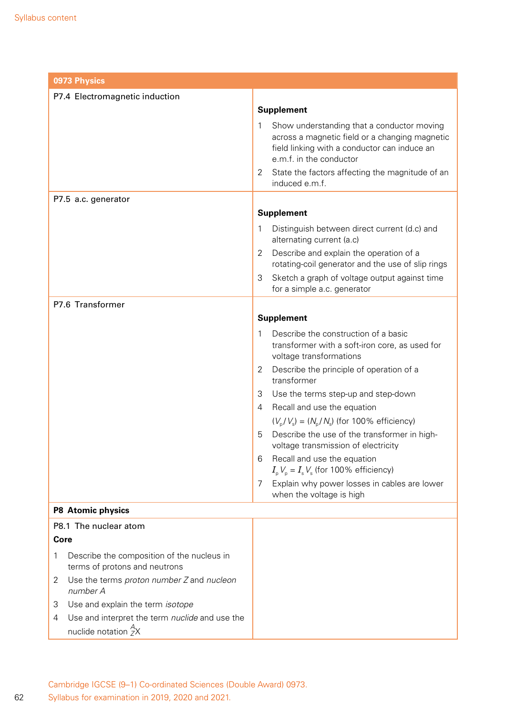| 0973 Physics                                                                      |                                                                                                                                                                                                                                                        |  |  |
|-----------------------------------------------------------------------------------|--------------------------------------------------------------------------------------------------------------------------------------------------------------------------------------------------------------------------------------------------------|--|--|
| P7.4 Electromagnetic induction                                                    |                                                                                                                                                                                                                                                        |  |  |
|                                                                                   | <b>Supplement</b>                                                                                                                                                                                                                                      |  |  |
|                                                                                   | 1<br>Show understanding that a conductor moving<br>across a magnetic field or a changing magnetic<br>field linking with a conductor can induce an<br>e.m.f. in the conductor<br>State the factors affecting the magnitude of an<br>2<br>induced e.m.f. |  |  |
| P7.5 a.c. generator                                                               |                                                                                                                                                                                                                                                        |  |  |
|                                                                                   | <b>Supplement</b>                                                                                                                                                                                                                                      |  |  |
|                                                                                   | 1<br>Distinguish between direct current (d.c) and<br>alternating current (a.c)                                                                                                                                                                         |  |  |
|                                                                                   | Describe and explain the operation of a<br>2<br>rotating-coil generator and the use of slip rings                                                                                                                                                      |  |  |
|                                                                                   | 3<br>Sketch a graph of voltage output against time<br>for a simple a.c. generator                                                                                                                                                                      |  |  |
| P7.6 Transformer                                                                  |                                                                                                                                                                                                                                                        |  |  |
|                                                                                   | <b>Supplement</b>                                                                                                                                                                                                                                      |  |  |
|                                                                                   | Describe the construction of a basic<br>1<br>transformer with a soft-iron core, as used for<br>voltage transformations                                                                                                                                 |  |  |
|                                                                                   | Describe the principle of operation of a<br>2<br>transformer                                                                                                                                                                                           |  |  |
|                                                                                   | 3<br>Use the terms step-up and step-down                                                                                                                                                                                                               |  |  |
|                                                                                   | Recall and use the equation<br>4                                                                                                                                                                                                                       |  |  |
|                                                                                   | $(V_p/V_s) = (N_p/N_s)$ (for 100% efficiency)                                                                                                                                                                                                          |  |  |
|                                                                                   | Describe the use of the transformer in high-<br>5<br>voltage transmission of electricity                                                                                                                                                               |  |  |
|                                                                                   | Recall and use the equation<br>6<br>$I_{\rm p}V_{\rm p} = I_{\rm s}V_{\rm s}$ (for 100% efficiency)                                                                                                                                                    |  |  |
|                                                                                   | Explain why power losses in cables are lower<br>7<br>when the voltage is high                                                                                                                                                                          |  |  |
| P8 Atomic physics                                                                 |                                                                                                                                                                                                                                                        |  |  |
| P8.1 The nuclear atom                                                             |                                                                                                                                                                                                                                                        |  |  |
| <b>Core</b>                                                                       |                                                                                                                                                                                                                                                        |  |  |
| Describe the composition of the nucleus in<br>1<br>terms of protons and neutrons  |                                                                                                                                                                                                                                                        |  |  |
| Use the terms proton number Z and nucleon<br>2<br>number A                        |                                                                                                                                                                                                                                                        |  |  |
| Use and explain the term isotope<br>3                                             |                                                                                                                                                                                                                                                        |  |  |
| Use and interpret the term nuclide and use the<br>4<br>nuclide notation ${}^A_ZX$ |                                                                                                                                                                                                                                                        |  |  |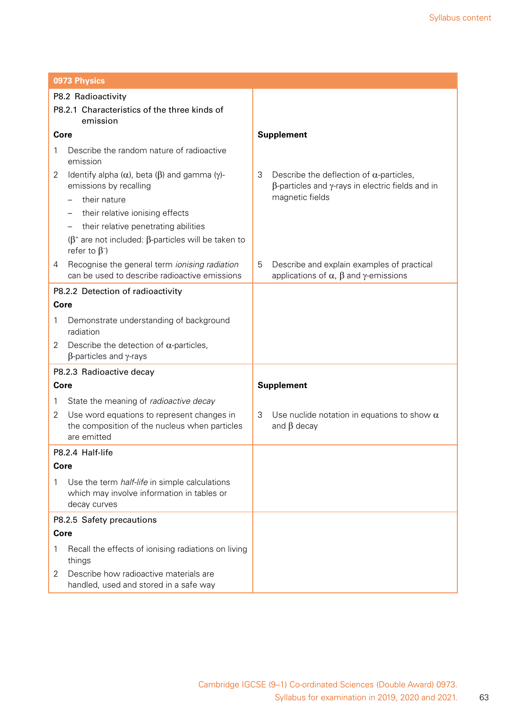|                                                          | 0973 Physics                                                                                                       |                   |                                                                                                                    |  |  |
|----------------------------------------------------------|--------------------------------------------------------------------------------------------------------------------|-------------------|--------------------------------------------------------------------------------------------------------------------|--|--|
| P8.2 Radioactivity                                       |                                                                                                                    |                   |                                                                                                                    |  |  |
| P8.2.1 Characteristics of the three kinds of<br>emission |                                                                                                                    |                   |                                                                                                                    |  |  |
| Core                                                     |                                                                                                                    | <b>Supplement</b> |                                                                                                                    |  |  |
| 1                                                        | Describe the random nature of radioactive<br>emission                                                              |                   |                                                                                                                    |  |  |
| 2                                                        | Identify alpha $(\alpha)$ , beta $(\beta)$ and gamma $(\gamma)$ -<br>emissions by recalling                        | 3                 | Describe the deflection of $\alpha$ -particles,<br>$\beta$ -particles and $\gamma$ -rays in electric fields and in |  |  |
|                                                          | their nature                                                                                                       |                   | magnetic fields                                                                                                    |  |  |
|                                                          | their relative ionising effects                                                                                    |                   |                                                                                                                    |  |  |
|                                                          | their relative penetrating abilities                                                                               |                   |                                                                                                                    |  |  |
|                                                          | $(β+$ are not included: β-particles will be taken to<br>refer to $\beta^-$                                         |                   |                                                                                                                    |  |  |
| 4                                                        | Recognise the general term ionising radiation<br>can be used to describe radioactive emissions                     | 5                 | Describe and explain examples of practical<br>applications of $\alpha$ , $\beta$ and $\gamma$ -emissions           |  |  |
| P8.2.2 Detection of radioactivity                        |                                                                                                                    |                   |                                                                                                                    |  |  |
| Core                                                     |                                                                                                                    |                   |                                                                                                                    |  |  |
| 1                                                        | Demonstrate understanding of background<br>radiation                                                               |                   |                                                                                                                    |  |  |
| 2                                                        | Describe the detection of $\alpha$ -particles,<br>$\beta$ -particles and $\gamma$ -rays                            |                   |                                                                                                                    |  |  |
|                                                          | P8.2.3 Radioactive decay                                                                                           |                   |                                                                                                                    |  |  |
| Core                                                     |                                                                                                                    | <b>Supplement</b> |                                                                                                                    |  |  |
| 1                                                        | State the meaning of radioactive decay                                                                             |                   |                                                                                                                    |  |  |
| 2                                                        | Use word equations to represent changes in<br>the composition of the nucleus when particles<br>are emitted         | 3                 | Use nuclide notation in equations to show $\alpha$<br>and $\beta$ decay                                            |  |  |
|                                                          | P8.2.4 Half-life                                                                                                   |                   |                                                                                                                    |  |  |
| Core                                                     |                                                                                                                    |                   |                                                                                                                    |  |  |
| 1                                                        | Use the term <i>half-life</i> in simple calculations<br>which may involve information in tables or<br>decay curves |                   |                                                                                                                    |  |  |
| P8.2.5 Safety precautions                                |                                                                                                                    |                   |                                                                                                                    |  |  |
| Core                                                     |                                                                                                                    |                   |                                                                                                                    |  |  |
| 1                                                        | Recall the effects of ionising radiations on living<br>things                                                      |                   |                                                                                                                    |  |  |
| 2                                                        | Describe how radioactive materials are<br>handled, used and stored in a safe way                                   |                   |                                                                                                                    |  |  |

63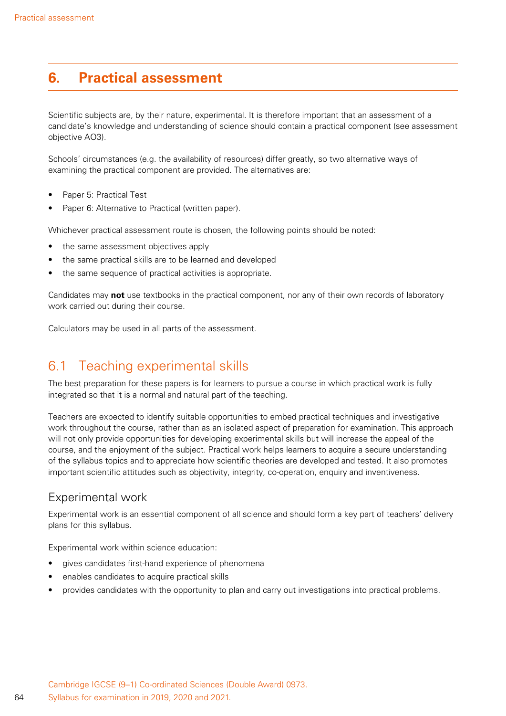## **6. Practical assessment**

Scientific subjects are, by their nature, experimental. It is therefore important that an assessment of a candidate's knowledge and understanding of science should contain a practical component (see assessment objective AO3).

Schools' circumstances (e.g. the availability of resources) differ greatly, so two alternative ways of examining the practical component are provided. The alternatives are:

- Paper 5: Practical Test
- Paper 6: Alternative to Practical (written paper).

Whichever practical assessment route is chosen, the following points should be noted:

- the same assessment objectives apply
- the same practical skills are to be learned and developed
- the same sequence of practical activities is appropriate.

Candidates may **not** use textbooks in the practical component, nor any of their own records of laboratory work carried out during their course.

Calculators may be used in all parts of the assessment.

### 6.1 Teaching experimental skills

The best preparation for these papers is for learners to pursue a course in which practical work is fully integrated so that it is a normal and natural part of the teaching.

Teachers are expected to identify suitable opportunities to embed practical techniques and investigative work throughout the course, rather than as an isolated aspect of preparation for examination. This approach will not only provide opportunities for developing experimental skills but will increase the appeal of the course, and the enjoyment of the subject. Practical work helps learners to acquire a secure understanding of the syllabus topics and to appreciate how scientific theories are developed and tested. It also promotes important scientific attitudes such as objectivity, integrity, co-operation, enquiry and inventiveness.

#### Experimental work

Experimental work is an essential component of all science and should form a key part of teachers' delivery plans for this syllabus.

Experimental work within science education:

- gives candidates first-hand experience of phenomena
- enables candidates to acquire practical skills
- provides candidates with the opportunity to plan and carry out investigations into practical problems.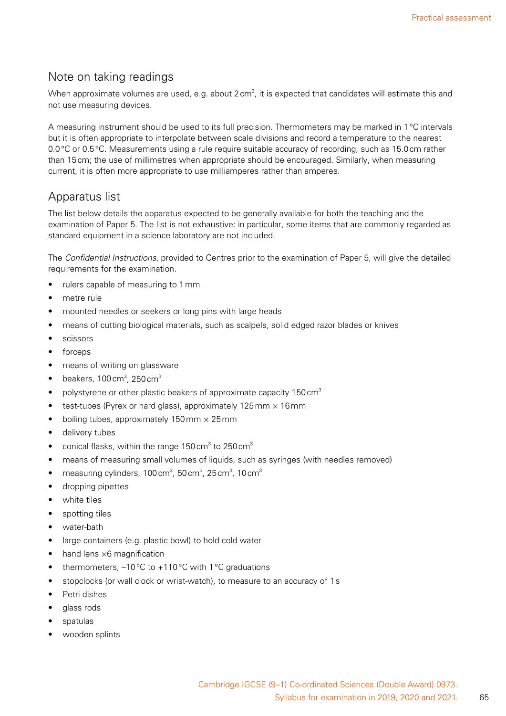#### Note on taking readings

When approximate volumes are used, e.g. about 2 cm $^3$ , it is expected that candidates will estimate this and not use measuring devices.

A measuring instrument should be used to its full precision. Thermometers may be marked in 1°C intervals but it is often appropriate to interpolate between scale divisions and record a temperature to the nearest 0.0°C or 0.5°C. Measurements using a rule require suitable accuracy of recording, such as 15.0cm rather than 15cm; the use of millimetres when appropriate should be encouraged. Similarly, when measuring current, it is often more appropriate to use milliamperes rather than amperes.

#### Apparatus list

The list below details the apparatus expected to be generally available for both the teaching and the examination of Paper 5. The list is not exhaustive: in particular, some items that are commonly regarded as standard equipment in a science laboratory are not included.

The *Confidential Instructions*, provided to Centres prior to the examination of Paper 5, will give the detailed requirements for the examination.

- rulers capable of measuring to 1 mm
- metre rule
- mounted needles or seekers or long pins with large heads
- means of cutting biological materials, such as scalpels, solid edged razor blades or knives
- **scissors**
- forceps
- means of writing on glassware
- beakers, 100 cm<sup>3</sup>, 250 cm<sup>3</sup>
- polystyrene or other plastic beakers of approximate capacity 150 cm<sup>3</sup>
- test-tubes (Pyrex or hard glass), approximately 125mm  $\times$  16mm
- boiling tubes, approximately  $150 \text{ mm} \times 25 \text{ mm}$
- delivery tubes
- conical flasks, within the range 150 cm<sup>3</sup> to 250 cm<sup>3</sup>
- means of measuring small volumes of liquids, such as syringes (with needles removed)
- measuring cylinders, 100 cm<sup>3</sup>, 50 cm<sup>3</sup>, 25 cm<sup>3</sup>, 10 cm<sup>3</sup>
- dropping pipettes
- white tiles
- spotting tiles
- water-bath
- large containers (e.g. plastic bowl) to hold cold water
- hand lens  $\times$ 6 magnification
- thermometers,  $-10\degree C$  to  $+110\degree C$  with 1 °C graduations
- stopclocks (or wall clock or wrist-watch), to measure to an accuracy of 1s
- Petri dishes
- glass rods
- spatulas
- wooden splints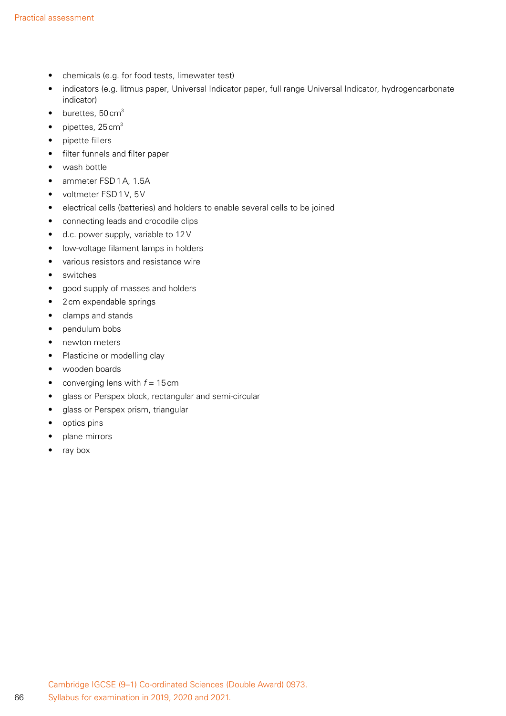- chemicals (e.g. for food tests, limewater test)
- indicators (e.g. litmus paper, Universal Indicator paper, full range Universal Indicator, hydrogencarbonate indicator)
- $\bullet$  burettes, 50 cm<sup>3</sup>
- pipettes,  $25 \text{ cm}^3$
- pipette fillers
- filter funnels and filter paper
- wash bottle
- ammeter FSD1A, 1.5A
- voltmeter FSD1V, 5V
- electrical cells (batteries) and holders to enable several cells to be joined
- connecting leads and crocodile clips
- d.c. power supply, variable to 12V
- low-voltage filament lamps in holders
- various resistors and resistance wire
- switches
- good supply of masses and holders
- 2cm expendable springs
- clamps and stands
- pendulum bobs
- newton meters
- Plasticine or modelling clay
- wooden boards
- converging lens with  $f = 15$  cm
- glass or Perspex block, rectangular and semi-circular
- glass or Perspex prism, triangular
- optics pins
- plane mirrors
- ray box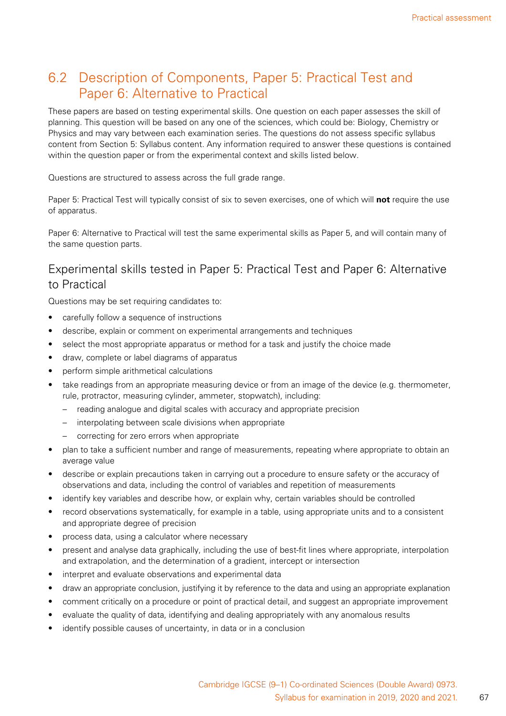### 6.2 Description of Components, Paper 5: Practical Test and Paper 6: Alternative to Practical

These papers are based on testing experimental skills. One question on each paper assesses the skill of planning. This question will be based on any one of the sciences, which could be: Biology, Chemistry or Physics and may vary between each examination series. The questions do not assess specific syllabus content from Section 5: Syllabus content. Any information required to answer these questions is contained within the question paper or from the experimental context and skills listed below.

Questions are structured to assess across the full grade range.

Paper 5: Practical Test will typically consist of six to seven exercises, one of which will **not** require the use of apparatus.

Paper 6: Alternative to Practical will test the same experimental skills as Paper 5, and will contain many of the same question parts.

#### Experimental skills tested in Paper 5: Practical Test and Paper 6: Alternative to Practical

Questions may be set requiring candidates to:

- carefully follow a sequence of instructions
- describe, explain or comment on experimental arrangements and techniques
- select the most appropriate apparatus or method for a task and justify the choice made
- draw, complete or label diagrams of apparatus
- perform simple arithmetical calculations
- take readings from an appropriate measuring device or from an image of the device (e.g. thermometer, rule, protractor, measuring cylinder, ammeter, stopwatch), including:
	- reading analogue and digital scales with accuracy and appropriate precision
	- interpolating between scale divisions when appropriate
	- correcting for zero errors when appropriate
- plan to take a sufficient number and range of measurements, repeating where appropriate to obtain an average value
- describe or explain precautions taken in carrying out a procedure to ensure safety or the accuracy of observations and data, including the control of variables and repetition of measurements
- identify key variables and describe how, or explain why, certain variables should be controlled
- record observations systematically, for example in a table, using appropriate units and to a consistent and appropriate degree of precision
- process data, using a calculator where necessary
- present and analyse data graphically, including the use of best-fit lines where appropriate, interpolation and extrapolation, and the determination of a gradient, intercept or intersection
- interpret and evaluate observations and experimental data
- draw an appropriate conclusion, justifying it by reference to the data and using an appropriate explanation
- comment critically on a procedure or point of practical detail, and suggest an appropriate improvement
- evaluate the quality of data, identifying and dealing appropriately with any anomalous results
- identify possible causes of uncertainty, in data or in a conclusion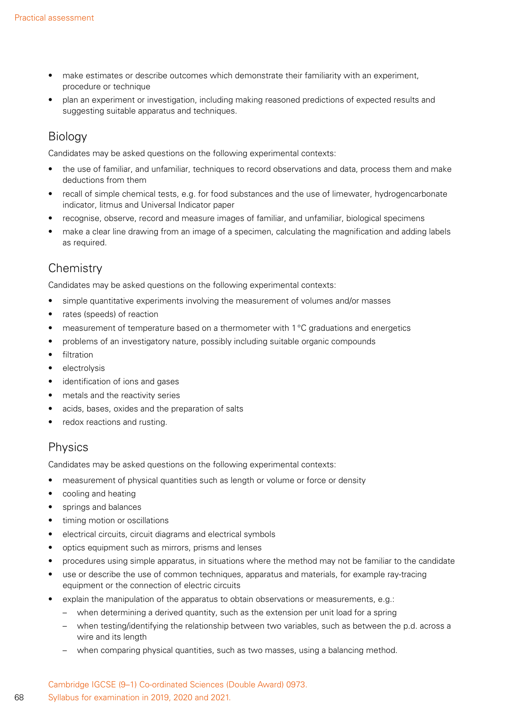- make estimates or describe outcomes which demonstrate their familiarity with an experiment, procedure or technique
- plan an experiment or investigation, including making reasoned predictions of expected results and suggesting suitable apparatus and techniques.

#### Biology

Candidates may be asked questions on the following experimental contexts:

- the use of familiar, and unfamiliar, techniques to record observations and data, process them and make deductions from them
- recall of simple chemical tests, e.g. for food substances and the use of limewater, hydrogencarbonate indicator, litmus and Universal Indicator paper
- recognise, observe, record and measure images of familiar, and unfamiliar, biological specimens
- make a clear line drawing from an image of a specimen, calculating the magnification and adding labels as required.

#### **Chemistry**

Candidates may be asked questions on the following experimental contexts:

- simple quantitative experiments involving the measurement of volumes and/or masses
- rates (speeds) of reaction
- measurement of temperature based on a thermometer with 1°C graduations and energetics
- problems of an investigatory nature, possibly including suitable organic compounds
- filtration
- electrolysis
- identification of ions and gases
- metals and the reactivity series
- acids, bases, oxides and the preparation of salts
- redox reactions and rusting.

#### Physics

Candidates may be asked questions on the following experimental contexts:

- measurement of physical quantities such as length or volume or force or density
- cooling and heating
- springs and balances
- timing motion or oscillations
- electrical circuits, circuit diagrams and electrical symbols
- optics equipment such as mirrors, prisms and lenses
- procedures using simple apparatus, in situations where the method may not be familiar to the candidate
- use or describe the use of common techniques, apparatus and materials, for example ray-tracing equipment or the connection of electric circuits
- explain the manipulation of the apparatus to obtain observations or measurements, e.g.:
	- when determining a derived quantity, such as the extension per unit load for a spring
	- when testing/identifying the relationship between two variables, such as between the p.d. across a wire and its length
	- when comparing physical quantities, such as two masses, using a balancing method.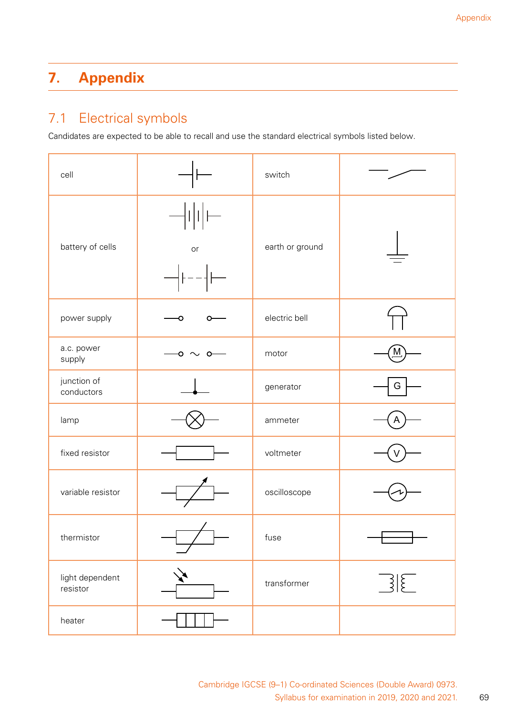# **7. Appendix**

## 7.1 Electrical symbols

Candidates are expected to be able to recall and use the standard electrical symbols listed below.

| cell                        |           | switch          |                      |  |  |
|-----------------------------|-----------|-----------------|----------------------|--|--|
| battery of cells            | or        | earth or ground |                      |  |  |
| power supply                |           | electric bell   |                      |  |  |
| a.c. power<br>supply        | $\sim$ 0- | motor           |                      |  |  |
| junction of<br>conductors   |           | generator       | G                    |  |  |
| lamp                        |           | ammeter         |                      |  |  |
| fixed resistor              |           | voltmeter       |                      |  |  |
| variable resistor           |           | oscilloscope    |                      |  |  |
| thermistor                  |           | fuse            |                      |  |  |
| light dependent<br>resistor |           | transformer     | $\boxed{\mathbb{R}}$ |  |  |
| heater                      |           |                 |                      |  |  |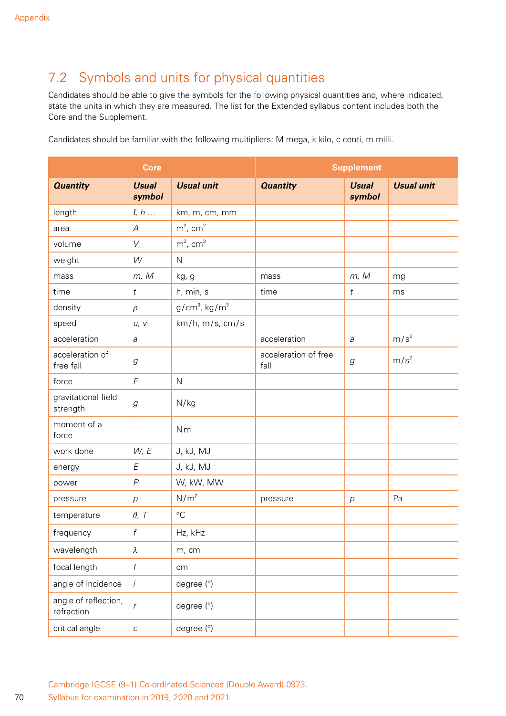## 7.2 Symbols and units for physical quantities

Candidates should be able to give the symbols for the following physical quantities and, where indicated, state the units in which they are measured. The list for the Extended syllabus content includes both the Core and the Supplement.

Candidates should be familiar with the following multipliers: M mega, k kilo, c centi, m milli.

| <b>Core</b>                        |                                                           |                             | <b>Supplement</b>            |                                                           |                   |  |
|------------------------------------|-----------------------------------------------------------|-----------------------------|------------------------------|-----------------------------------------------------------|-------------------|--|
| <b>Quantity</b>                    | <b>Usual</b><br>symbol                                    | <b>Usual unit</b>           | <b>Quantity</b>              | <b>Usual</b><br>symbol                                    | <b>Usual unit</b> |  |
| length                             | l, h                                                      | km, m, cm, mm               |                              |                                                           |                   |  |
| area                               | $\overline{\mathcal{A}}$                                  | $m^2$ , cm <sup>2</sup>     |                              |                                                           |                   |  |
| volume                             | V                                                         | $m^3$ , cm <sup>3</sup>     |                              |                                                           |                   |  |
| weight                             | W                                                         | $\mathsf{N}$                |                              |                                                           |                   |  |
| mass                               | m, M                                                      | kg, g                       | mass                         | m, M                                                      | mg                |  |
| time                               | $\it t$                                                   | h, min, s                   | time                         | $\it t$                                                   | ms                |  |
| density                            | $\rho$                                                    | $g/cm3$ , kg/m <sup>3</sup> |                              |                                                           |                   |  |
| speed                              | U, V                                                      | km/h, m/s, cm/s             |                              |                                                           |                   |  |
| acceleration                       | а                                                         |                             | acceleration                 | a                                                         | m/s <sup>2</sup>  |  |
| acceleration of<br>free fall       | $\mathcal{G}% _{M_{1},M_{2}}^{\alpha,\beta}(\varepsilon)$ |                             | acceleration of free<br>fall | $\mathcal{G}% _{M_{1},M_{2}}^{\alpha,\beta}(\varepsilon)$ | m/s <sup>2</sup>  |  |
| force                              | $\sqrt{2}$                                                | $\mathsf{N}$                |                              |                                                           |                   |  |
| gravitational field<br>strength    | g                                                         | N/kg                        |                              |                                                           |                   |  |
| moment of a<br>force               |                                                           | Nm                          |                              |                                                           |                   |  |
| work done                          | W, E                                                      | J, kJ, MJ                   |                              |                                                           |                   |  |
| energy                             | E                                                         | J, kJ, MJ                   |                              |                                                           |                   |  |
| power                              | $\overline{P}$                                            | W, kW, MW                   |                              |                                                           |                   |  |
| pressure                           | $\overline{p}$                                            | N/m <sup>2</sup>            | pressure                     | $\,p$                                                     | Pa                |  |
| temperature                        | $\theta$ , T                                              | $\rm ^{\circ}C$             |                              |                                                           |                   |  |
| frequency                          | $\boldsymbol{f}$                                          | Hz, kHz                     |                              |                                                           |                   |  |
| wavelength                         | $\lambda$                                                 | m, cm                       |                              |                                                           |                   |  |
| focal length                       | $\boldsymbol{f}$                                          | cm                          |                              |                                                           |                   |  |
| angle of incidence                 | $\dot{i}$                                                 | degree (°)                  |                              |                                                           |                   |  |
| angle of reflection,<br>refraction | $\, r$                                                    | degree (°)                  |                              |                                                           |                   |  |
| critical angle                     | $\cal C$                                                  | degree (°)                  |                              |                                                           |                   |  |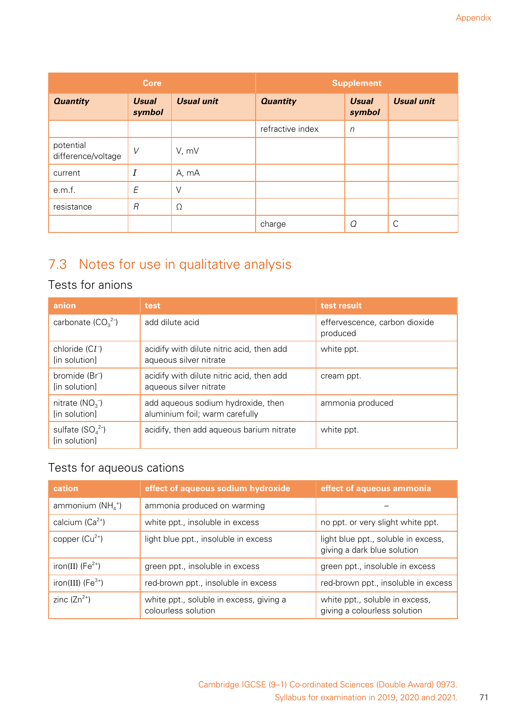|                                 | <b>Core</b>            |                   |                  | <b>Supplement</b>      |                   |
|---------------------------------|------------------------|-------------------|------------------|------------------------|-------------------|
| <b>Quantity</b>                 | <b>Usual</b><br>symbol | <b>Usual unit</b> | <b>Quantity</b>  | <b>Usual</b><br>symbol | <b>Usual unit</b> |
|                                 |                        |                   | refractive index | $\sqrt{n}$             |                   |
| potential<br>difference/voltage | V                      | V, mV             |                  |                        |                   |
| current                         | $\cal I$               | A, mA             |                  |                        |                   |
| e.m.f.                          | E                      | V                 |                  |                        |                   |
| resistance                      | $\overline{R}$         | $\Omega$          |                  |                        |                   |
|                                 |                        |                   | charge           | Q                      | C                 |

# 7.3 Notes for use in qualitative analysis

### Tests for anions

| anion                                       | test                                                                 | test result                               |
|---------------------------------------------|----------------------------------------------------------------------|-------------------------------------------|
| carbonate $(CO_3^2)$                        | add dilute acid                                                      | effervescence, carbon dioxide<br>produced |
| chloride $(Cl-)$<br>[in solution]           | acidify with dilute nitric acid, then add<br>aqueous silver nitrate  | white ppt.                                |
| bromide (Br <sup>-</sup> )<br>[in solution] | acidify with dilute nitric acid, then add<br>aqueous silver nitrate  | cream ppt.                                |
| nitrate ( $NO3$ )<br>[in solution]          | add aqueous sodium hydroxide, then<br>aluminium foil; warm carefully | ammonia produced                          |
| sulfate $(SO_4^2)$<br>[in solution]         | acidify, then add aqueous barium nitrate                             | white ppt.                                |

## Tests for aqueous cations

| cation                          | effect of aqueous sodium hydroxide                             | effect of aqueous ammonia                                          |
|---------------------------------|----------------------------------------------------------------|--------------------------------------------------------------------|
| ammonium ( $NH4$ <sup>+</sup> ) | ammonia produced on warming                                    |                                                                    |
| calcium $(Ca^{2+})$             | white ppt., insoluble in excess                                | no ppt. or very slight white ppt.                                  |
| copper $(Cu^{2+})$              | light blue ppt., insoluble in excess                           | light blue ppt., soluble in excess,<br>giving a dark blue solution |
| iron(II) $(Fe2+)$               | green ppt., insoluble in excess                                | green ppt., insoluble in excess                                    |
| iron(III) $(Fe^{3+})$           | red-brown ppt., insoluble in excess                            | red-brown ppt., insoluble in excess                                |
| zinc $(Zn^{2+})$                | white ppt., soluble in excess, giving a<br>colourless solution | white ppt., soluble in excess,<br>giving a colourless solution     |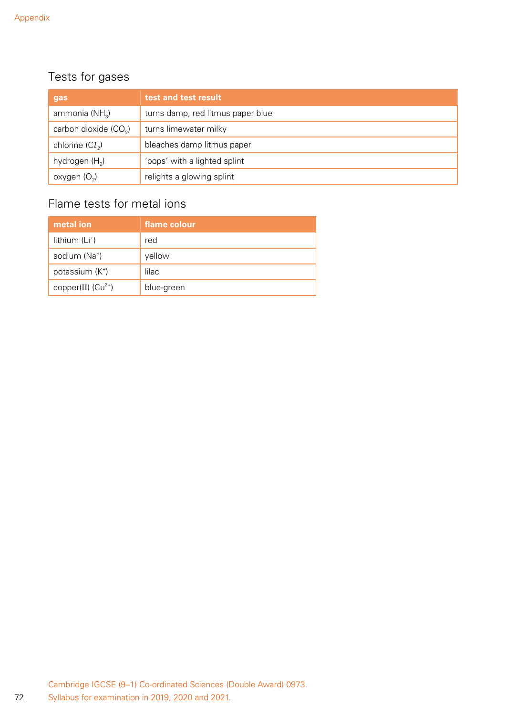72

## Tests for gases

| gas                        | test and test result              |
|----------------------------|-----------------------------------|
| ammonia (NH <sub>3</sub> ) | turns damp, red litmus paper blue |
| carbon dioxide $(CO2)$     | turns limewater milky             |
| chlorine $(Cl_2)$          | bleaches damp litmus paper        |
| hydrogen $(H_2)$           | 'pops' with a lighted splint      |
| oxygen $(O_2)$             | relights a glowing splint         |

## Flame tests for metal ions

| metal ion                   | flame colour |
|-----------------------------|--------------|
| lithium $(L+)$              | red          |
| sodium (Na <sup>+</sup> )   | yellow       |
| potassium (K <sup>+</sup> ) | lilac        |
| copper(II) $(Cu^{2+})$      | blue-green   |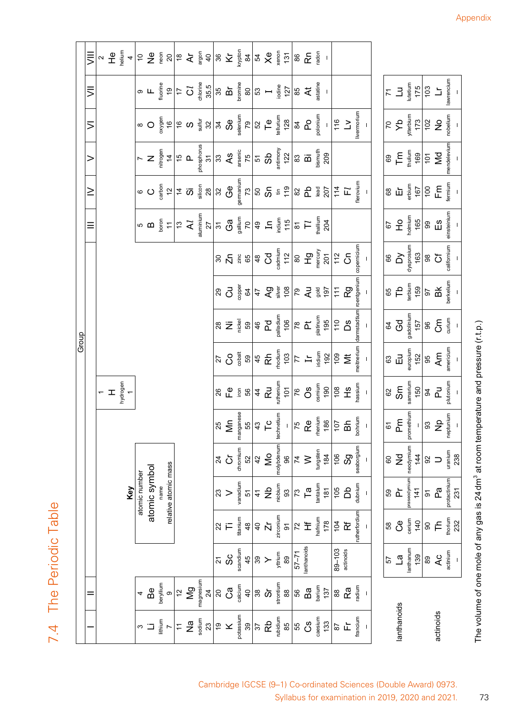7.4 The Periodic Table 7.4 The Periodic Table

|                                                     |                                                                       |                                                                                                   |                                                                                     |                                                                                |                                                            |                                                                                             | Group                                                                                                                                                                                                                                                                                                                                                                                                                |                                                                                                                                                                                                                                                                                                                     |                                                                                                                                                                                                                                                                                                                                                                                                                                |                                                                                                                                                                                                                                                                                                                                                                           |                                                                  |                                                                                                                                                                                                                                                                                                                                                                                                                                            |                                                                                                                                                                                                                                                                                                                       |                                                                                                                                                                                         |                                                                                                                                                                                                                                                                                                                     |                                                                                                                                                                                                                                                                                                                                                                                                                                                                                                            |
|-----------------------------------------------------|-----------------------------------------------------------------------|---------------------------------------------------------------------------------------------------|-------------------------------------------------------------------------------------|--------------------------------------------------------------------------------|------------------------------------------------------------|---------------------------------------------------------------------------------------------|----------------------------------------------------------------------------------------------------------------------------------------------------------------------------------------------------------------------------------------------------------------------------------------------------------------------------------------------------------------------------------------------------------------------|---------------------------------------------------------------------------------------------------------------------------------------------------------------------------------------------------------------------------------------------------------------------------------------------------------------------|--------------------------------------------------------------------------------------------------------------------------------------------------------------------------------------------------------------------------------------------------------------------------------------------------------------------------------------------------------------------------------------------------------------------------------|---------------------------------------------------------------------------------------------------------------------------------------------------------------------------------------------------------------------------------------------------------------------------------------------------------------------------------------------------------------------------|------------------------------------------------------------------|--------------------------------------------------------------------------------------------------------------------------------------------------------------------------------------------------------------------------------------------------------------------------------------------------------------------------------------------------------------------------------------------------------------------------------------------|-----------------------------------------------------------------------------------------------------------------------------------------------------------------------------------------------------------------------------------------------------------------------------------------------------------------------|-----------------------------------------------------------------------------------------------------------------------------------------------------------------------------------------|---------------------------------------------------------------------------------------------------------------------------------------------------------------------------------------------------------------------------------------------------------------------------------------------------------------------|------------------------------------------------------------------------------------------------------------------------------------------------------------------------------------------------------------------------------------------------------------------------------------------------------------------------------------------------------------------------------------------------------------------------------------------------------------------------------------------------------------|
| $=$                                                 |                                                                       |                                                                                                   |                                                                                     |                                                                                |                                                            |                                                                                             |                                                                                                                                                                                                                                                                                                                                                                                                                      |                                                                                                                                                                                                                                                                                                                     |                                                                                                                                                                                                                                                                                                                                                                                                                                |                                                                                                                                                                                                                                                                                                                                                                           | $\equiv$                                                         | $\geq$                                                                                                                                                                                                                                                                                                                                                                                                                                     | $\mathbf{I}$                                                                                                                                                                                                                                                                                                          | $\leq$                                                                                                                                                                                  | $\equiv$                                                                                                                                                                                                                                                                                                            | $\equiv$                                                                                                                                                                                                                                                                                                                                                                                                                                                                                                   |
|                                                     |                                                                       |                                                                                                   |                                                                                     |                                                                                |                                                            |                                                                                             |                                                                                                                                                                                                                                                                                                                                                                                                                      |                                                                                                                                                                                                                                                                                                                     |                                                                                                                                                                                                                                                                                                                                                                                                                                |                                                                                                                                                                                                                                                                                                                                                                           |                                                                  |                                                                                                                                                                                                                                                                                                                                                                                                                                            |                                                                                                                                                                                                                                                                                                                       |                                                                                                                                                                                         |                                                                                                                                                                                                                                                                                                                     |                                                                                                                                                                                                                                                                                                                                                                                                                                                                                                            |
|                                                     |                                                                       |                                                                                                   |                                                                                     |                                                                                |                                                            | $\pm$ $\pm$                                                                                 |                                                                                                                                                                                                                                                                                                                                                                                                                      |                                                                                                                                                                                                                                                                                                                     |                                                                                                                                                                                                                                                                                                                                                                                                                                |                                                                                                                                                                                                                                                                                                                                                                           |                                                                  |                                                                                                                                                                                                                                                                                                                                                                                                                                            |                                                                                                                                                                                                                                                                                                                       |                                                                                                                                                                                         |                                                                                                                                                                                                                                                                                                                     |                                                                                                                                                                                                                                                                                                                                                                                                                                                                                                            |
|                                                     |                                                                       |                                                                                                   | Key                                                                                 |                                                                                |                                                            | hydrogen<br>1                                                                               |                                                                                                                                                                                                                                                                                                                                                                                                                      |                                                                                                                                                                                                                                                                                                                     |                                                                                                                                                                                                                                                                                                                                                                                                                                |                                                                                                                                                                                                                                                                                                                                                                           |                                                                  |                                                                                                                                                                                                                                                                                                                                                                                                                                            |                                                                                                                                                                                                                                                                                                                       |                                                                                                                                                                                         |                                                                                                                                                                                                                                                                                                                     | $\sim \frac{1}{4} \cdot \frac{1}{4} \approx \frac{1}{4} \approx \frac{1}{4} \approx \frac{1}{4} \approx \frac{1}{4} \approx \frac{1}{4} \approx \frac{1}{4} \approx \frac{1}{4} \approx \frac{1}{4} \approx \frac{1}{4} \approx \frac{1}{4} \approx \frac{1}{4} \approx \frac{1}{4} \approx \frac{1}{4} \approx \frac{1}{4} \approx \frac{1}{4} \approx \frac{1}{4} \approx \frac{1}{4} \approx \frac{1}{4} \approx \frac{1}{4} \approx \frac{1}{4} \approx \frac{1}{4} \approx \frac{1}{4} \approx \frac$ |
|                                                     |                                                                       |                                                                                                   | atomic number                                                                       |                                                                                |                                                            |                                                                                             |                                                                                                                                                                                                                                                                                                                                                                                                                      |                                                                                                                                                                                                                                                                                                                     |                                                                                                                                                                                                                                                                                                                                                                                                                                |                                                                                                                                                                                                                                                                                                                                                                           |                                                                  |                                                                                                                                                                                                                                                                                                                                                                                                                                            |                                                                                                                                                                                                                                                                                                                       |                                                                                                                                                                                         |                                                                                                                                                                                                                                                                                                                     |                                                                                                                                                                                                                                                                                                                                                                                                                                                                                                            |
| $\mathsf{B}^\mathsf{e}$<br>$\Box$                   |                                                                       |                                                                                                   | atomic symbol                                                                       |                                                                                |                                                            |                                                                                             |                                                                                                                                                                                                                                                                                                                                                                                                                      |                                                                                                                                                                                                                                                                                                                     |                                                                                                                                                                                                                                                                                                                                                                                                                                |                                                                                                                                                                                                                                                                                                                                                                           |                                                                  |                                                                                                                                                                                                                                                                                                                                                                                                                                            |                                                                                                                                                                                                                                                                                                                       | $\circ$ O                                                                                                                                                                               |                                                                                                                                                                                                                                                                                                                     |                                                                                                                                                                                                                                                                                                                                                                                                                                                                                                            |
| nuillyler<br>lithium<br>$7$                         |                                                                       |                                                                                                   | name                                                                                |                                                                                |                                                            |                                                                                             |                                                                                                                                                                                                                                                                                                                                                                                                                      |                                                                                                                                                                                                                                                                                                                     |                                                                                                                                                                                                                                                                                                                                                                                                                                |                                                                                                                                                                                                                                                                                                                                                                           |                                                                  |                                                                                                                                                                                                                                                                                                                                                                                                                                            |                                                                                                                                                                                                                                                                                                                       |                                                                                                                                                                                         |                                                                                                                                                                                                                                                                                                                     |                                                                                                                                                                                                                                                                                                                                                                                                                                                                                                            |
| $\circ$                                             |                                                                       |                                                                                                   | relative atomic mass                                                                |                                                                                |                                                            |                                                                                             |                                                                                                                                                                                                                                                                                                                                                                                                                      |                                                                                                                                                                                                                                                                                                                     |                                                                                                                                                                                                                                                                                                                                                                                                                                |                                                                                                                                                                                                                                                                                                                                                                           |                                                                  |                                                                                                                                                                                                                                                                                                                                                                                                                                            |                                                                                                                                                                                                                                                                                                                       |                                                                                                                                                                                         |                                                                                                                                                                                                                                                                                                                     |                                                                                                                                                                                                                                                                                                                                                                                                                                                                                                            |
|                                                     |                                                                       |                                                                                                   |                                                                                     |                                                                                |                                                            |                                                                                             |                                                                                                                                                                                                                                                                                                                                                                                                                      |                                                                                                                                                                                                                                                                                                                     |                                                                                                                                                                                                                                                                                                                                                                                                                                |                                                                                                                                                                                                                                                                                                                                                                           |                                                                  |                                                                                                                                                                                                                                                                                                                                                                                                                                            |                                                                                                                                                                                                                                                                                                                       |                                                                                                                                                                                         |                                                                                                                                                                                                                                                                                                                     |                                                                                                                                                                                                                                                                                                                                                                                                                                                                                                            |
| $\frac{12}{5}$                                      |                                                                       |                                                                                                   |                                                                                     |                                                                                |                                                            |                                                                                             |                                                                                                                                                                                                                                                                                                                                                                                                                      |                                                                                                                                                                                                                                                                                                                     |                                                                                                                                                                                                                                                                                                                                                                                                                                |                                                                                                                                                                                                                                                                                                                                                                           |                                                                  |                                                                                                                                                                                                                                                                                                                                                                                                                                            |                                                                                                                                                                                                                                                                                                                       |                                                                                                                                                                                         |                                                                                                                                                                                                                                                                                                                     |                                                                                                                                                                                                                                                                                                                                                                                                                                                                                                            |
| magnesium<br>24                                     |                                                                       |                                                                                                   |                                                                                     |                                                                                |                                                            |                                                                                             |                                                                                                                                                                                                                                                                                                                                                                                                                      |                                                                                                                                                                                                                                                                                                                     |                                                                                                                                                                                                                                                                                                                                                                                                                                |                                                                                                                                                                                                                                                                                                                                                                           |                                                                  | $\circ \text{ O} \left( \frac{5}{8} \alpha \right) \left  \frac{4}{4} \frac{1}{12} \frac{1}{12} \frac{1}{12} \frac{1}{12} \frac{1}{12} \frac{1}{12} \frac{1}{12} \frac{1}{12} \frac{1}{12} \frac{1}{12} \frac{1}{12} \frac{1}{12} \frac{1}{12} \frac{1}{12} \frac{1}{12} \frac{1}{12} \frac{1}{12} \frac{1}{12} \frac{1}{12} \frac{1}{12} \frac{1}{12} \frac{1}{12} \frac{1}{12} \frac{1$                                                  | $\sim$ $\frac{1}{2}$ $\times$ $\frac{1}{2}$ $\frac{1}{2}$ $\frac{1}{2}$ $\frac{1}{2}$ $\frac{1}{2}$ $\frac{1}{2}$ $\frac{1}{2}$ $\frac{1}{2}$ $\frac{1}{2}$ $\frac{1}{2}$ $\frac{1}{2}$ $\frac{1}{2}$ $\frac{1}{2}$ $\frac{1}{2}$ $\frac{1}{2}$ $\frac{1}{2}$ $\frac{1}{2}$ $\frac{1}{2}$ $\frac{1}{2}$ $\frac{1}{2}$ |                                                                                                                                                                                         | $\frac{1}{2}$ $\frac{1}{2}$ $\frac{1}{2}$ $\frac{1}{2}$ $\frac{1}{2}$ $\frac{1}{2}$ $\frac{1}{2}$ $\frac{1}{2}$ $\frac{1}{2}$ $\frac{1}{2}$ $\frac{1}{2}$ $\frac{1}{2}$ $\frac{1}{2}$ $\frac{1}{2}$ $\frac{1}{2}$ $\frac{1}{2}$ $\frac{1}{2}$ $\frac{1}{2}$ $\frac{1}{2}$ $\frac{1}{2}$ $\frac{1}{2}$ $\frac{1}{2}$ |                                                                                                                                                                                                                                                                                                                                                                                                                                                                                                            |
| $\overline{\mathcal{S}}$<br>$\tilde{\mathbf{e}}$    | <u>ম</u>                                                              |                                                                                                   |                                                                                     | $\overline{2}$                                                                 |                                                            |                                                                                             |                                                                                                                                                                                                                                                                                                                                                                                                                      |                                                                                                                                                                                                                                                                                                                     |                                                                                                                                                                                                                                                                                                                                                                                                                                |                                                                                                                                                                                                                                                                                                                                                                           |                                                                  |                                                                                                                                                                                                                                                                                                                                                                                                                                            |                                                                                                                                                                                                                                                                                                                       |                                                                                                                                                                                         |                                                                                                                                                                                                                                                                                                                     |                                                                                                                                                                                                                                                                                                                                                                                                                                                                                                            |
| $\mathbf{C}^{\mathbf{a}}$<br>$\times$               | ပိ<br>လ                                                               | $\approx$ F                                                                                       | $\frac{3}{2}$                                                                       | $\circ$                                                                        | $\frac{25}{5}$                                             |                                                                                             |                                                                                                                                                                                                                                                                                                                                                                                                                      |                                                                                                                                                                                                                                                                                                                     |                                                                                                                                                                                                                                                                                                                                                                                                                                |                                                                                                                                                                                                                                                                                                                                                                           |                                                                  |                                                                                                                                                                                                                                                                                                                                                                                                                                            |                                                                                                                                                                                                                                                                                                                       |                                                                                                                                                                                         |                                                                                                                                                                                                                                                                                                                     |                                                                                                                                                                                                                                                                                                                                                                                                                                                                                                            |
| $rac{40}{40}$ 38 $5$<br>potassium<br>39<br>37<br>Rb | $rac{45}{45}$<br>$rac{45}{39}$ $\searrow$ $rac{5}{5}$<br>$rac{45}{5}$ | ttanium<br>$48$                                                                                   | muibsna                                                                             | thromium                                                                       | manganes                                                   |                                                                                             | $\begin{array}{c c c c c c c c c} \hline \text{C} & \text{C} & \text{S} & \text{S} & \text{S} & \text{S} & \text{S} & \text{S} \\ \hline \text{C} & \text{C} & \text{S} & \text{S} & \text{S} & \text{S} & \text{S} & \text{S} & \text{S} & \text{S} & \text{S} \\ \hline \text{C} & \text{S} & \text{S} & \text{S} & \text{S} & \text{S} & \text{S} & \text{S} & \text{S} & \text{S} & \text{S} & \text{S} & \text$ | $\frac{1}{2}$ $\frac{1}{2}$ $\frac{1}{2}$ $\frac{1}{2}$ $\frac{1}{2}$ $\frac{1}{2}$ $\frac{1}{2}$ $\frac{1}{2}$ $\frac{1}{2}$ $\frac{1}{2}$ $\frac{1}{2}$ $\frac{1}{2}$ $\frac{1}{2}$ $\frac{1}{2}$ $\frac{1}{2}$ $\frac{1}{2}$ $\frac{1}{2}$ $\frac{1}{2}$ $\frac{1}{2}$ $\frac{1}{2}$ $\frac{1}{2}$ $\frac{1}{2}$ | $\begin{array}{r l} 29 \\ \hline \text{CJ} \\ \text{cusper} \\ \text{GJ} \\ \text{GJ} \\ \text{GJ} \\ \text{GJ} \\ \text{GJ} \\ \text{GJ} \\ \text{GJ} \\ \text{GJ} \\ \text{GJ} \\ \text{GJ} \\ \text{GJ} \\ \text{GJ} \\ \text{GJ} \\ \text{GJ} \\ \text{GJ} \\ \text{GJ} \\ \text{GJ} \\ \text{GJ} \\ \text{GJ} \\ \text{GJ} \\ \text{GJ} \\ \text{GJ} \\ \text{GJ} \\ \text{GJ} \\ \text{GJ} \\ \text{GJ} \\ \text{GJ} \\$ | $\begin{array}{c c c c c c} \text{3.5} & \text{3.6} & \text{4.6} & \text{5.6} & \text{6.6} \\ \text{5.6} & \text{6.6} & \text{6.6} & \text{6.6} & \text{6.6} \\ \text{6.7} & \text{6.7} & \text{6.7} & \text{6.7} & \text{6.7} \\ \text{7.8} & \text{7.8} & \text{7.8} & \text{7.8} & \text{7.8} \\ \text{8.8} & \text{9.8} & \text{10.8} & \text{11.8} & \text{12.8} \\$ |                                                                  |                                                                                                                                                                                                                                                                                                                                                                                                                                            |                                                                                                                                                                                                                                                                                                                       |                                                                                                                                                                                         |                                                                                                                                                                                                                                                                                                                     |                                                                                                                                                                                                                                                                                                                                                                                                                                                                                                            |
|                                                     |                                                                       |                                                                                                   |                                                                                     | 52                                                                             |                                                            |                                                                                             |                                                                                                                                                                                                                                                                                                                                                                                                                      |                                                                                                                                                                                                                                                                                                                     |                                                                                                                                                                                                                                                                                                                                                                                                                                |                                                                                                                                                                                                                                                                                                                                                                           |                                                                  |                                                                                                                                                                                                                                                                                                                                                                                                                                            |                                                                                                                                                                                                                                                                                                                       |                                                                                                                                                                                         |                                                                                                                                                                                                                                                                                                                     |                                                                                                                                                                                                                                                                                                                                                                                                                                                                                                            |
|                                                     |                                                                       | $\frac{40}{Zr}$                                                                                   | $\frac{4}{15}$                                                                      | 42                                                                             | $\frac{43}{4}$ C                                           |                                                                                             |                                                                                                                                                                                                                                                                                                                                                                                                                      |                                                                                                                                                                                                                                                                                                                     |                                                                                                                                                                                                                                                                                                                                                                                                                                |                                                                                                                                                                                                                                                                                                                                                                           |                                                                  |                                                                                                                                                                                                                                                                                                                                                                                                                                            |                                                                                                                                                                                                                                                                                                                       |                                                                                                                                                                                         |                                                                                                                                                                                                                                                                                                                     |                                                                                                                                                                                                                                                                                                                                                                                                                                                                                                            |
|                                                     |                                                                       |                                                                                                   |                                                                                     | $\frac{1}{2}$                                                                  |                                                            |                                                                                             |                                                                                                                                                                                                                                                                                                                                                                                                                      |                                                                                                                                                                                                                                                                                                                     |                                                                                                                                                                                                                                                                                                                                                                                                                                |                                                                                                                                                                                                                                                                                                                                                                           |                                                                  |                                                                                                                                                                                                                                                                                                                                                                                                                                            |                                                                                                                                                                                                                                                                                                                       |                                                                                                                                                                                         |                                                                                                                                                                                                                                                                                                                     |                                                                                                                                                                                                                                                                                                                                                                                                                                                                                                            |
| strontium<br>88                                     |                                                                       |                                                                                                   | niobium<br>93                                                                       | molybdenum                                                                     | technetiun                                                 |                                                                                             |                                                                                                                                                                                                                                                                                                                                                                                                                      |                                                                                                                                                                                                                                                                                                                     |                                                                                                                                                                                                                                                                                                                                                                                                                                |                                                                                                                                                                                                                                                                                                                                                                           |                                                                  |                                                                                                                                                                                                                                                                                                                                                                                                                                            |                                                                                                                                                                                                                                                                                                                       |                                                                                                                                                                                         |                                                                                                                                                                                                                                                                                                                     |                                                                                                                                                                                                                                                                                                                                                                                                                                                                                                            |
| rubidium<br>$85$                                    |                                                                       |                                                                                                   |                                                                                     | 96                                                                             |                                                            |                                                                                             |                                                                                                                                                                                                                                                                                                                                                                                                                      |                                                                                                                                                                                                                                                                                                                     |                                                                                                                                                                                                                                                                                                                                                                                                                                |                                                                                                                                                                                                                                                                                                                                                                           |                                                                  |                                                                                                                                                                                                                                                                                                                                                                                                                                            |                                                                                                                                                                                                                                                                                                                       |                                                                                                                                                                                         |                                                                                                                                                                                                                                                                                                                     |                                                                                                                                                                                                                                                                                                                                                                                                                                                                                                            |
| 56<br>55                                            | shiourup<br>17–75                                                     | $\begin{array}{c}\n\frac{1}{2} & \text{if } 2 \\ \hline\n\frac{1}{2} & \text{if } 2\n\end{array}$ |                                                                                     | $\overline{z}$                                                                 |                                                            |                                                                                             |                                                                                                                                                                                                                                                                                                                                                                                                                      |                                                                                                                                                                                                                                                                                                                     |                                                                                                                                                                                                                                                                                                                                                                                                                                |                                                                                                                                                                                                                                                                                                                                                                           |                                                                  |                                                                                                                                                                                                                                                                                                                                                                                                                                            |                                                                                                                                                                                                                                                                                                                       |                                                                                                                                                                                         |                                                                                                                                                                                                                                                                                                                     |                                                                                                                                                                                                                                                                                                                                                                                                                                                                                                            |
| $\mathsf{B} \mathsf{a}$<br>රි                       |                                                                       |                                                                                                   | $\begin{array}{c} 73 \\ \textbf{I} \text{ a} \\ \text{the time} \\ 181 \end{array}$ | $\geq$                                                                         | $75$<br>Remains $95$<br>$75$<br>$75$<br>$10$<br>$10$<br>Bh |                                                                                             |                                                                                                                                                                                                                                                                                                                                                                                                                      |                                                                                                                                                                                                                                                                                                                     |                                                                                                                                                                                                                                                                                                                                                                                                                                |                                                                                                                                                                                                                                                                                                                                                                           |                                                                  |                                                                                                                                                                                                                                                                                                                                                                                                                                            |                                                                                                                                                                                                                                                                                                                       |                                                                                                                                                                                         |                                                                                                                                                                                                                                                                                                                     |                                                                                                                                                                                                                                                                                                                                                                                                                                                                                                            |
| barium<br>137<br>caesium<br>133                     |                                                                       | hafnium<br>178                                                                                    |                                                                                     | tungsten<br>184                                                                |                                                            |                                                                                             |                                                                                                                                                                                                                                                                                                                                                                                                                      |                                                                                                                                                                                                                                                                                                                     |                                                                                                                                                                                                                                                                                                                                                                                                                                |                                                                                                                                                                                                                                                                                                                                                                           |                                                                  |                                                                                                                                                                                                                                                                                                                                                                                                                                            |                                                                                                                                                                                                                                                                                                                       |                                                                                                                                                                                         |                                                                                                                                                                                                                                                                                                                     |                                                                                                                                                                                                                                                                                                                                                                                                                                                                                                            |
|                                                     |                                                                       |                                                                                                   |                                                                                     |                                                                                |                                                            |                                                                                             |                                                                                                                                                                                                                                                                                                                                                                                                                      |                                                                                                                                                                                                                                                                                                                     |                                                                                                                                                                                                                                                                                                                                                                                                                                |                                                                                                                                                                                                                                                                                                                                                                           |                                                                  |                                                                                                                                                                                                                                                                                                                                                                                                                                            |                                                                                                                                                                                                                                                                                                                       |                                                                                                                                                                                         |                                                                                                                                                                                                                                                                                                                     |                                                                                                                                                                                                                                                                                                                                                                                                                                                                                                            |
| 88<br>2                                             | $80 - 103$                                                            | $\frac{104}{3}$                                                                                   | 105                                                                                 | 106                                                                            |                                                            |                                                                                             |                                                                                                                                                                                                                                                                                                                                                                                                                      |                                                                                                                                                                                                                                                                                                                     |                                                                                                                                                                                                                                                                                                                                                                                                                                |                                                                                                                                                                                                                                                                                                                                                                           |                                                                  |                                                                                                                                                                                                                                                                                                                                                                                                                                            |                                                                                                                                                                                                                                                                                                                       |                                                                                                                                                                                         |                                                                                                                                                                                                                                                                                                                     |                                                                                                                                                                                                                                                                                                                                                                                                                                                                                                            |
| Ra<br>亡                                             | actinoids                                                             | $\breve{\mathbf{r}}$                                                                              | å                                                                                   | $\begin{array}{c}\n 5g \\  \hline\n 9g \\ \hline\n 1g \\ \hline\n \end{array}$ |                                                            |                                                                                             |                                                                                                                                                                                                                                                                                                                                                                                                                      |                                                                                                                                                                                                                                                                                                                     |                                                                                                                                                                                                                                                                                                                                                                                                                                |                                                                                                                                                                                                                                                                                                                                                                           |                                                                  |                                                                                                                                                                                                                                                                                                                                                                                                                                            |                                                                                                                                                                                                                                                                                                                       |                                                                                                                                                                                         |                                                                                                                                                                                                                                                                                                                     |                                                                                                                                                                                                                                                                                                                                                                                                                                                                                                            |
| radium<br>francium                                  |                                                                       | utherfordium                                                                                      | dubnium                                                                             |                                                                                | bohrium                                                    |                                                                                             |                                                                                                                                                                                                                                                                                                                                                                                                                      | mstadtium                                                                                                                                                                                                                                                                                                           |                                                                                                                                                                                                                                                                                                                                                                                                                                |                                                                                                                                                                                                                                                                                                                                                                           |                                                                  |                                                                                                                                                                                                                                                                                                                                                                                                                                            |                                                                                                                                                                                                                                                                                                                       |                                                                                                                                                                                         |                                                                                                                                                                                                                                                                                                                     |                                                                                                                                                                                                                                                                                                                                                                                                                                                                                                            |
|                                                     |                                                                       |                                                                                                   |                                                                                     |                                                                                |                                                            |                                                                                             |                                                                                                                                                                                                                                                                                                                                                                                                                      |                                                                                                                                                                                                                                                                                                                     |                                                                                                                                                                                                                                                                                                                                                                                                                                |                                                                                                                                                                                                                                                                                                                                                                           |                                                                  |                                                                                                                                                                                                                                                                                                                                                                                                                                            |                                                                                                                                                                                                                                                                                                                       |                                                                                                                                                                                         |                                                                                                                                                                                                                                                                                                                     |                                                                                                                                                                                                                                                                                                                                                                                                                                                                                                            |
|                                                     | 57                                                                    | $58\,$                                                                                            | 59                                                                                  | $\mbox{6}$                                                                     |                                                            |                                                                                             |                                                                                                                                                                                                                                                                                                                                                                                                                      |                                                                                                                                                                                                                                                                                                                     |                                                                                                                                                                                                                                                                                                                                                                                                                                |                                                                                                                                                                                                                                                                                                                                                                           |                                                                  |                                                                                                                                                                                                                                                                                                                                                                                                                                            |                                                                                                                                                                                                                                                                                                                       |                                                                                                                                                                                         |                                                                                                                                                                                                                                                                                                                     |                                                                                                                                                                                                                                                                                                                                                                                                                                                                                                            |
| anthanoids                                          | $\overline{a}$                                                        | පී                                                                                                | $\tilde{\mathbb{L}}$                                                                | $\mathbf{\bar{z}}$                                                             | $\overline{6}$ $\overline{E}$                              |                                                                                             |                                                                                                                                                                                                                                                                                                                                                                                                                      |                                                                                                                                                                                                                                                                                                                     |                                                                                                                                                                                                                                                                                                                                                                                                                                |                                                                                                                                                                                                                                                                                                                                                                           |                                                                  |                                                                                                                                                                                                                                                                                                                                                                                                                                            |                                                                                                                                                                                                                                                                                                                       |                                                                                                                                                                                         |                                                                                                                                                                                                                                                                                                                     |                                                                                                                                                                                                                                                                                                                                                                                                                                                                                                            |
|                                                     | lanthanum<br>139                                                      | cerium<br>140                                                                                     | praseodymium<br>141                                                                 | neodymium<br>144                                                               | promethiur                                                 | $\begin{array}{c c}\n & 1 & 0 \\  & 1 & 0 & 0 \\  & 1 & 0 & 0 \\  & 1 & 0 & 0\n\end{array}$ | $E_{\text{L}}$ $E_{\text{subpump}}$ $\frac{152}{95}$                                                                                                                                                                                                                                                                                                                                                                 | $rac{64}{157}$<br>$rac{157}{96}$<br>$rac{157}{96}$<br>$rac{157}{96}$                                                                                                                                                                                                                                                | $\frac{48}{35}$<br>$\frac{42}{35}$<br>$\frac{42}{35}$<br>$\frac{42}{35}$                                                                                                                                                                                                                                                                                                                                                       | $\begin{array}{c c}\n\hline\n66 & Dy \\ \hline\n98 & 163 \\ \hline\n163 & 8\n\end{array}$                                                                                                                                                                                                                                                                                 | $rac{67}{67}$<br>$rac{465}{69}$<br>$rac{67}{69}$<br>$rac{1}{69}$ | $\begin{array}{c} 68 \\ \text{E} \text{ } \frac{1}{6} \text{ } \frac{1}{6} \text{ } \frac{1}{6} \text{ } \frac{1}{6} \text{ } \frac{1}{6} \text{ } \frac{1}{6} \text{ } \frac{1}{6} \text{ } \frac{1}{6} \text{ } \frac{1}{6} \text{ } \frac{1}{6} \text{ } \frac{1}{6} \text{ } \frac{1}{6} \text{ } \frac{1}{6} \text{ } \frac{1}{6} \text{ } \frac{1}{6} \text{ } \frac{1}{6} \text{ } \frac{1}{6} \text{ } \frac{1}{6} \text{ } \frac$ | $rac{1}{2}$<br>$rac{1}{2}$<br>$rac{1}{2}$<br>$rac{1}{2}$<br>$rac{1}{2}$<br>$rac{1}{2}$<br>$rac{1}{2}$                                                                                                                                                                                                                 | $\frac{1}{2}$<br>$\frac{1}{2}$<br>$\frac{1}{2}$<br>$\frac{1}{2}$<br>$\frac{1}{2}$<br>$\frac{1}{2}$<br>$\frac{1}{2}$<br>$\frac{1}{2}$<br>$\frac{1}{2}$<br>$\frac{1}{2}$<br>$\frac{1}{2}$ | $\begin{array}{c c}\n\hline\n\uparrow 1 & \uparrow 0 \\ \hline\n\downarrow 1 & \uparrow 0 \\ \hline\n\downarrow 1 & \uparrow 0 \\ \hline\n\downarrow 0 & \downarrow 1\n\end{array}$                                                                                                                                 |                                                                                                                                                                                                                                                                                                                                                                                                                                                                                                            |
|                                                     | $\rm{g}$                                                              |                                                                                                   | $\overline{\mathrm{o}}$                                                             | $\rm S$                                                                        |                                                            |                                                                                             |                                                                                                                                                                                                                                                                                                                                                                                                                      |                                                                                                                                                                                                                                                                                                                     |                                                                                                                                                                                                                                                                                                                                                                                                                                |                                                                                                                                                                                                                                                                                                                                                                           |                                                                  |                                                                                                                                                                                                                                                                                                                                                                                                                                            |                                                                                                                                                                                                                                                                                                                       |                                                                                                                                                                                         |                                                                                                                                                                                                                                                                                                                     |                                                                                                                                                                                                                                                                                                                                                                                                                                                                                                            |
| actinoids                                           | $\lambda$ c                                                           | 78                                                                                                | Pa                                                                                  | $\supset$                                                                      | ြို့ ခို                                                   |                                                                                             |                                                                                                                                                                                                                                                                                                                                                                                                                      |                                                                                                                                                                                                                                                                                                                     |                                                                                                                                                                                                                                                                                                                                                                                                                                |                                                                                                                                                                                                                                                                                                                                                                           |                                                                  |                                                                                                                                                                                                                                                                                                                                                                                                                                            |                                                                                                                                                                                                                                                                                                                       |                                                                                                                                                                                         |                                                                                                                                                                                                                                                                                                                     |                                                                                                                                                                                                                                                                                                                                                                                                                                                                                                            |
|                                                     | actinium                                                              |                                                                                                   |                                                                                     |                                                                                | neptunium                                                  | plutonium<br>-                                                                              |                                                                                                                                                                                                                                                                                                                                                                                                                      |                                                                                                                                                                                                                                                                                                                     | berkelium                                                                                                                                                                                                                                                                                                                                                                                                                      | californium                                                                                                                                                                                                                                                                                                                                                               | einsteinium                                                      | fermium                                                                                                                                                                                                                                                                                                                                                                                                                                    | mendelevium                                                                                                                                                                                                                                                                                                           | nobelium<br>-                                                                                                                                                                           |                                                                                                                                                                                                                                                                                                                     |                                                                                                                                                                                                                                                                                                                                                                                                                                                                                                            |
|                                                     |                                                                       | thorium<br>232                                                                                    | protactinium<br>231                                                                 | uranium<br>238                                                                 |                                                            |                                                                                             |                                                                                                                                                                                                                                                                                                                                                                                                                      |                                                                                                                                                                                                                                                                                                                     |                                                                                                                                                                                                                                                                                                                                                                                                                                |                                                                                                                                                                                                                                                                                                                                                                           |                                                                  |                                                                                                                                                                                                                                                                                                                                                                                                                                            |                                                                                                                                                                                                                                                                                                                       |                                                                                                                                                                                         | lawrencium<br>-                                                                                                                                                                                                                                                                                                     |                                                                                                                                                                                                                                                                                                                                                                                                                                                                                                            |

The volume of one mole of any gas is 24 dm<sup>3</sup> at room temperature and pressure (r.t.p.) The volume of one mole of any gas is 24 dm<sup>3</sup> at room temperature and pressure (r.t.p.)

Cambridge IGCSE (9–1) Co-ordinated Sciences (Double Award) 0973. Syllabus for examination in 2019, 2020 and 2021.

73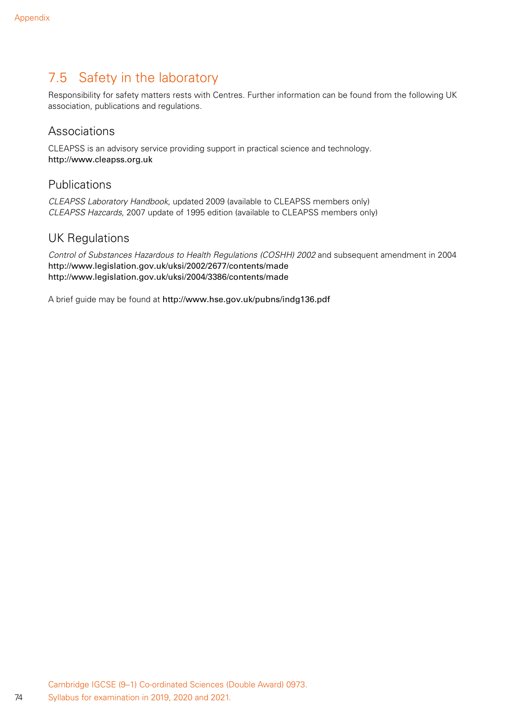### 7.5 Safety in the laboratory

Responsibility for safety matters rests with Centres. Further information can be found from the following UK association, publications and regulations.

#### Associations

CLEAPSS is an advisory service providing support in practical science and technology. http://www.cleapss.org.uk

### Publications

*CLEAPSS Laboratory Handbook*, updated 2009 (available to CLEAPSS members only) *CLEAPSS Hazcards*, 2007 update of 1995 edition (available to CLEAPSS members only)

#### UK Regulations

*Control of Substances Hazardous to Health Regulations (COSHH) 2002* and subsequent amendment in 2004 http://www.legislation.gov.uk/uksi/2002/2677/contents/made http://www.legislation.gov.uk/uksi/2004/3386/contents/made

A brief guide may be found at http://www.hse.gov.uk/pubns/indg136.pdf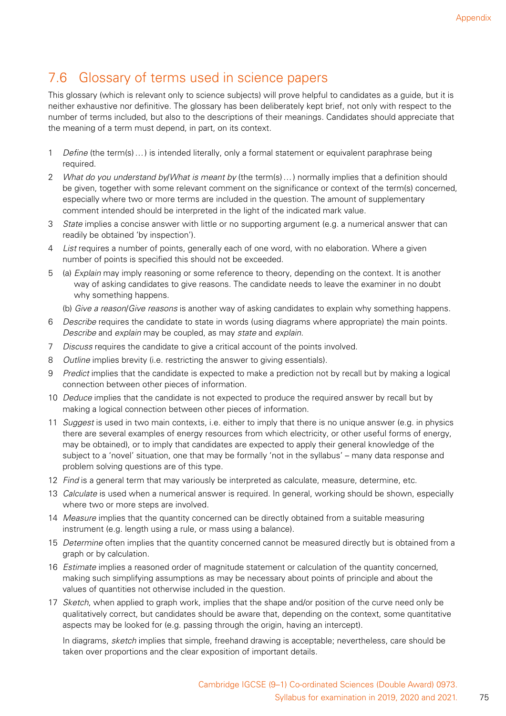## 7.6 Glossary of terms used in science papers

This glossary (which is relevant only to science subjects) will prove helpful to candidates as a guide, but it is neither exhaustive nor definitive. The glossary has been deliberately kept brief, not only with respect to the number of terms included, but also to the descriptions of their meanings. Candidates should appreciate that the meaning of a term must depend, in part, on its context.

- 1 *Define* (the term(s)…) is intended literally, only a formal statement or equivalent paraphrase being required.
- 2 *What do you understand by*/*What is meant by* (the term(s)…) normally implies that a definition should be given, together with some relevant comment on the significance or context of the term(s) concerned, especially where two or more terms are included in the question. The amount of supplementary comment intended should be interpreted in the light of the indicated mark value.
- 3 *State* implies a concise answer with little or no supporting argument (e.g. a numerical answer that can readily be obtained 'by inspection').
- 4 *List* requires a number of points, generally each of one word, with no elaboration. Where a given number of points is specified this should not be exceeded.
- 5 (a) *Explain* may imply reasoning or some reference to theory, depending on the context. It is another way of asking candidates to give reasons. The candidate needs to leave the examiner in no doubt why something happens.
	- (b) *Give a reason*/*Give reasons* is another way of asking candidates to explain why something happens.
- 6 *Describe* requires the candidate to state in words (using diagrams where appropriate) the main points. *Describe* and *explain* may be coupled, as may *state* and *explain*.
- 7 *Discuss* requires the candidate to give a critical account of the points involved.
- 8 *Outline* implies brevity (i.e. restricting the answer to giving essentials).
- 9 *Predict* implies that the candidate is expected to make a prediction not by recall but by making a logical connection between other pieces of information.
- 10 *Deduce* implies that the candidate is not expected to produce the required answer by recall but by making a logical connection between other pieces of information.
- 11 *Suggest* is used in two main contexts, i.e. either to imply that there is no unique answer (e.g. in physics there are several examples of energy resources from which electricity, or other useful forms of energy, may be obtained), or to imply that candidates are expected to apply their general knowledge of the subject to a 'novel' situation, one that may be formally 'not in the syllabus' – many data response and problem solving questions are of this type.
- 12 *Find* is a general term that may variously be interpreted as calculate, measure, determine, etc.
- 13 *Calculate* is used when a numerical answer is required. In general, working should be shown, especially where two or more steps are involved.
- 14 *Measure* implies that the quantity concerned can be directly obtained from a suitable measuring instrument (e.g. length using a rule, or mass using a balance).
- 15 *Determine* often implies that the quantity concerned cannot be measured directly but is obtained from a graph or by calculation.
- 16 *Estimate* implies a reasoned order of magnitude statement or calculation of the quantity concerned, making such simplifying assumptions as may be necessary about points of principle and about the values of quantities not otherwise included in the question.
- 17 *Sketch*, when applied to graph work, implies that the shape and/or position of the curve need only be qualitatively correct, but candidates should be aware that, depending on the context, some quantitative aspects may be looked for (e.g. passing through the origin, having an intercept).

In diagrams, *sketch* implies that simple, freehand drawing is acceptable; nevertheless, care should be taken over proportions and the clear exposition of important details.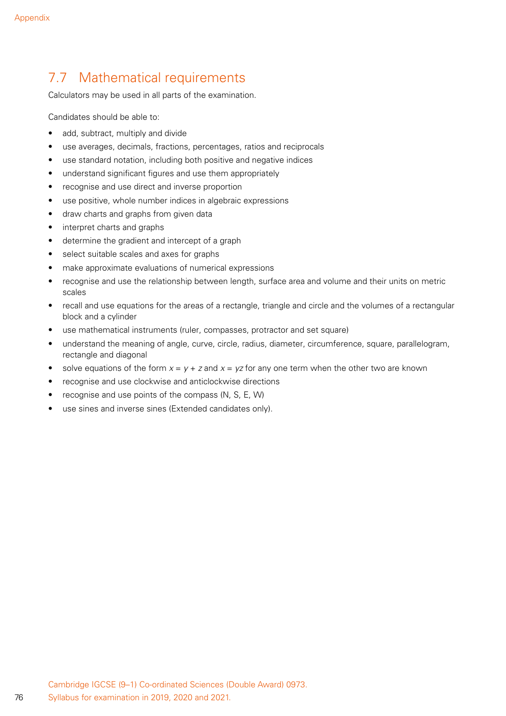### 7.7 Mathematical requirements

Calculators may be used in all parts of the examination.

Candidates should be able to:

- add, subtract, multiply and divide
- use averages, decimals, fractions, percentages, ratios and reciprocals
- use standard notation, including both positive and negative indices
- understand significant figures and use them appropriately
- recognise and use direct and inverse proportion
- use positive, whole number indices in algebraic expressions
- draw charts and graphs from given data
- interpret charts and graphs
- determine the gradient and intercept of a graph
- select suitable scales and axes for graphs
- make approximate evaluations of numerical expressions
- recognise and use the relationship between length, surface area and volume and their units on metric scales
- recall and use equations for the areas of a rectangle, triangle and circle and the volumes of a rectangular block and a cylinder
- use mathematical instruments (ruler, compasses, protractor and set square)
- understand the meaning of angle, curve, circle, radius, diameter, circumference, square, parallelogram, rectangle and diagonal
- solve equations of the form  $x = y + z$  and  $x = yz$  for any one term when the other two are known
- recognise and use clockwise and anticlockwise directions
- recognise and use points of the compass (N, S, E, W)
- use sines and inverse sines (Extended candidates only).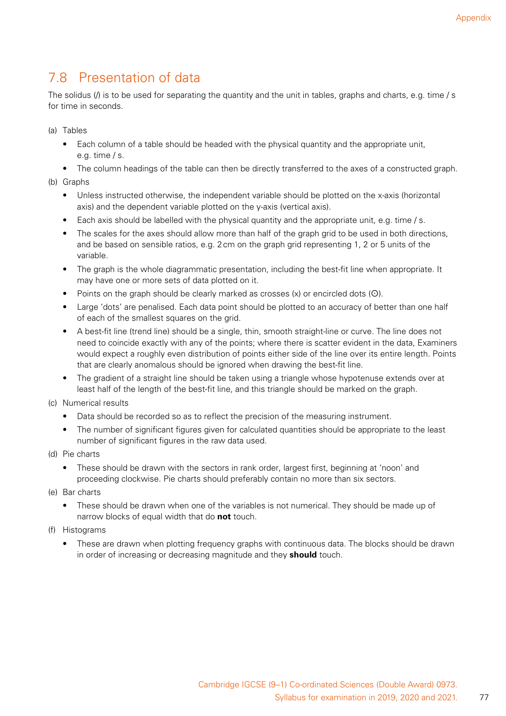## 7.8 Presentation of data

The solidus (/) is to be used for separating the quantity and the unit in tables, graphs and charts, e.g. time / s for time in seconds.

(a) Tables

- Each column of a table should be headed with the physical quantity and the appropriate unit, e.g. time / s.
- The column headings of the table can then be directly transferred to the axes of a constructed graph.
- (b) Graphs
	- Unless instructed otherwise, the independent variable should be plotted on the x-axis (horizontal axis) and the dependent variable plotted on the y-axis (vertical axis).
	- Each axis should be labelled with the physical quantity and the appropriate unit, e.g. time / s.
	- The scales for the axes should allow more than half of the graph grid to be used in both directions, and be based on sensible ratios, e.g. 2cm on the graph grid representing 1, 2 or 5 units of the variable.
	- The graph is the whole diagrammatic presentation, including the best-fit line when appropriate. It may have one or more sets of data plotted on it.
	- Points on the graph should be clearly marked as crosses  $(x)$  or encircled dots  $(0)$ .
	- Large 'dots' are penalised. Each data point should be plotted to an accuracy of better than one half of each of the smallest squares on the grid.
	- A best-fit line (trend line) should be a single, thin, smooth straight-line or curve. The line does not need to coincide exactly with any of the points; where there is scatter evident in the data, Examiners would expect a roughly even distribution of points either side of the line over its entire length. Points that are clearly anomalous should be ignored when drawing the best-fit line.
	- The gradient of a straight line should be taken using a triangle whose hypotenuse extends over at least half of the length of the best-fit line, and this triangle should be marked on the graph.
- (c) Numerical results
	- Data should be recorded so as to reflect the precision of the measuring instrument.
	- The number of significant figures given for calculated quantities should be appropriate to the least number of significant figures in the raw data used.
- (d) Pie charts
	- These should be drawn with the sectors in rank order, largest first, beginning at 'noon' and proceeding clockwise. Pie charts should preferably contain no more than six sectors.
- (e) Bar charts
	- These should be drawn when one of the variables is not numerical. They should be made up of narrow blocks of equal width that do **not** touch.
- (f) Histograms
	- These are drawn when plotting frequency graphs with continuous data. The blocks should be drawn in order of increasing or decreasing magnitude and they **should** touch.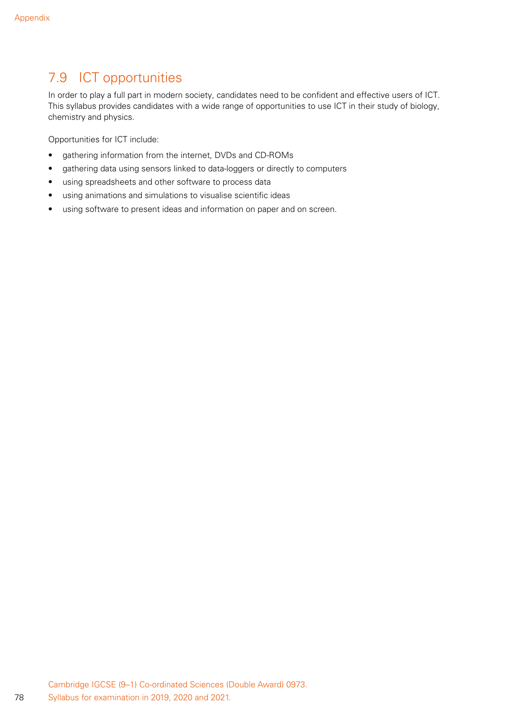## 7.9 ICT opportunities

In order to play a full part in modern society, candidates need to be confident and effective users of ICT. This syllabus provides candidates with a wide range of opportunities to use ICT in their study of biology, chemistry and physics.

Opportunities for ICT include:

- gathering information from the internet, DVDs and CD-ROMs
- gathering data using sensors linked to data-loggers or directly to computers
- using spreadsheets and other software to process data
- using animations and simulations to visualise scientific ideas
- using software to present ideas and information on paper and on screen.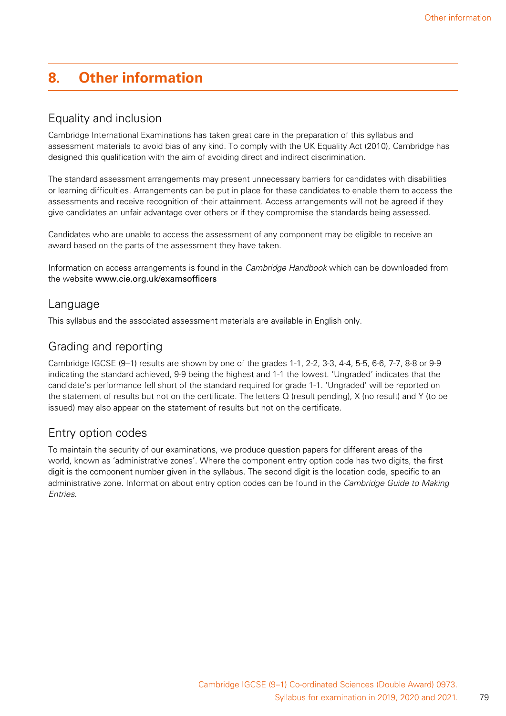# **8. Other information**

### Equality and inclusion

Cambridge International Examinations has taken great care in the preparation of this syllabus and assessment materials to avoid bias of any kind. To comply with the UK Equality Act (2010), Cambridge has designed this qualification with the aim of avoiding direct and indirect discrimination.

The standard assessment arrangements may present unnecessary barriers for candidates with disabilities or learning difficulties. Arrangements can be put in place for these candidates to enable them to access the assessments and receive recognition of their attainment. Access arrangements will not be agreed if they give candidates an unfair advantage over others or if they compromise the standards being assessed.

Candidates who are unable to access the assessment of any component may be eligible to receive an award based on the parts of the assessment they have taken.

Information on access arrangements is found in the *Cambridge Handbook* which can be downloaded from the website www.cie.org.uk/examsofficers

#### Language

This syllabus and the associated assessment materials are available in English only.

### Grading and reporting

Cambridge IGCSE (9–1) results are shown by one of the grades 1-1, 2-2, 3-3, 4-4, 5-5, 6-6, 7-7, 8-8 or 9-9 indicating the standard achieved, 9-9 being the highest and 1-1 the lowest. 'Ungraded' indicates that the candidate's performance fell short of the standard required for grade 1-1. 'Ungraded' will be reported on the statement of results but not on the certificate. The letters Q (result pending), X (no result) and Y (to be issued) may also appear on the statement of results but not on the certificate.

### Entry option codes

To maintain the security of our examinations, we produce question papers for different areas of the world, known as 'administrative zones'. Where the component entry option code has two digits, the first digit is the component number given in the syllabus. The second digit is the location code, specific to an administrative zone. Information about entry option codes can be found in the *Cambridge Guide to Making Entries*.